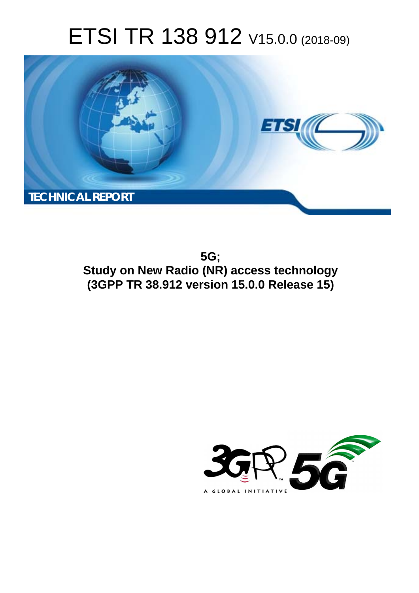# ETSI TR 138 912 V15.0.0 (2018-09)



**5G; Study on New Radio (NR) access technology (3GPP TR 38.912 version 15.0.0 Release 15)** 

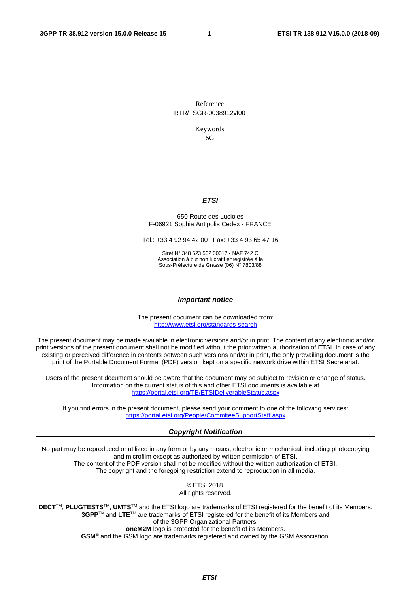Reference RTR/TSGR-0038912vf00

Keywords

 $5G$ 

# *ETSI*

#### 650 Route des Lucioles F-06921 Sophia Antipolis Cedex - FRANCE

Tel.: +33 4 92 94 42 00 Fax: +33 4 93 65 47 16

Siret N° 348 623 562 00017 - NAF 742 C Association à but non lucratif enregistrée à la Sous-Préfecture de Grasse (06) N° 7803/88

#### *Important notice*

The present document can be downloaded from: <http://www.etsi.org/standards-search>

The present document may be made available in electronic versions and/or in print. The content of any electronic and/or print versions of the present document shall not be modified without the prior written authorization of ETSI. In case of any existing or perceived difference in contents between such versions and/or in print, the only prevailing document is the print of the Portable Document Format (PDF) version kept on a specific network drive within ETSI Secretariat.

Users of the present document should be aware that the document may be subject to revision or change of status. Information on the current status of this and other ETSI documents is available at <https://portal.etsi.org/TB/ETSIDeliverableStatus.aspx>

If you find errors in the present document, please send your comment to one of the following services: <https://portal.etsi.org/People/CommiteeSupportStaff.aspx>

#### *Copyright Notification*

No part may be reproduced or utilized in any form or by any means, electronic or mechanical, including photocopying and microfilm except as authorized by written permission of ETSI. The content of the PDF version shall not be modified without the written authorization of ETSI. The copyright and the foregoing restriction extend to reproduction in all media.

> © ETSI 2018. All rights reserved.

**DECT**TM, **PLUGTESTS**TM, **UMTS**TM and the ETSI logo are trademarks of ETSI registered for the benefit of its Members. **3GPP**TM and **LTE**TM are trademarks of ETSI registered for the benefit of its Members and of the 3GPP Organizational Partners. **oneM2M** logo is protected for the benefit of its Members.

**GSM**® and the GSM logo are trademarks registered and owned by the GSM Association.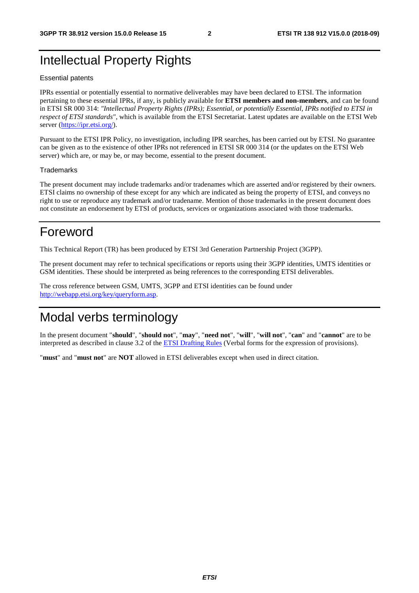# Intellectual Property Rights

#### Essential patents

IPRs essential or potentially essential to normative deliverables may have been declared to ETSI. The information pertaining to these essential IPRs, if any, is publicly available for **ETSI members and non-members**, and can be found in ETSI SR 000 314: *"Intellectual Property Rights (IPRs); Essential, or potentially Essential, IPRs notified to ETSI in respect of ETSI standards"*, which is available from the ETSI Secretariat. Latest updates are available on the ETSI Web server ([https://ipr.etsi.org/\)](https://ipr.etsi.org/).

Pursuant to the ETSI IPR Policy, no investigation, including IPR searches, has been carried out by ETSI. No guarantee can be given as to the existence of other IPRs not referenced in ETSI SR 000 314 (or the updates on the ETSI Web server) which are, or may be, or may become, essential to the present document.

#### **Trademarks**

The present document may include trademarks and/or tradenames which are asserted and/or registered by their owners. ETSI claims no ownership of these except for any which are indicated as being the property of ETSI, and conveys no right to use or reproduce any trademark and/or tradename. Mention of those trademarks in the present document does not constitute an endorsement by ETSI of products, services or organizations associated with those trademarks.

# Foreword

This Technical Report (TR) has been produced by ETSI 3rd Generation Partnership Project (3GPP).

The present document may refer to technical specifications or reports using their 3GPP identities, UMTS identities or GSM identities. These should be interpreted as being references to the corresponding ETSI deliverables.

The cross reference between GSM, UMTS, 3GPP and ETSI identities can be found under [http://webapp.etsi.org/key/queryform.asp.](http://webapp.etsi.org/key/queryform.asp)

# Modal verbs terminology

In the present document "**should**", "**should not**", "**may**", "**need not**", "**will**", "**will not**", "**can**" and "**cannot**" are to be interpreted as described in clause 3.2 of the [ETSI Drafting Rules](https://portal.etsi.org/Services/editHelp!/Howtostart/ETSIDraftingRules.aspx) (Verbal forms for the expression of provisions).

"**must**" and "**must not**" are **NOT** allowed in ETSI deliverables except when used in direct citation.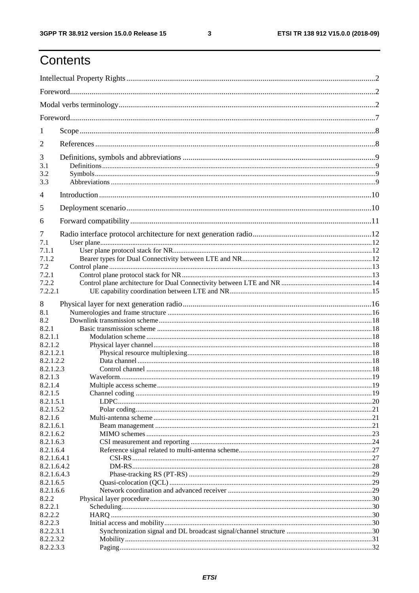$\mathbf{3}$ 

# Contents

| 1                          |  |  |  |
|----------------------------|--|--|--|
| 2                          |  |  |  |
| 3                          |  |  |  |
| 3.1                        |  |  |  |
| 3.2<br>3.3                 |  |  |  |
| $\overline{4}$             |  |  |  |
| 5                          |  |  |  |
| 6                          |  |  |  |
| 7                          |  |  |  |
| 7.1                        |  |  |  |
| 7.1.1                      |  |  |  |
| 7.1.2                      |  |  |  |
| 7.2                        |  |  |  |
| 7.2.1                      |  |  |  |
| 7.2.2                      |  |  |  |
| 7.2.2.1                    |  |  |  |
| 8                          |  |  |  |
| 8.1                        |  |  |  |
| 8.2                        |  |  |  |
| 8.2.1                      |  |  |  |
| 8.2.1.1                    |  |  |  |
| 8.2.1.2                    |  |  |  |
| 8.2.1.2.1                  |  |  |  |
| 8.2.1.2.2                  |  |  |  |
| 8.2.1.2.3                  |  |  |  |
| 8.2.1.3                    |  |  |  |
| 8.2.1.4                    |  |  |  |
| 8.2.1.5                    |  |  |  |
| 8.2.1.5.1                  |  |  |  |
| 8.2.1.5.2                  |  |  |  |
| 8.2.1.6                    |  |  |  |
| 8.2.1.6.1                  |  |  |  |
| 8.2.1.6.2                  |  |  |  |
| 8.2.1.6.3                  |  |  |  |
| 8.2.1.6.4                  |  |  |  |
| 8.2.1.6.4.1                |  |  |  |
| 8.2.1.6.4.2<br>8.2.1.6.4.3 |  |  |  |
| 8.2.1.6.5                  |  |  |  |
| 8.2.1.6.6                  |  |  |  |
| 8.2.2                      |  |  |  |
| 8.2.2.1                    |  |  |  |
| 8.2.2.2                    |  |  |  |
| 8.2.2.3                    |  |  |  |
| 8.2.2.3.1                  |  |  |  |
| 8.2.2.3.2                  |  |  |  |
| 8.2.2.3.3                  |  |  |  |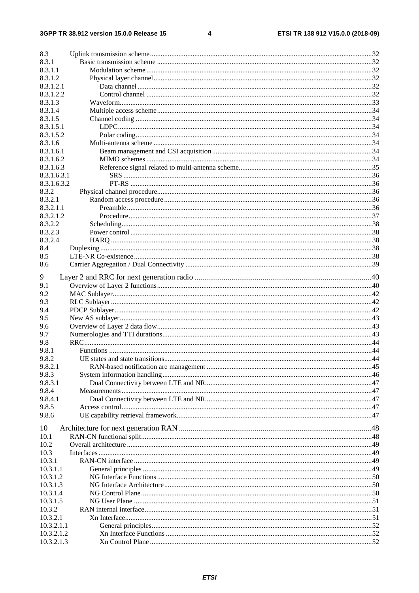#### $\overline{\mathbf{4}}$

| 8.3              |  |
|------------------|--|
| 8.3.1            |  |
| 8.3.1.1          |  |
| 8.3.1.2          |  |
| 8.3.1.2.1        |  |
| 8.3.1.2.2        |  |
| 8.3.1.3          |  |
| 8.3.1.4          |  |
| 8.3.1.5          |  |
| 8.3.1.5.1        |  |
| 8.3.1.5.2        |  |
| 8.3.1.6          |  |
| 8.3.1.6.1        |  |
| 8.3.1.6.2        |  |
| 8.3.1.6.3        |  |
| 8.3.1.6.3.1      |  |
| 8.3.1.6.3.2      |  |
| 8.3.2            |  |
| 8.3.2.1          |  |
| 8.3.2.1.1        |  |
| 8.3.2.1.2        |  |
| 8.3.2.2          |  |
| 8.3.2.3          |  |
| 8.3.2.4          |  |
| 8.4              |  |
| 8.5              |  |
| 8.6              |  |
|                  |  |
| 9                |  |
| 9.1              |  |
| 9.2              |  |
| 9.3              |  |
| 9.4              |  |
| 9.5              |  |
| 9.6              |  |
| 9.7              |  |
| 9.8              |  |
| 9.8.1            |  |
| 9.8.2            |  |
| 9.8.2.1          |  |
| 9.8.3            |  |
| 9.8.3.1          |  |
| 9.8.4            |  |
| 9.8.4.1<br>9.8.5 |  |
|                  |  |
| 9.8.6            |  |
| 10               |  |
| 10.1             |  |
| 10.2             |  |
| 10.3             |  |
| 10.3.1           |  |
| 10.3.1.1         |  |
| 10.3.1.2         |  |
| 10.3.1.3         |  |
| 10.3.1.4         |  |
| 10.3.1.5         |  |
| 10.3.2           |  |
| 10.3.2.1         |  |
| 10.3.2.1.1       |  |
| 10.3.2.1.2       |  |
| 10.3.2.1.3       |  |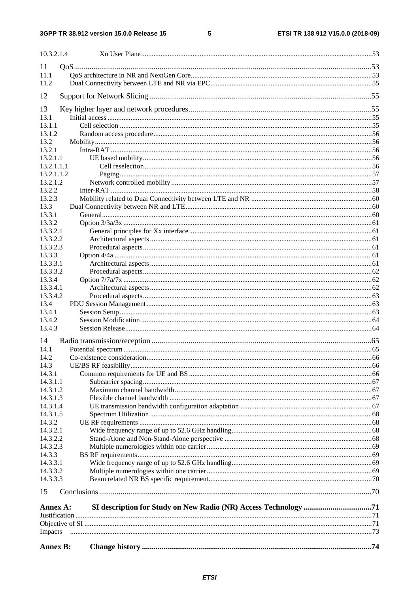$\overline{\phantom{0}}$ 

| 10.3.2.1.4           |  |  |
|----------------------|--|--|
| 11                   |  |  |
| 11.1                 |  |  |
| 11.2                 |  |  |
|                      |  |  |
| 12                   |  |  |
| 13                   |  |  |
| 13.1                 |  |  |
| 13.1.1               |  |  |
| 13.1.2               |  |  |
| 13.2<br>13.2.1       |  |  |
| 13.2.1.1             |  |  |
| 13.2.1.1.1           |  |  |
| 13.2.1.1.2           |  |  |
| 13.2.1.2             |  |  |
| 13.2.2               |  |  |
| 13.2.3               |  |  |
| 13.3                 |  |  |
| 13.3.1               |  |  |
| 13.3.2               |  |  |
| 13.3.2.1<br>13.3.2.2 |  |  |
| 13.3.2.3             |  |  |
| 13.3.3               |  |  |
| 13.3.3.1             |  |  |
| 13.3.3.2             |  |  |
| 13.3.4               |  |  |
| 13.3.4.1             |  |  |
| 13.3.4.2             |  |  |
| 13.4<br>13.4.1       |  |  |
| 13.4.2               |  |  |
| 13.4.3               |  |  |
|                      |  |  |
| 14                   |  |  |
| 14.1<br>14.2         |  |  |
| 14.3                 |  |  |
| 14.3.1               |  |  |
| 14.3.1.1             |  |  |
| 14.3.1.2             |  |  |
| 14.3.1.3             |  |  |
| 14.3.1.4             |  |  |
| 14.3.1.5             |  |  |
| 14.3.2               |  |  |
| 14.3.2.1<br>14.3.2.2 |  |  |
| 14.3.2.3             |  |  |
| 14.3.3               |  |  |
| 14.3.3.1             |  |  |
| 14.3.3.2             |  |  |
| 14.3.3.3             |  |  |
| 15                   |  |  |
| Annex A:             |  |  |
|                      |  |  |
|                      |  |  |
| Impacts              |  |  |
| <b>Annex B:</b>      |  |  |
|                      |  |  |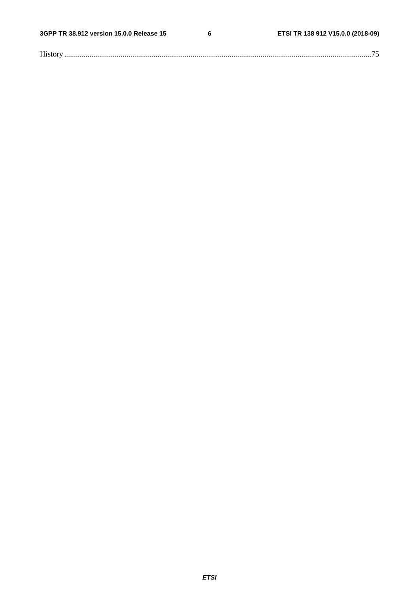$\bf 6$ 

| <b>TT'</b> |
|------------|
|------------|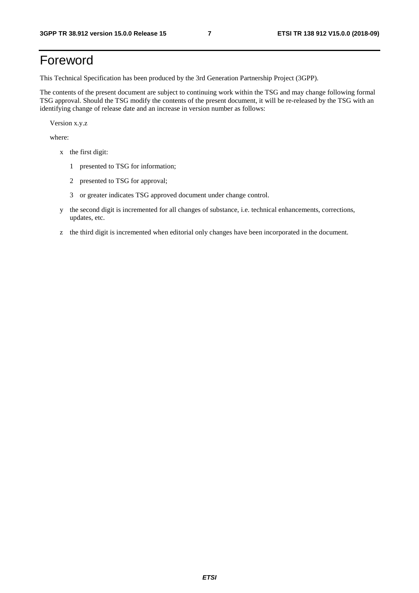# Foreword

This Technical Specification has been produced by the 3rd Generation Partnership Project (3GPP).

The contents of the present document are subject to continuing work within the TSG and may change following formal TSG approval. Should the TSG modify the contents of the present document, it will be re-released by the TSG with an identifying change of release date and an increase in version number as follows:

Version x.y.z

where:

- x the first digit:
	- 1 presented to TSG for information;
	- 2 presented to TSG for approval;
	- 3 or greater indicates TSG approved document under change control.
- y the second digit is incremented for all changes of substance, i.e. technical enhancements, corrections, updates, etc.
- z the third digit is incremented when editorial only changes have been incorporated in the document.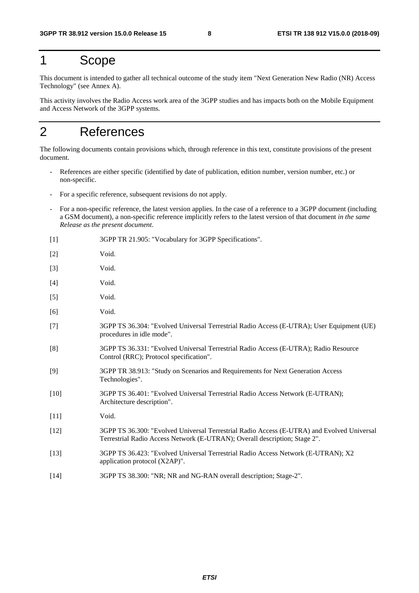# 1 Scope

This document is intended to gather all technical outcome of the study item "Next Generation New Radio (NR) Access Technology" (see Annex A).

This activity involves the Radio Access work area of the 3GPP studies and has impacts both on the Mobile Equipment and Access Network of the 3GPP systems.

# 2 References

The following documents contain provisions which, through reference in this text, constitute provisions of the present document.

- References are either specific (identified by date of publication, edition number, version number, etc.) or non-specific.
- For a specific reference, subsequent revisions do not apply.
- For a non-specific reference, the latest version applies. In the case of a reference to a 3GPP document (including a GSM document), a non-specific reference implicitly refers to the latest version of that document *in the same Release as the present document*.
- [1] 3GPP TR 21.905: "Vocabulary for 3GPP Specifications".
- [2] Void. [3] Void. [4] Void. [5] Void. [6] Void. [7] 3GPP TS 36.304: "Evolved Universal Terrestrial Radio Access (E-UTRA); User Equipment (UE) procedures in idle mode". [8] 3GPP TS 36.331: "Evolved Universal Terrestrial Radio Access (E-UTRA); Radio Resource Control (RRC); Protocol specification". [9] 3GPP TR 38.913: "Study on Scenarios and Requirements for Next Generation Access Technologies". [10] 3GPP TS 36.401: "Evolved Universal Terrestrial Radio Access Network (E-UTRAN); Architecture description". [11] **Void.** [12] 3GPP TS 36.300: "Evolved Universal Terrestrial Radio Access (E-UTRA) and Evolved Universal Terrestrial Radio Access Network (E-UTRAN); Overall description; Stage 2". [13] 3GPP TS 36.423: "Evolved Universal Terrestrial Radio Access Network (E-UTRAN); X2 application protocol (X2AP)". [14] 3GPP TS 38.300: "NR; NR and NG-RAN overall description; Stage-2".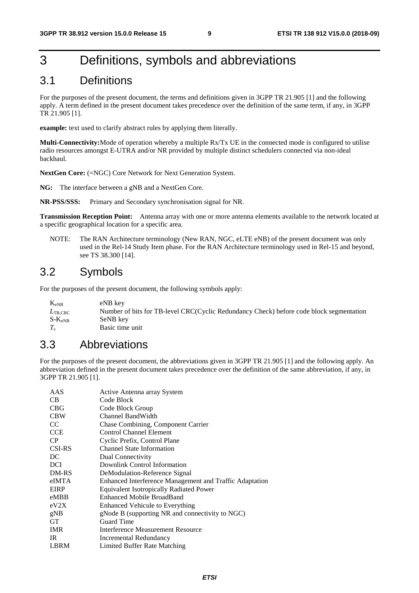# 3 Definitions, symbols and abbreviations

# 3.1 Definitions

For the purposes of the present document, the terms and definitions given in 3GPP TR 21.905 [1] and the following apply. A term defined in the present document takes precedence over the definition of the same term, if any, in 3GPP TR 21.905 [1].

**example:** text used to clarify abstract rules by applying them literally.

**Multi-Connectivity:** Mode of operation whereby a multiple Rx/Tx UE in the connected mode is configured to utilise radio resources amongst E-UTRA and/or NR provided by multiple distinct schedulers connected via non-ideal backhaul.

**NextGen Core:** (=NGC) Core Network for Next Generation System.

**NG:** The interface between a gNB and a NextGen Core.

**NR-PSS/SSS:** Primary and Secondary synchronisation signal for NR.

**Transmission Reception Point:** Antenna array with one or more antenna elements available to the network located at a specific geographical location for a specific area.

NOTE: The RAN Architecture terminology (New RAN, NGC, eLTE eNB) of the present document was only used in the Rel-14 Study Item phase. For the RAN Architecture terminology used in Rel-15 and beyond, see TS 38.300 [14].

# 3.2 Symbols

For the purposes of the present document, the following symbols apply:

| $K_{eNB}$                  | eNB key                                                                                 |
|----------------------------|-----------------------------------------------------------------------------------------|
| $L_{\text{TB}.\text{CRC}}$ | Number of bits for TB-level CRC(Cyclic Redundancy Check) before code block segmentation |
| $S-K_{eNB}$                | SeNB key                                                                                |
|                            | Basic time unit                                                                         |

# 3.3 Abbreviations

For the purposes of the present document, the abbreviations given in 3GPP TR 21.905 [1] and the following apply. An abbreviation defined in the present document takes precedence over the definition of the same abbreviation, if any, in 3GPP TR 21.905 [1].

| Active Antenna array System                             |
|---------------------------------------------------------|
| Code Block                                              |
| Code Block Group                                        |
| Channel BandWidth                                       |
| Chase Combining, Component Carrier                      |
| Control Channel Element                                 |
| Cyclic Prefix, Control Plane                            |
| <b>Channel State Information</b>                        |
| Dual Connectivity                                       |
| Downlink Control Information                            |
| DeModulation-Reference Signal                           |
| Enhanced Interference Management and Traffic Adaptation |
| <b>Equivalent Isotropically Radiated Power</b>          |
| <b>Enhanced Mobile BroadBand</b>                        |
| <b>Enhanced Vehicule to Everything</b>                  |
| gNode B (supporting NR and connectivity to NGC)         |
| <b>Guard Time</b>                                       |
| Interference Measurement Resource                       |
| Incremental Redundancy                                  |
| Limited Buffer Rate Matching                            |
|                                                         |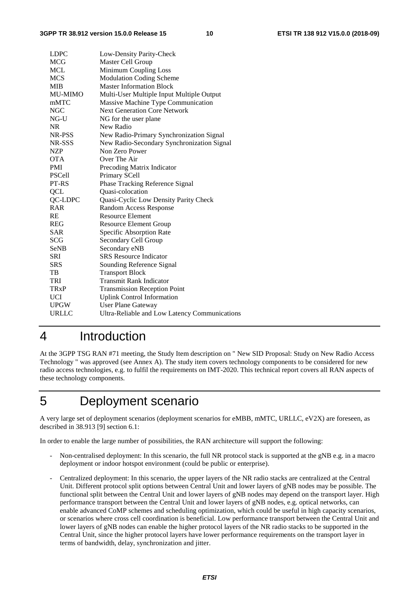| <b>LDPC</b>            | Low-Density Parity-Check                      |
|------------------------|-----------------------------------------------|
| <b>MCG</b>             | Master Cell Group                             |
| <b>MCL</b>             | Minimum Coupling Loss                         |
| <b>MCS</b>             | <b>Modulation Coding Scheme</b>               |
| <b>MIB</b>             | <b>Master Information Block</b>               |
| <b>MU-MIMO</b>         | Multi-User Multiple Input Multiple Output     |
| mMTC                   | Massive Machine Type Communication            |
| <b>NGC</b>             | <b>Next Generation Core Network</b>           |
| NG-U                   | NG for the user plane                         |
| <b>NR</b>              | New Radio                                     |
| NR-PSS                 | New Radio-Primary Synchronization Signal      |
| NR-SSS                 | New Radio-Secondary Synchronization Signal    |
| NZP                    | Non Zero Power                                |
| <b>OTA</b>             | Over The Air                                  |
| <b>PMI</b>             | Precoding Matrix Indicator                    |
| <b>PSCell</b>          | Primary SCell                                 |
| PT-RS                  | Phase Tracking Reference Signal               |
| QCL                    | Quasi-colocation                              |
| QC-LDPC                | Quasi-Cyclic Low Density Parity Check         |
| <b>RAR</b>             | Random Access Response                        |
| RE                     | <b>Resource Element</b>                       |
| <b>REG</b>             | <b>Resource Element Group</b>                 |
| <b>SAR</b>             | Specific Absorption Rate                      |
| <b>SCG</b>             | Secondary Cell Group                          |
| SeNB                   | Secondary eNB                                 |
| <b>SRI</b>             | <b>SRS</b> Resource Indicator                 |
| <b>SRS</b>             | Sounding Reference Signal                     |
| TB                     | <b>Transport Block</b>                        |
| TRI                    | <b>Transmit Rank Indicator</b>                |
| <b>TR<sub>x</sub>P</b> | <b>Transmission Reception Point</b>           |
| <b>UCI</b>             | <b>Uplink Control Information</b>             |
| <b>UPGW</b>            | <b>User Plane Gateway</b>                     |
| URLLC                  | Ultra-Reliable and Low Latency Communications |

# 4 Introduction

At the 3GPP TSG RAN #71 meeting, the Study Item description on " New SID Proposal: Study on New Radio Access Technology " was approved (see Annex A). The study item covers technology components to be considered for new radio access technologies, e.g. to fulfil the requirements on IMT-2020. This technical report covers all RAN aspects of these technology components.

# 5 Deployment scenario

A very large set of deployment scenarios (deployment scenarios for eMBB, mMTC, URLLC, eV2X) are foreseen, as described in 38.913 [9] section 6.1:

In order to enable the large number of possibilities, the RAN architecture will support the following:

- Non-centralised deployment: In this scenario, the full NR protocol stack is supported at the gNB e.g. in a macro deployment or indoor hotspot environment (could be public or enterprise).
- Centralized deployment: In this scenario, the upper layers of the NR radio stacks are centralized at the Central Unit. Different protocol split options between Central Unit and lower layers of gNB nodes may be possible. The functional split between the Central Unit and lower layers of gNB nodes may depend on the transport layer. High performance transport between the Central Unit and lower layers of gNB nodes, e.g. optical networks, can enable advanced CoMP schemes and scheduling optimization, which could be useful in high capacity scenarios, or scenarios where cross cell coordination is beneficial. Low performance transport between the Central Unit and lower layers of gNB nodes can enable the higher protocol layers of the NR radio stacks to be supported in the Central Unit, since the higher protocol layers have lower performance requirements on the transport layer in terms of bandwidth, delay, synchronization and jitter.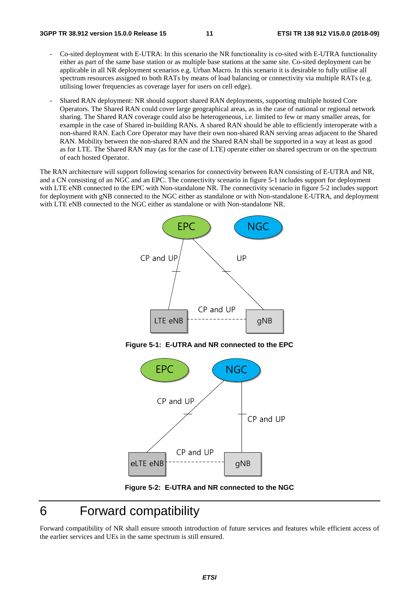#### **3GPP TR 38.912 version 15.0.0 Release 15 11 ETSI TR 138 912 V15.0.0 (2018-09)**

- Co-sited deployment with E-UTRA: In this scenario the NR functionality is co-sited with E-UTRA functionality either as part of the same base station or as multiple base stations at the same site. Co-sited deployment can be applicable in all NR deployment scenarios e.g. Urban Macro. In this scenario it is desirable to fully utilise all spectrum resources assigned to both RATs by means of load balancing or connectivity via multiple RATs (e.g. utilising lower frequencies as coverage layer for users on cell edge).
- Shared RAN deployment: NR should support shared RAN deployments, supporting multiple hosted Core Operators. The Shared RAN could cover large geographical areas, as in the case of national or regional network sharing. The Shared RAN coverage could also be heterogeneous, i.e. limited to few or many smaller areas, for example in the case of Shared in-building RANs. A shared RAN should be able to efficiently interoperate with a non-shared RAN. Each Core Operator may have their own non-shared RAN serving areas adjacent to the Shared RAN. Mobility between the non-shared RAN and the Shared RAN shall be supported in a way at least as good as for LTE. The Shared RAN may (as for the case of LTE) operate either on shared spectrum or on the spectrum of each hosted Operator.

The RAN architecture will support following scenarios for connectivity between RAN consisting of E-UTRA and NR, and a CN consisting of an NGC and an EPC. The connectivity scenario in figure 5-1 includes support for deployment with LTE eNB connected to the EPC with Non-standalone NR. The connectivity scenario in figure 5-2 includes support for deployment with gNB connected to the NGC either as standalone or with Non-standalone E-UTRA, and deployment with LTE eNB connected to the NGC either as standalone or with Non-standalone NR.



**Figure 5-1: E-UTRA and NR connected to the EPC** 



**Figure 5-2: E-UTRA and NR connected to the NGC** 

# 6 Forward compatibility

Forward compatibility of NR shall ensure smooth introduction of future services and features while efficient access of the earlier services and UEs in the same spectrum is still ensured.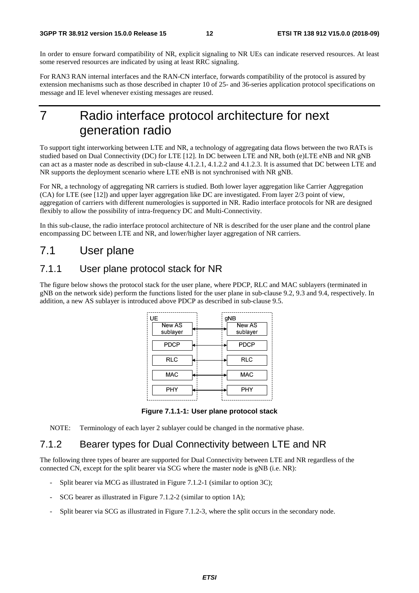In order to ensure forward compatibility of NR, explicit signaling to NR UEs can indicate reserved resources. At least some reserved resources are indicated by using at least RRC signaling.

For RAN3 RAN internal interfaces and the RAN-CN interface, forwards compatibility of the protocol is assured by extension mechanisms such as those described in chapter 10 of 25- and 36-series application protocol specifications on message and IE level whenever existing messages are reused.

# 7 Radio interface protocol architecture for next generation radio

To support tight interworking between LTE and NR, a technology of aggregating data flows between the two RATs is studied based on Dual Connectivity (DC) for LTE [12]. In DC between LTE and NR, both (e)LTE eNB and NR gNB can act as a master node as described in sub-clause 4.1.2.1, 4.1.2.2 and 4.1.2.3. It is assumed that DC between LTE and NR supports the deployment scenario where LTE eNB is not synchronised with NR gNB.

For NR, a technology of aggregating NR carriers is studied. Both lower layer aggregation like Carrier Aggregation (CA) for LTE (see [12]) and upper layer aggregation like DC are investigated. From layer 2/3 point of view, aggregation of carriers with different numerologies is supported in NR. Radio interface protocols for NR are designed flexibly to allow the possibility of intra-frequency DC and Multi-Connectivity.

In this sub-clause, the radio interface protocol architecture of NR is described for the user plane and the control plane encompassing DC between LTE and NR, and lower/higher layer aggregation of NR carriers.

# 7.1 User plane

# 7.1.1 User plane protocol stack for NR

The figure below shows the protocol stack for the user plane, where PDCP, RLC and MAC sublayers (terminated in gNB on the network side) perform the functions listed for the user plane in sub-clause 9.2, 9.3 and 9.4, respectively. In addition, a new AS sublayer is introduced above PDCP as described in sub-clause 9.5.



**Figure 7.1.1-1: User plane protocol stack** 

NOTE: Terminology of each layer 2 sublayer could be changed in the normative phase.

# 7.1.2 Bearer types for Dual Connectivity between LTE and NR

The following three types of bearer are supported for Dual Connectivity between LTE and NR regardless of the connected CN, except for the split bearer via SCG where the master node is gNB (i.e. NR):

- Split bearer via MCG as illustrated in Figure 7.1.2-1 (similar to option 3C);
- SCG bearer as illustrated in Figure 7.1.2-2 (similar to option 1A);
- Split bearer via SCG as illustrated in Figure 7.1.2-3, where the split occurs in the secondary node.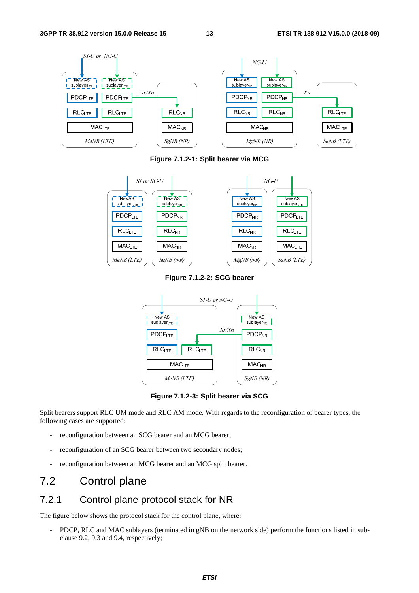

**Figure 7.1.2-1: Split bearer via MCG** 



**Figure 7.1.2-2: SCG bearer** 



**Figure 7.1.2-3: Split bearer via SCG** 

Split bearers support RLC UM mode and RLC AM mode. With regards to the reconfiguration of bearer types, the following cases are supported:

- reconfiguration between an SCG bearer and an MCG bearer;
- reconfiguration of an SCG bearer between two secondary nodes;
- reconfiguration between an MCG bearer and an MCG split bearer.

# 7.2 Control plane

# 7.2.1 Control plane protocol stack for NR

The figure below shows the protocol stack for the control plane, where:

- PDCP, RLC and MAC sublayers (terminated in gNB on the network side) perform the functions listed in subclause 9.2, 9.3 and 9.4, respectively;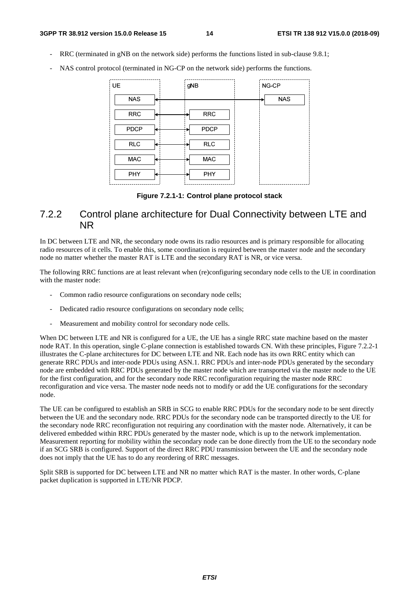- RRC (terminated in gNB on the network side) performs the functions listed in sub-clause 9.8.1;
- NAS control protocol (terminated in NG-CP on the network side) performs the functions.

| <b>UE</b>   | gNB         | NG-CP      |
|-------------|-------------|------------|
| <b>NAS</b>  |             | <b>NAS</b> |
| <b>RRC</b>  | <b>RRC</b>  |            |
| <b>PDCP</b> | <b>PDCP</b> |            |
| <b>RLC</b>  | <b>RLC</b>  |            |
| MAC         | MAC         |            |
| <b>PHY</b>  | <b>PHY</b>  |            |

**Figure 7.2.1-1: Control plane protocol stack** 

# 7.2.2 Control plane architecture for Dual Connectivity between LTE and NR

In DC between LTE and NR, the secondary node owns its radio resources and is primary responsible for allocating radio resources of it cells. To enable this, some coordination is required between the master node and the secondary node no matter whether the master RAT is LTE and the secondary RAT is NR, or vice versa.

The following RRC functions are at least relevant when (re)configuring secondary node cells to the UE in coordination with the master node:

- Common radio resource configurations on secondary node cells;
- Dedicated radio resource configurations on secondary node cells;
- Measurement and mobility control for secondary node cells.

When DC between LTE and NR is configured for a UE, the UE has a single RRC state machine based on the master node RAT. In this operation, single C-plane connection is established towards CN. With these principles, Figure 7.2.2-1 illustrates the C-plane architectures for DC between LTE and NR. Each node has its own RRC entity which can generate RRC PDUs and inter-node PDUs using ASN.1. RRC PDUs and inter-node PDUs generated by the secondary node are embedded with RRC PDUs generated by the master node which are transported via the master node to the UE for the first configuration, and for the secondary node RRC reconfiguration requiring the master node RRC reconfiguration and vice versa. The master node needs not to modify or add the UE configurations for the secondary node.

The UE can be configured to establish an SRB in SCG to enable RRC PDUs for the secondary node to be sent directly between the UE and the secondary node. RRC PDUs for the secondary node can be transported directly to the UE for the secondary node RRC reconfiguration not requiring any coordination with the master node. Alternatively, it can be delivered embedded within RRC PDUs generated by the master node, which is up to the network implementation. Measurement reporting for mobility within the secondary node can be done directly from the UE to the secondary node if an SCG SRB is configured. Support of the direct RRC PDU transmission between the UE and the secondary node does not imply that the UE has to do any reordering of RRC messages.

Split SRB is supported for DC between LTE and NR no matter which RAT is the master. In other words, C-plane packet duplication is supported in LTE/NR PDCP.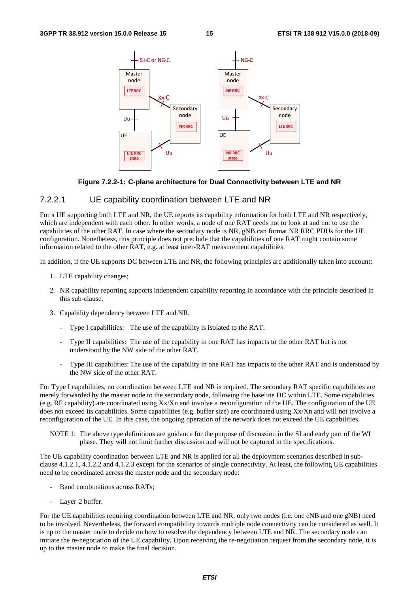

#### **Figure 7.2.2-1: C-plane architecture for Dual Connectivity between LTE and NR**

### 7.2.2.1 UE capability coordination between LTE and NR

For a UE supporting both LTE and NR, the UE reports its capability information for both LTE and NR respectively, which are independent with each other. In other words, a node of one RAT needs not to look at and not to use the capabilities of the other RAT. In case where the secondary node is NR, gNB can format NR RRC PDUs for the UE configuration. Nonetheless, this principle does not preclude that the capabilities of one RAT might contain some information related to the other RAT, e.g. at least inter-RAT measurement capabilities.

In addition, if the UE supports DC between LTE and NR, the following principles are additionally taken into account:

- 1. LTE capability changes;
- 2. NR capability reporting supports independent capability reporting in accordance with the principle described in this sub-clause.
- 3. Capability dependency between LTE and NR.
	- Type I capabilities: The use of the capability is isolated to the RAT.
	- Type II capabilities: The use of the capability in one RAT has impacts to the other RAT but is not understood by the NW side of the other RAT.
	- Type III capabilities: The use of the capability in one RAT has impacts to the other RAT and is understood by the NW side of the other RAT.

For Type I capabilities, no coordination between LTE and NR is required. The secondary RAT specific capabilities are merely forwarded by the master node to the secondary node, following the baseline DC within LTE. Some capabilities (e.g. RF capability) are coordinated using Xx/Xn and involve a reconfiguration of the UE. The configuration of the UE does not exceed its capabilities. Some capabilities (e.g. buffer size) are coordinated using Xx/Xn and will not involve a reconfiguration of the UE. In this case, the ongoing operation of the network does not exceed the UE capabilities.

NOTE 1: The above type definitions are guidance for the purpose of discussion in the SI and early part of the WI phase. They will not limit further discussion and will not be captured in the specifications.

The UE capability coordination between LTE and NR is applied for all the deployment scenarios described in subclause 4.1.2.1, 4.1.2.2 and 4.1.2.3 except for the scenarios of single connectivity. At least, the following UE capabilities need to be coordinated across the master node and the secondary node:

- Band combinations across RATs;
- Layer-2 buffer.

For the UE capabilities requiring coordination between LTE and NR, only two nodes (i.e. one eNB and one gNB) need to be involved. Nevertheless, the forward compatibility towards multiple node connectivity can be considered as well. It is up to the master node to decide on how to resolve the dependency between LTE and NR. The secondary node can initiate the re-negotiation of the UE capability. Upon receiving the re-negotiation request from the secondary node, it is up to the master node to make the final decision.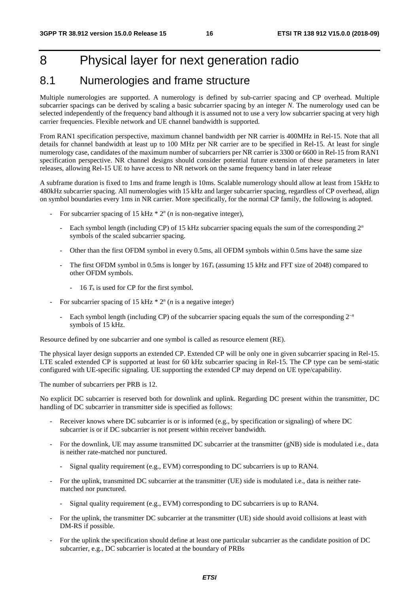# 8 Physical layer for next generation radio

# 8.1 Numerologies and frame structure

Multiple numerologies are supported. A numerology is defined by sub-carrier spacing and CP overhead. Multiple subcarrier spacings can be derived by scaling a basic subcarrier spacing by an integer *N*. The numerology used can be selected independently of the frequency band although it is assumed not to use a very low subcarrier spacing at very high carrier frequencies. Flexible network and UE channel bandwidth is supported.

From RAN1 specification perspective, maximum channel bandwidth per NR carrier is 400MHz in Rel-15. Note that all details for channel bandwidth at least up to 100 MHz per NR carrier are to be specified in Rel-15. At least for single numerology case, candidates of the maximum number of subcarriers per NR carrier is 3300 or 6600 in Rel-15 from RAN1 specification perspective. NR channel designs should consider potential future extension of these parameters in later releases, allowing Rel-15 UE to have access to NR network on the same frequency band in later release

A subframe duration is fixed to 1ms and frame length is 10ms. Scalable numerology should allow at least from 15kHz to 480kHz subcarrier spacing. All numerologies with 15 kHz and larger subcarrier spacing, regardless of CP overhead, align on symbol boundaries every 1ms in NR carrier. More specifically, for the normal CP family, the following is adopted.

- For subcarrier spacing of 15 kHz  $* 2<sup>n</sup>$  (*n* is non-negative integer),
	- Each symbol length (including CP) of 15 kHz subcarrier spacing equals the sum of the corresponding  $2^n$ symbols of the scaled subcarrier spacing.
	- Other than the first OFDM symbol in every 0.5ms, all OFDM symbols within 0.5ms have the same size
	- The first OFDM symbol in 0.5ms is longer by  $16T_s$  (assuming 15 kHz and FFT size of 2048) compared to other OFDM symbols.
		- 16 *T*s is used for CP for the first symbol.
- For subcarrier spacing of 15 kHz  $* 2<sup>n</sup>$  (*n* is a negative integer)
	- Each symbol length (including CP) of the subcarrier spacing equals the sum of the corresponding 2<sup>−</sup>*<sup>n</sup>* symbols of 15 kHz.

Resource defined by one subcarrier and one symbol is called as resource element (RE).

The physical layer design supports an extended CP. Extended CP will be only one in given subcarrier spacing in Rel-15. LTE scaled extended CP is supported at least for 60 kHz subcarrier spacing in Rel-15. The CP type can be semi-static configured with UE-specific signaling. UE supporting the extended CP may depend on UE type/capability.

The number of subcarriers per PRB is 12.

No explicit DC subcarrier is reserved both for downlink and uplink. Regarding DC present within the transmitter, DC handling of DC subcarrier in transmitter side is specified as follows:

- Receiver knows where DC subcarrier is or is informed (e.g., by specification or signaling) of where DC subcarrier is or if DC subcarrier is not present within receiver bandwidth.
- For the downlink, UE may assume transmitted DC subcarrier at the transmitter (gNB) side is modulated i.e., data is neither rate-matched nor punctured.
	- Signal quality requirement (e.g., EVM) corresponding to DC subcarriers is up to RAN4.
- For the uplink, transmitted DC subcarrier at the transmitter (UE) side is modulated i.e., data is neither ratematched nor punctured.
	- Signal quality requirement (e.g.,  $EVM$ ) corresponding to DC subcarriers is up to RAN4.
- For the uplink, the transmitter DC subcarrier at the transmitter (UE) side should avoid collisions at least with DM-RS if possible.
- For the uplink the specification should define at least one particular subcarrier as the candidate position of DC subcarrier, e.g., DC subcarrier is located at the boundary of PRBs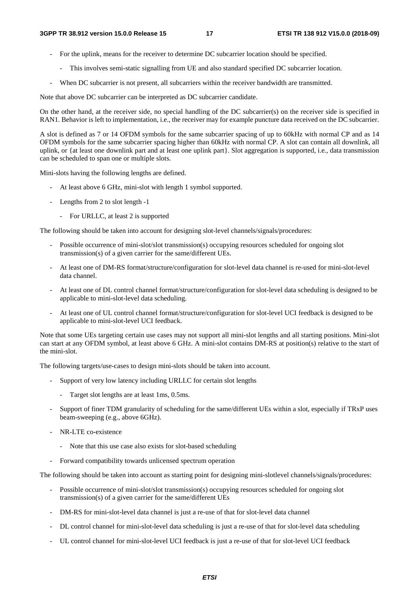- For the uplink, means for the receiver to determine DC subcarrier location should be specified.
	- This involves semi-static signalling from UE and also standard specified DC subcarrier location.
- When DC subcarrier is not present, all subcarriers within the receiver bandwidth are transmitted.

Note that above DC subcarrier can be interpreted as DC subcarrier candidate.

On the other hand, at the receiver side, no special handling of the DC subcarrier(s) on the receiver side is specified in RAN1. Behavior is left to implementation, i.e., the receiver may for example puncture data received on the DC subcarrier.

A slot is defined as 7 or 14 OFDM symbols for the same subcarrier spacing of up to 60kHz with normal CP and as 14 OFDM symbols for the same subcarrier spacing higher than 60kHz with normal CP. A slot can contain all downlink, all uplink, or {at least one downlink part and at least one uplink part}. Slot aggregation is supported, i.e., data transmission can be scheduled to span one or multiple slots.

Mini-slots having the following lengths are defined.

- At least above 6 GHz, mini-slot with length 1 symbol supported.
- Lengths from 2 to slot length -1
	- For URLLC, at least 2 is supported

The following should be taken into account for designing slot-level channels/signals/procedures:

- Possible occurrence of mini-slot/slot transmission(s) occupying resources scheduled for ongoing slot transmission(s) of a given carrier for the same/different UEs.
- At least one of DM-RS format/structure/configuration for slot-level data channel is re-used for mini-slot-level data channel.
- At least one of DL control channel format/structure/configuration for slot-level data scheduling is designed to be applicable to mini-slot-level data scheduling.
- At least one of UL control channel format/structure/configuration for slot-level UCI feedback is designed to be applicable to mini-slot-level UCI feedback.

Note that some UEs targeting certain use cases may not support all mini-slot lengths and all starting positions. Mini-slot can start at any OFDM symbol, at least above 6 GHz. A mini-slot contains DM-RS at position(s) relative to the start of the mini-slot.

The following targets/use-cases to design mini-slots should be taken into account.

- Support of very low latency including URLLC for certain slot lengths
	- Target slot lengths are at least 1ms, 0.5ms.
- Support of finer TDM granularity of scheduling for the same/different UEs within a slot, especially if TRxP uses beam-sweeping (e.g., above 6GHz).
- NR-LTE co-existence
	- Note that this use case also exists for slot-based scheduling
- Forward compatibility towards unlicensed spectrum operation

The following should be taken into account as starting point for designing mini-slotlevel channels/signals/procedures:

- Possible occurrence of mini-slot/slot transmission(s) occupying resources scheduled for ongoing slot transmission(s) of a given carrier for the same/different UEs
- DM-RS for mini-slot-level data channel is just a re-use of that for slot-level data channel
- DL control channel for mini-slot-level data scheduling is just a re-use of that for slot-level data scheduling
- UL control channel for mini-slot-level UCI feedback is just a re-use of that for slot-level UCI feedback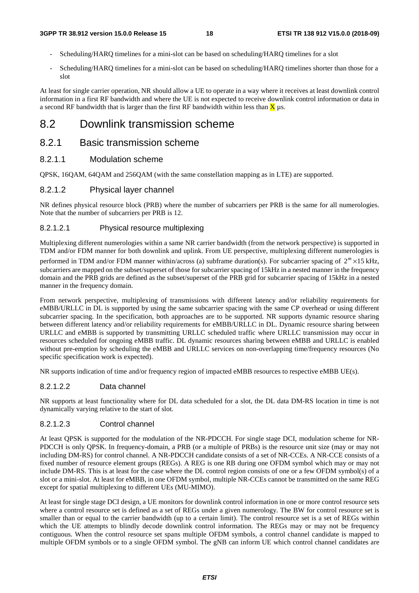- Scheduling/HARQ timelines for a mini-slot can be based on scheduling/HARQ timelines for a slot
- Scheduling/HARQ timelines for a mini-slot can be based on scheduling/HARQ timelines shorter than those for a slot

At least for single carrier operation, NR should allow a UE to operate in a way where it receives at least downlink control information in a first RF bandwidth and where the UE is not expected to receive downlink control information or data in a second RF bandwidth that is larger than the first RF bandwidth within less than  $\bar{X}$  us.

# 8.2 Downlink transmission scheme

# 8.2.1 Basic transmission scheme

# 8.2.1.1 Modulation scheme

QPSK, 16QAM, 64QAM and 256QAM (with the same constellation mapping as in LTE) are supported.

### 8.2.1.2 Physical layer channel

NR defines physical resource block (PRB) where the number of subcarriers per PRB is the same for all numerologies. Note that the number of subcarriers per PRB is 12.

# 8.2.1.2.1 Physical resource multiplexing

Multiplexing different numerologies within a same NR carrier bandwidth (from the network perspective) is supported in TDM and/or FDM manner for both downlink and uplink. From UE perspective, multiplexing different numerologies is performed in TDM and/or FDM manner within/across (a) subframe duration(s). For subcarrier spacing of  $2^m \times 15$  kHz, subcarriers are mapped on the subset/superset of those for subcarrier spacing of 15kHz in a nested manner in the frequency domain and the PRB grids are defined as the subset/superset of the PRB grid for subcarrier spacing of 15kHz in a nested manner in the frequency domain.

From network perspective, multiplexing of transmissions with different latency and/or reliability requirements for eMBB/URLLC in DL is supported by using the same subcarrier spacing with the same CP overhead or using different subcarrier spacing. In the specification, both approaches are to be supported. NR supports dynamic resource sharing between different latency and/or reliability requirements for eMBB/URLLC in DL. Dynamic resource sharing between URLLC and eMBB is supported by transmitting URLLC scheduled traffic where URLLC transmission may occur in resources scheduled for ongoing eMBB traffic. DL dynamic resources sharing between eMBB and URLLC is enabled without pre-emption by scheduling the eMBB and URLLC services on non-overlapping time/frequency resources (No specific specification work is expected).

NR supports indication of time and/or frequency region of impacted eMBB resources to respective eMBB UE(s).

### 8.2.1.2.2 Data channel

NR supports at least functionality where for DL data scheduled for a slot, the DL data DM-RS location in time is not dynamically varying relative to the start of slot.

#### 8.2.1.2.3 Control channel

At least QPSK is supported for the modulation of the NR-PDCCH. For single stage DCI, modulation scheme for NR-PDCCH is only QPSK. In frequency-domain, a PRB (or a multiple of PRBs) is the resource unit size (may or may not including DM-RS) for control channel. A NR-PDCCH candidate consists of a set of NR-CCEs. A NR-CCE consists of a fixed number of resource element groups (REGs). A REG is one RB during one OFDM symbol which may or may not include DM-RS. This is at least for the case where the DL control region consists of one or a few OFDM symbol(s) of a slot or a mini-slot. At least for eMBB, in one OFDM symbol, multiple NR-CCEs cannot be transmitted on the same REG except for spatial multiplexing to different UEs (MU-MIMO).

At least for single stage DCI design, a UE monitors for downlink control information in one or more control resource sets where a control resource set is defined as a set of REGs under a given numerology. The BW for control resource set is smaller than or equal to the carrier bandwidth (up to a certain limit). The control resource set is a set of REGs within which the UE attempts to blindly decode downlink control information. The REGs may or may not be frequency contiguous. When the control resource set spans multiple OFDM symbols, a control channel candidate is mapped to multiple OFDM symbols or to a single OFDM symbol. The gNB can inform UE which control channel candidates are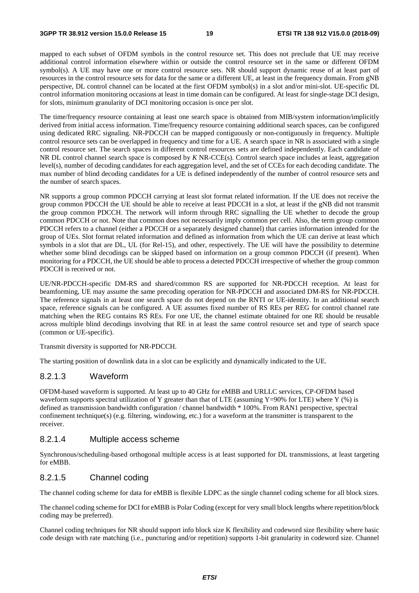mapped to each subset of OFDM symbols in the control resource set. This does not preclude that UE may receive additional control information elsewhere within or outside the control resource set in the same or different OFDM symbol(s). A UE may have one or more control resource sets. NR should support dynamic reuse of at least part of resources in the control resource sets for data for the same or a different UE, at least in the frequency domain. From gNB perspective, DL control channel can be located at the first OFDM symbol(s) in a slot and/or mini-slot. UE-specific DL control information monitoring occasions at least in time domain can be configured. At least for single-stage DCI design, for slots, minimum granularity of DCI monitoring occasion is once per slot.

The time/frequency resource containing at least one search space is obtained from MIB/system information/implicitly derived from initial access information. Time/frequency resource containing additional search spaces, can be configured using dedicated RRC signaling. NR-PDCCH can be mapped contiguously or non-contiguously in frequency. Multiple control resource sets can be overlapped in frequency and time for a UE. A search space in NR is associated with a single control resource set. The search spaces in different control resources sets are defined independently. Each candidate of NR DL control channel search space is composed by *K* NR-CCE(s). Control search space includes at least, aggregation level(s), number of decoding candidates for each aggregation level, and the set of CCEs for each decoding candidate. The max number of blind decoding candidates for a UE is defined independently of the number of control resource sets and the number of search spaces.

NR supports a group common PDCCH carrying at least slot format related information. If the UE does not receive the group common PDCCH the UE should be able to receive at least PDCCH in a slot, at least if the gNB did not transmit the group common PDCCH. The network will inform through RRC signalling the UE whether to decode the group common PDCCH or not. Note that common does not necessarily imply common per cell. Also, the term group common PDCCH refers to a channel (either a PDCCH or a separately designed channel) that carries information intended for the group of UEs. Slot format related information and defined as information from which the UE can derive at least which symbols in a slot that are DL, UL (for Rel-15), and other, respectively. The UE will have the possibility to determine whether some blind decodings can be skipped based on information on a group common PDCCH (if present). When monitoring for a PDCCH, the UE should be able to process a detected PDCCH irrespective of whether the group common PDCCH is received or not.

UE/NR-PDCCH-specific DM-RS and shared/common RS are supported for NR-PDCCH reception. At least for beamforming, UE may assume the same precoding operation for NR-PDCCH and associated DM-RS for NR-PDCCH. The reference signals in at least one search space do not depend on the RNTI or UE-identity. In an additional search space, reference signals can be configured. A UE assumes fixed number of RS REs per REG for control channel rate matching when the REG contains RS REs. For one UE, the channel estimate obtained for one RE should be reusable across multiple blind decodings involving that RE in at least the same control resource set and type of search space (common or UE-specific).

Transmit diversity is supported for NR-PDCCH.

The starting position of downlink data in a slot can be explicitly and dynamically indicated to the UE.

### 8.2.1.3 Waveform

OFDM-based waveform is supported. At least up to 40 GHz for eMBB and URLLC services, CP-OFDM based waveform supports spectral utilization of Y greater than that of LTE (assuming Y=90% for LTE) where Y (%) is defined as transmission bandwidth configuration / channel bandwidth \* 100%. From RAN1 perspective, spectral confinement technique(s) (e.g. filtering, windowing, etc.) for a waveform at the transmitter is transparent to the receiver.

### 8.2.1.4 Multiple access scheme

Synchronous/scheduling-based orthogonal multiple access is at least supported for DL transmissions, at least targeting for eMBB.

# 8.2.1.5 Channel coding

The channel coding scheme for data for eMBB is flexible LDPC as the single channel coding scheme for all block sizes.

The channel coding scheme for DCI for eMBB is Polar Coding (except for very small block lengths where repetition/block coding may be preferred).

Channel coding techniques for NR should support info block size K flexibility and codeword size flexibility where basic code design with rate matching (i.e., puncturing and/or repetition) supports 1-bit granularity in codeword size. Channel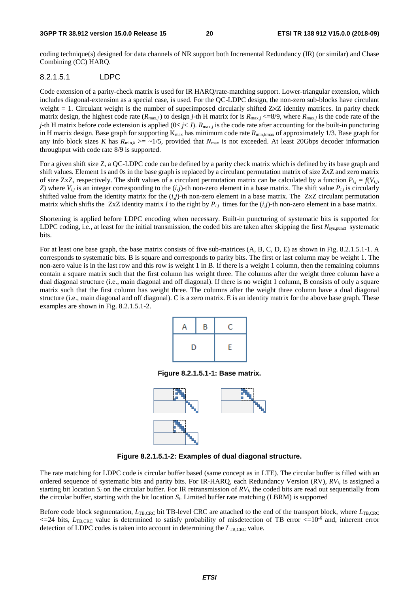coding technique(s) designed for data channels of NR support both Incremental Redundancy (IR) (or similar) and Chase Combining (CC) HARQ.

# 8.2.1.5.1 LDPC

Code extension of a parity-check matrix is used for IR HARQ/rate-matching support. Lower-triangular extension, which includes diagonal-extension as a special case, is used. For the QC-LDPC design, the non-zero sub-blocks have circulant weight  $= 1$ . Circulant weight is the number of superimposed circularly shifted  $Z \times Z$  identity matrices. In parity check matrix design, the highest code rate  $(R_{\text{max},j})$  to design *j*-th H matrix for is  $R_{\text{max},j} \leq 8/9$ , where  $R_{\text{max},j}$  is the code rate of the *j*-th H matrix before code extension is applied ( $0 \le j < J$ ).  $R_{\text{max},j}$  is the code rate after accounting for the built-in puncturing in H matrix design. Base graph for supporting K<sub>max</sub> has minimum code rate R<sub>min,kmax</sub> of approximately 1/3. Base graph for any info block sizes *K* has  $R_{\text{min},k} \geq -1/5$ , provided that  $N_{\text{max}}$  is not exceeded. At least 20Gbps decoder information throughput with code rate 8/9 is supported.

For a given shift size Z, a QC-LDPC code can be defined by a parity check matrix which is defined by its base graph and shift values. Element 1s and 0s in the base graph is replaced by a circulant permutation matrix of size ZxZ and zero matrix of size ZxZ, respectively. The shift values of a circulant permutation matrix can be calculated by a function  $P_{i,j} = f(V_{i,j})$ *Z*) where  $V_{i,j}$  is an integer corresponding to the  $(i,j)$ -th non-zero element in a base matrix. The shift value  $P_{i,j}$  is circularly shifted value from the identity matrix for the (*i,j*)-th non-zero element in a base matrix. The ZxZ circulant permutation matrix which shifts the ZxZ identity matrix *I* to the right by  $P_{i,j}$  times for the  $(i,j)$ -th non-zero element in a base matrix.

Shortening is applied before LDPC encoding when necessary. Built-in puncturing of systematic bits is supported for LDPC coding, i.e., at least for the initial transmission, the coded bits are taken after skipping the first *N*<sub>sys,punct</sub> systematic bits.

For at least one base graph, the base matrix consists of five sub-matrices (A, B, C, D, E) as shown in Fig. 8.2.1.5.1-1. A corresponds to systematic bits. B is square and corresponds to parity bits. The first or last column may be weight 1. The non-zero value is in the last row and this row is weight 1 in B. If there is a weight 1 column, then the remaining columns contain a square matrix such that the first column has weight three. The columns after the weight three column have a dual diagonal structure (i.e., main diagonal and off diagonal). If there is no weight 1 column, B consists of only a square matrix such that the first column has weight three. The columns after the weight three column have a dual diagonal structure (i.e., main diagonal and off diagonal). C is a zero matrix. E is an identity matrix for the above base graph. These examples are shown in Fig. 8.2.1.5.1-2.

| Α | B | C |
|---|---|---|
| D |   | E |

**Figure 8.2.1.5.1-1: Base matrix.** 



**Figure 8.2.1.5.1-2: Examples of dual diagonal structure.** 

The rate matching for LDPC code is circular buffer based (same concept as in LTE). The circular buffer is filled with an ordered sequence of systematic bits and parity bits. For IR-HARQ, each Redundancy Version (RV), *RVi*, is assigned a starting bit location  $S_i$  on the circular buffer. For IR retransmission of  $RV_i$ , the coded bits are read out sequentially from the circular buffer, starting with the bit location *Si*. Limited buffer rate matching (LBRM) is supported

Before code block segmentation,  $L_{\text{TB, CRC}}$  bit TB-level CRC are attached to the end of the transport block, where  $L_{\text{TB, CRC}}$  $\epsilon$  =24 bits,  $L_{\text{TB, CRC}}$  value is determined to satisfy probability of misdetection of TB error  $\epsilon$ =10<sup>-6</sup> and, inherent error detection of LDPC codes is taken into account in determining the *L*<sub>TB,CRC</sub> value.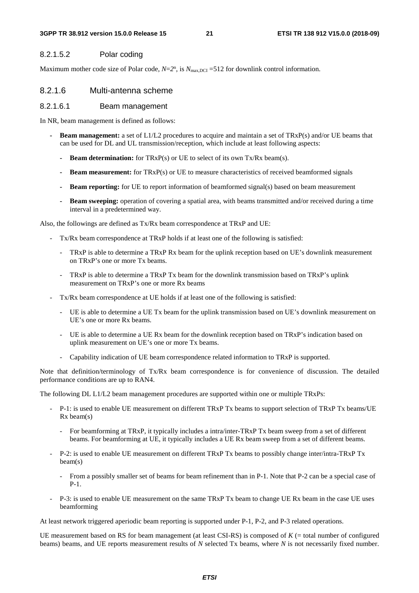#### **3GPP TR 38.912 version 15.0.0 Release 15 21 ETSI TR 138 912 V15.0.0 (2018-09)**

# 8.2.1.5.2 Polar coding

Maximum mother code size of Polar code,  $N=2^n$ , is  $N_{\text{max,DCI}} = 512$  for downlink control information.

# 8.2.1.6 Multi-antenna scheme

# 8.2.1.6.1 Beam management

In NR, beam management is defined as follows:

- **Beam management:** a set of L1/L2 procedures to acquire and maintain a set of TRxP(s) and/or UE beams that can be used for DL and UL transmission/reception, which include at least following aspects:
	- **Beam determination:** for TRxP(s) or UE to select of its own Tx/Rx beam(s).
	- **Beam measurement:** for TRxP(s) or UE to measure characteristics of received beamformed signals
	- **Beam reporting:** for UE to report information of beamformed signal(s) based on beam measurement
	- **Beam sweeping:** operation of covering a spatial area, with beams transmitted and/or received during a time interval in a predetermined way.

Also, the followings are defined as Tx/Rx beam correspondence at TRxP and UE:

- Tx/Rx beam correspondence at TRxP holds if at least one of the following is satisfied:
	- TRxP is able to determine a TRxP Rx beam for the uplink reception based on UE's downlink measurement on TRxP's one or more Tx beams.
	- TRxP is able to determine a TRxP Tx beam for the downlink transmission based on TRxP's uplink measurement on TRxP's one or more Rx beams
- Tx/Rx beam correspondence at UE holds if at least one of the following is satisfied:
	- UE is able to determine a UE Tx beam for the uplink transmission based on UE's downlink measurement on UE's one or more Rx beams.
	- UE is able to determine a UE Rx beam for the downlink reception based on TRxP's indication based on uplink measurement on UE's one or more Tx beams.
	- Capability indication of UE beam correspondence related information to TRxP is supported.

Note that definition/terminology of Tx/Rx beam correspondence is for convenience of discussion. The detailed performance conditions are up to RAN4.

The following DL L1/L2 beam management procedures are supported within one or multiple TRxPs:

- P-1: is used to enable UE measurement on different TRxP Tx beams to support selection of TRxP Tx beams/UE Rx beam(s)
	- For beamforming at TRxP, it typically includes a intra/inter-TRxP Tx beam sweep from a set of different beams. For beamforming at UE, it typically includes a UE Rx beam sweep from a set of different beams.
- P-2: is used to enable UE measurement on different TRxP Tx beams to possibly change inter/intra-TRxP Tx beam(s)
	- From a possibly smaller set of beams for beam refinement than in P-1. Note that P-2 can be a special case of P-1.
- P-3: is used to enable UE measurement on the same TRxP Tx beam to change UE Rx beam in the case UE uses beamforming

At least network triggered aperiodic beam reporting is supported under P-1, P-2, and P-3 related operations.

UE measurement based on RS for beam management (at least CSI-RS) is composed of *K* (= total number of configured beams) beams, and UE reports measurement results of *N* selected Tx beams, where *N* is not necessarily fixed number.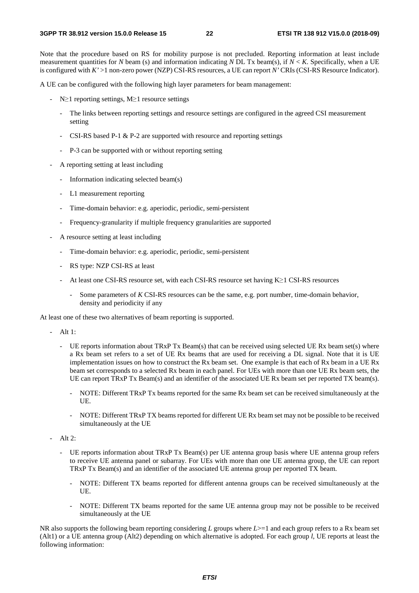Note that the procedure based on RS for mobility purpose is not precluded. Reporting information at least include measurement quantities for *N* beam (s) and information indicating *N* DL Tx beam(s), if *N* < *K*. Specifically, when a UE is configured with *K'* >1 non-zero power (NZP) CSI-RS resources, a UE can report *N'* CRIs (CSI-RS Resource Indicator).

A UE can be configured with the following high layer parameters for beam management:

- N≥1 reporting settings, M≥1 resource settings
	- The links between reporting settings and resource settings are configured in the agreed CSI measurement setting
	- CSI-RS based P-1 & P-2 are supported with resource and reporting settings
	- P-3 can be supported with or without reporting setting
- A reporting setting at least including
	- Information indicating selected beam(s)
	- L1 measurement reporting
	- Time-domain behavior: e.g. aperiodic, periodic, semi-persistent
	- Frequency-granularity if multiple frequency granularities are supported
- A resource setting at least including
	- Time-domain behavior: e.g. aperiodic, periodic, semi-persistent
	- RS type: NZP CSI-RS at least
	- At least one CSI-RS resource set, with each CSI-RS resource set having K≥1 CSI-RS resources
		- Some parameters of *K* CSI-RS resources can be the same, e.g. port number, time-domain behavior, density and periodicity if any

At least one of these two alternatives of beam reporting is supported.

- Alt 1:
	- UE reports information about TRxP Tx Beam(s) that can be received using selected UE Rx beam set(s) where a Rx beam set refers to a set of UE Rx beams that are used for receiving a DL signal. Note that it is UE implementation issues on how to construct the Rx beam set. One example is that each of Rx beam in a UE Rx beam set corresponds to a selected Rx beam in each panel. For UEs with more than one UE Rx beam sets, the UE can report TRxP Tx Beam(s) and an identifier of the associated UE Rx beam set per reported TX beam(s).
		- NOTE: Different TRxP Tx beams reported for the same Rx beam set can be received simultaneously at the UE.
		- NOTE: Different TRxP TX beams reported for different UE Rx beam set may not be possible to be received simultaneously at the UE
- Alt 2:
	- UE reports information about TRxP Tx Beam(s) per UE antenna group basis where UE antenna group refers to receive UE antenna panel or subarray. For UEs with more than one UE antenna group, the UE can report TRxP Tx Beam(s) and an identifier of the associated UE antenna group per reported TX beam.
		- NOTE: Different TX beams reported for different antenna groups can be received simultaneously at the UE.
		- NOTE: Different TX beams reported for the same UE antenna group may not be possible to be received simultaneously at the UE

NR also supports the following beam reporting considering *L* groups where *L*>=1 and each group refers to a Rx beam set (Alt1) or a UE antenna group (Alt2) depending on which alternative is adopted. For each group *l*, UE reports at least the following information: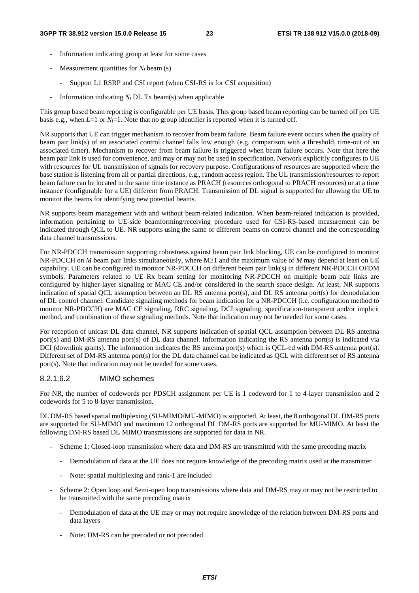- Information indicating group at least for some cases
- Measurement quantities for  $N_l$  beam (s)
	- Support L1 RSRP and CSI report (when CSI-RS is for CSI acquisition)
- Information indicating  $N_l$  DL Tx beam(s) when applicable

This group based beam reporting is configurable per UE basis. This group based beam reporting can be turned off per UE basis e.g., when  $L=1$  or  $N<sub>i</sub>=1$ . Note that no group identifier is reported when it is turned off.

NR supports that UE can trigger mechanism to recover from beam failure. Beam failure event occurs when the quality of beam pair link(s) of an associated control channel falls low enough (e.g. comparison with a threshold, time-out of an associated timer). Mechanism to recover from beam failure is triggered when beam failure occurs. Note that here the beam pair link is used for convenience, and may or may not be used in specification. Network explicitly configures to UE with resources for UL transmission of signals for recovery purpose. Configurations of resources are supported where the base station is listening from all or partial directions, e.g., random access region. The UL transmission/resources to report beam failure can be located in the same time instance as PRACH (resources orthogonal to PRACH resources) or at a time instance (configurable for a UE) different from PRACH. Transmission of DL signal is supported for allowing the UE to monitor the beams for identifying new potential beams.

NR supports beam management with and without beam-related indication. When beam-related indication is provided, information pertaining to UE-side beamforming/receiving procedure used for CSI-RS-based measurement can be indicated through QCL to UE. NR supports using the same or different beams on control channel and the corresponding data channel transmissions.

For NR-PDCCH transmission supporting robustness against beam pair link blocking, UE can be configured to monitor NR-PDCCH on *M* beam pair links simultaneously, where M≥1 and the maximum value of *M* may depend at least on UE capability. UE can be configured to monitor NR-PDCCH on different beam pair link(s) in different NR-PDCCH OFDM symbols. Parameters related to UE Rx beam setting for monitoring NR-PDCCH on multiple beam pair links are configured by higher layer signaling or MAC CE and/or considered in the search space design. At least, NR supports indication of spatial QCL assumption between an DL RS antenna port(s), and DL RS antenna port(s) for demodulation of DL control channel. Candidate signaling methods for beam indication for a NR-PDCCH (i.e. configuration method to monitor NR-PDCCH) are MAC CE signaling, RRC signaling, DCI signaling, specification-transparent and/or implicit method, and combination of these signaling methods. Note that indication may not be needed for some cases.

For reception of unicast DL data channel, NR supports indication of spatial QCL assumption between DL RS antenna port(s) and DM-RS antenna port(s) of DL data channel. Information indicating the RS antenna port(s) is indicated via DCI (downlink grants). The information indicates the RS antenna port(s) which is QCL-ed with DM-RS antenna port(s). Different set of DM-RS antenna port(s) for the DL data channel can be indicated as QCL with different set of RS antenna port(s). Note that indication may not be needed for some cases.

# 8.2.1.6.2 MIMO schemes

For NR, the number of codewords per PDSCH assignment per UE is 1 codeword for 1 to 4-layer transmission and 2 codewords for 5 to 8-layer transmission.

DL DM-RS based spatial multiplexing (SU-MIMO/MU-MIMO) is supported. At least, the 8 orthogonal DL DM-RS ports are supported for SU-MIMO and maximum 12 orthogonal DL DM-RS ports are supported for MU-MIMO. At least the following DM-RS based DL MIMO transmissions are supported for data in NR.

- Scheme 1: Closed-loop transmission where data and DM-RS are transmitted with the same precoding matrix
	- Demodulation of data at the UE does not require knowledge of the precoding matrix used at the transmitter
	- Note: spatial multiplexing and rank-1 are included
- Scheme 2: Open loop and Semi-open loop transmissions where data and DM-RS may or may not be restricted to be transmitted with the same precoding matrix
	- Demodulation of data at the UE may or may not require knowledge of the relation between DM-RS ports and data layers
	- Note: DM-RS can be precoded or not precoded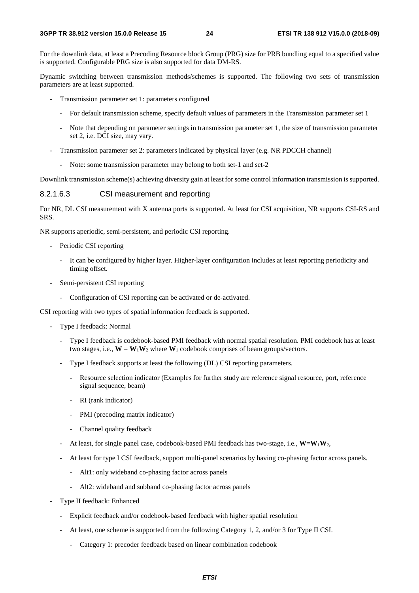For the downlink data, at least a Precoding Resource block Group (PRG) size for PRB bundling equal to a specified value is supported. Configurable PRG size is also supported for data DM-RS.

Dynamic switching between transmission methods/schemes is supported. The following two sets of transmission parameters are at least supported.

- Transmission parameter set 1: parameters configured
	- For default transmission scheme, specify default values of parameters in the Transmission parameter set 1
	- Note that depending on parameter settings in transmission parameter set 1, the size of transmission parameter set 2, i.e. DCI size, may vary.
- Transmission parameter set 2: parameters indicated by physical layer (e.g. NR PDCCH channel)
	- Note: some transmission parameter may belong to both set-1 and set-2

Downlink transmission scheme(s) achieving diversity gain at least for some control information transmission is supported.

#### 8.2.1.6.3 CSI measurement and reporting

For NR, DL CSI measurement with X antenna ports is supported. At least for CSI acquisition, NR supports CSI-RS and SRS.

NR supports aperiodic, semi-persistent, and periodic CSI reporting.

- Periodic CSI reporting
	- It can be configured by higher layer. Higher-layer configuration includes at least reporting periodicity and timing offset.
- Semi-persistent CSI reporting
	- Configuration of CSI reporting can be activated or de-activated.

CSI reporting with two types of spatial information feedback is supported.

- Type I feedback: Normal
	- Type I feedback is codebook-based PMI feedback with normal spatial resolution. PMI codebook has at least two stages, i.e.,  $W = W_1W_2$  where  $W_1$  codebook comprises of beam groups/vectors.
	- Type I feedback supports at least the following (DL) CSI reporting parameters.
		- Resource selection indicator (Examples for further study are reference signal resource, port, reference signal sequence, beam)
		- RI (rank indicator)
		- PMI (precoding matrix indicator)
		- Channel quality feedback
	- At least, for single panel case, codebook-based PMI feedback has two-stage, i.e.,  $W = W_1 W_2$ ,
	- At least for type I CSI feedback, support multi-panel scenarios by having co-phasing factor across panels.
		- Alt1: only wideband co-phasing factor across panels
		- Alt2: wideband and subband co-phasing factor across panels
- Type II feedback: Enhanced
	- Explicit feedback and/or codebook-based feedback with higher spatial resolution
	- At least, one scheme is supported from the following Category 1, 2, and/or 3 for Type II CSI.
		- Category 1: precoder feedback based on linear combination codebook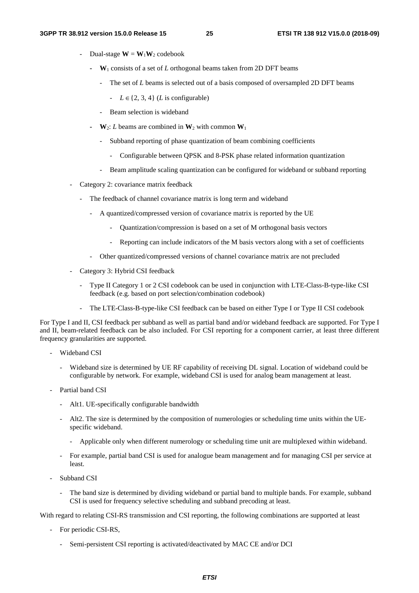- Dual-stage  $W = W_1W_2$  codebook
	- **W**1 consists of a set of *L* orthogonal beams taken from 2D DFT beams
		- The set of *L* beams is selected out of a basis composed of oversampled 2D DFT beams
			- $L \in \{2, 3, 4\}$  (*L* is configurable)
		- Beam selection is wideband
	- $\mathbf{W}_2$ : *L* beams are combined in  $\mathbf{W}_2$  with common  $\mathbf{W}_1$ 
		- Subband reporting of phase quantization of beam combining coefficients
			- Configurable between QPSK and 8-PSK phase related information quantization
		- Beam amplitude scaling quantization can be configured for wideband or subband reporting
- Category 2: covariance matrix feedback
	- The feedback of channel covariance matrix is long term and wideband
		- A quantized/compressed version of covariance matrix is reported by the UE
			- Quantization/compression is based on a set of M orthogonal basis vectors
			- Reporting can include indicators of the M basis vectors along with a set of coefficients
		- Other quantized/compressed versions of channel covariance matrix are not precluded
- Category 3: Hybrid CSI feedback
	- Type II Category 1 or 2 CSI codebook can be used in conjunction with LTE-Class-B-type-like CSI feedback (e.g. based on port selection/combination codebook)
	- The LTE-Class-B-type-like CSI feedback can be based on either Type I or Type II CSI codebook

For Type I and II, CSI feedback per subband as well as partial band and/or wideband feedback are supported. For Type I and II, beam-related feedback can be also included. For CSI reporting for a component carrier, at least three different frequency granularities are supported.

- Wideband CSI
	- Wideband size is determined by UE RF capability of receiving DL signal. Location of wideband could be configurable by network. For example, wideband CSI is used for analog beam management at least.
- Partial band CSI
	- Alt1. UE-specifically configurable bandwidth
	- Alt2. The size is determined by the composition of numerologies or scheduling time units within the UEspecific wideband.
		- Applicable only when different numerology or scheduling time unit are multiplexed within wideband.
	- For example, partial band CSI is used for analogue beam management and for managing CSI per service at least.
- Subband CSI
	- The band size is determined by dividing wideband or partial band to multiple bands. For example, subband CSI is used for frequency selective scheduling and subband precoding at least.

With regard to relating CSI-RS transmission and CSI reporting, the following combinations are supported at least

- For periodic CSI-RS,
	- Semi-persistent CSI reporting is activated/deactivated by MAC CE and/or DCI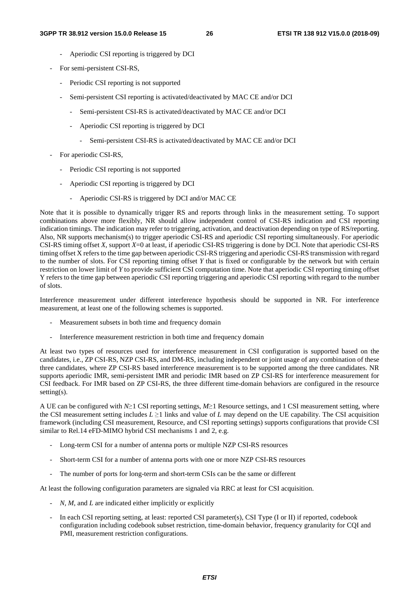- Aperiodic CSI reporting is triggered by DCI
- For semi-persistent CSI-RS,
	- Periodic CSI reporting is not supported
	- Semi-persistent CSI reporting is activated/deactivated by MAC CE and/or DCI
		- Semi-persistent CSI-RS is activated/deactivated by MAC CE and/or DCI
		- Aperiodic CSI reporting is triggered by DCI
			- Semi-persistent CSI-RS is activated/deactivated by MAC CE and/or DCI
- For aperiodic CSI-RS,
	- Periodic CSI reporting is not supported
	- Aperiodic CSI reporting is triggered by DCI
		- Aperiodic CSI-RS is triggered by DCI and/or MAC CE

Note that it is possible to dynamically trigger RS and reports through links in the measurement setting. To support combinations above more flexibly, NR should allow independent control of CSI-RS indication and CSI reporting indication timings. The indication may refer to triggering, activation, and deactivation depending on type of RS/reporting. Also, NR supports mechanism(s) to trigger aperiodic CSI-RS and aperiodic CSI reporting simultaneously. For aperiodic CSI-RS timing offset *X*, support *X*=0 at least, if aperiodic CSI-RS triggering is done by DCI. Note that aperiodic CSI-RS timing offset X refers to the time gap between aperiodic CSI-RS triggering and aperiodic CSI-RS transmission with regard to the number of slots. For CSI reporting timing offset *Y* that is fixed or configurable by the network but with certain restriction on lower limit of *Y* to provide sufficient CSI computation time. Note that aperiodic CSI reporting timing offset Y refers to the time gap between aperiodic CSI reporting triggering and aperiodic CSI reporting with regard to the number of slots.

Interference measurement under different interference hypothesis should be supported in NR. For interference measurement, at least one of the following schemes is supported.

- Measurement subsets in both time and frequency domain
- Interference measurement restriction in both time and frequency domain

At least two types of resources used for interference measurement in CSI configuration is supported based on the candidates, i.e., ZP CSI-RS, NZP CSI-RS, and DM-RS, including independent or joint usage of any combination of these three candidates, where ZP CSI-RS based interference measurement is to be supported among the three candidates. NR supports aperiodic IMR, semi-persistent IMR and periodic IMR based on ZP CSI-RS for interference measurement for CSI feedback. For IMR based on ZP CSI-RS, the three different time-domain behaviors are configured in the resource setting(s).

A UE can be configured with *N*≥1 CSI reporting settings, *M*≥1 Resource settings, and 1 CSI measurement setting, where the CSI measurement setting includes  $L \ge 1$  links and value of *L* may depend on the UE capability. The CSI acquisition framework (including CSI measurement, Resource, and CSI reporting settings) supports configurations that provide CSI similar to Rel.14 eFD-MIMO hybrid CSI mechanisms 1 and 2, e.g.

- Long-term CSI for a number of antenna ports or multiple NZP CSI-RS resources
- Short-term CSI for a number of antenna ports with one or more NZP CSI-RS resources
- The number of ports for long-term and short-term CSIs can be the same or different

At least the following configuration parameters are signaled via RRC at least for CSI acquisition.

- *N*, *M*, and *L* are indicated either implicitly or explicitly
- In each CSI reporting setting, at least: reported CSI parameter(s), CSI Type (I or II) if reported, codebook configuration including codebook subset restriction, time-domain behavior, frequency granularity for CQI and PMI, measurement restriction configurations.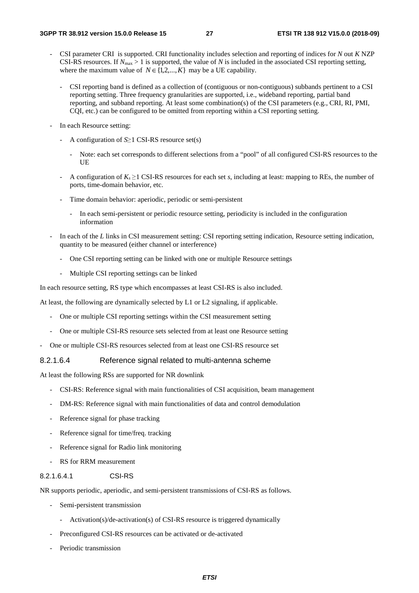- CSI parameter CRI is supported. CRI functionality includes selection and reporting of indices for *N* out *K* NZP CSI-RS resources. If  $N_{\text{max}} > 1$  is supported, the value of *N* is included in the associated CSI reporting setting, where the maximum value of  $N \in \{1, 2, ..., K\}$  may be a UE capability.
	- CSI reporting band is defined as a collection of (contiguous or non-contiguous) subbands pertinent to a CSI reporting setting. Three frequency granularities are supported, i.e., wideband reporting, partial band reporting, and subband reporting. At least some combination(s) of the CSI parameters (e.g., CRI, RI, PMI, CQI, etc.) can be configured to be omitted from reporting within a CSI reporting setting.
- In each Resource setting:
	- A configuration of *S*≥1 CSI-RS resource set(s)
		- Note: each set corresponds to different selections from a "pool" of all configured CSI-RS resources to the UE
	- A configuration of  $K_s \geq 1$  CSI-RS resources for each set *s*, including at least: mapping to REs, the number of ports, time-domain behavior, etc.
	- Time domain behavior: aperiodic, periodic or semi-persistent
		- In each semi-persistent or periodic resource setting, periodicity is included in the configuration information
- In each of the *L* links in CSI measurement setting: CSI reporting setting indication, Resource setting indication, quantity to be measured (either channel or interference)
	- One CSI reporting setting can be linked with one or multiple Resource settings
	- Multiple CSI reporting settings can be linked

In each resource setting, RS type which encompasses at least CSI-RS is also included.

At least, the following are dynamically selected by L1 or L2 signaling, if applicable.

- One or multiple CSI reporting settings within the CSI measurement setting
- One or multiple CSI-RS resource sets selected from at least one Resource setting
- One or multiple CSI-RS resources selected from at least one CSI-RS resource set

### 8.2.1.6.4 Reference signal related to multi-antenna scheme

At least the following RSs are supported for NR downlink

- CSI-RS: Reference signal with main functionalities of CSI acquisition, beam management
- DM-RS: Reference signal with main functionalities of data and control demodulation
- Reference signal for phase tracking
- Reference signal for time/freq. tracking
- Reference signal for Radio link monitoring
- RS for RRM measurement

### 8.2.1.6.4.1 CSI-RS

NR supports periodic, aperiodic, and semi-persistent transmissions of CSI-RS as follows.

- Semi-persistent transmission
	- Activation(s)/de-activation(s) of CSI-RS resource is triggered dynamically
- Preconfigured CSI-RS resources can be activated or de-activated
- Periodic transmission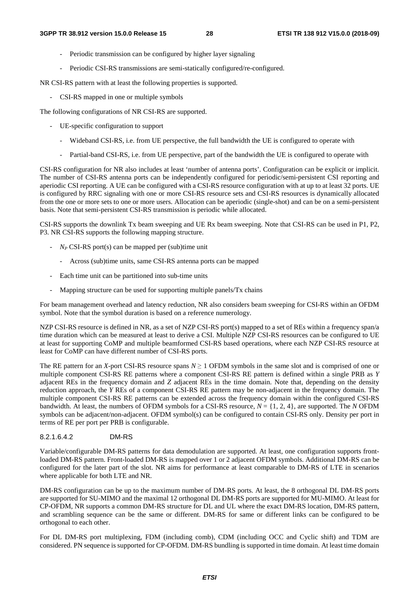- Periodic transmission can be configured by higher layer signaling
- Periodic CSI-RS transmissions are semi-statically configured/re-configured.

NR CSI-RS pattern with at least the following properties is supported.

- CSI-RS mapped in one or multiple symbols

The following configurations of NR CSI-RS are supported.

- UE-specific configuration to support
	- Wideband CSI-RS, i.e. from UE perspective, the full bandwidth the UE is configured to operate with
	- Partial-band CSI-RS, i.e. from UE perspective, part of the bandwidth the UE is configured to operate with

CSI-RS configuration for NR also includes at least 'number of antenna ports'. Configuration can be explicit or implicit. The number of CSI-RS antenna ports can be independently configured for periodic/semi-persistent CSI reporting and aperiodic CSI reporting. A UE can be configured with a CSI-RS resource configuration with at up to at least 32 ports. UE is configured by RRC signaling with one or more CSI-RS resource sets and CSI-RS resources is dynamically allocated from the one or more sets to one or more users. Allocation can be aperiodic (single-shot) and can be on a semi-persistent basis. Note that semi-persistent CSI-RS transmission is periodic while allocated.

CSI-RS supports the downlink Tx beam sweeping and UE Rx beam sweeping. Note that CSI-RS can be used in P1, P2, P3. NR CSI-RS supports the following mapping structure.

- *NP* CSI-RS port(s) can be mapped per (sub)time unit
	- Across (sub)time units, same CSI-RS antenna ports can be mapped
- Each time unit can be partitioned into sub-time units
- Mapping structure can be used for supporting multiple panels/Tx chains

For beam management overhead and latency reduction, NR also considers beam sweeping for CSI-RS within an OFDM symbol. Note that the symbol duration is based on a reference numerology.

NZP CSI-RS resource is defined in NR, as a set of NZP CSI-RS port(s) mapped to a set of REs within a frequency span/a time duration which can be measured at least to derive a CSI. Multiple NZP CSI-RS resources can be configured to UE at least for supporting CoMP and multiple beamformed CSI-RS based operations, where each NZP CSI-RS resource at least for CoMP can have different number of CSI-RS ports.

The RE pattern for an *X*-port CSI-RS resource spans  $N \ge 1$  OFDM symbols in the same slot and is comprised of one or multiple component CSI-RS RE patterns where a component CSI-RS RE pattern is defined within a single PRB as *Y* adjacent REs in the frequency domain and *Z* adjacent REs in the time domain. Note that, depending on the density reduction approach, the *Y* REs of a component CSI-RS RE pattern may be non-adjacent in the frequency domain. The multiple component CSI-RS RE patterns can be extended across the frequency domain within the configured CSI-RS bandwidth. At least, the numbers of OFDM symbols for a CSI-RS resource, *N* = {1, 2, 4}, are supported. The *N* OFDM symbols can be adjacent/non-adjacent. OFDM symbol(s) can be configured to contain CSI-RS only. Density per port in terms of RE per port per PRB is configurable.

#### 8.2.1.6.4.2 DM-RS

Variable/configurable DM-RS patterns for data demodulation are supported. At least, one configuration supports frontloaded DM-RS pattern. Front-loaded DM-RS is mapped over 1 or 2 adjacent OFDM symbols. Additional DM-RS can be configured for the later part of the slot. NR aims for performance at least comparable to DM-RS of LTE in scenarios where applicable for both LTE and NR.

DM-RS configuration can be up to the maximum number of DM-RS ports. At least, the 8 orthogonal DL DM-RS ports are supported for SU-MIMO and the maximal 12 orthogonal DL DM-RS ports are supported for MU-MIMO. At least for CP-OFDM, NR supports a common DM-RS structure for DL and UL where the exact DM-RS location, DM-RS pattern, and scrambling sequence can be the same or different. DM-RS for same or different links can be configured to be orthogonal to each other.

For DL DM-RS port multiplexing, FDM (including comb), CDM (including OCC and Cyclic shift) and TDM are considered. PN sequence is supported for CP-OFDM. DM-RS bundling is supported in time domain. At least time domain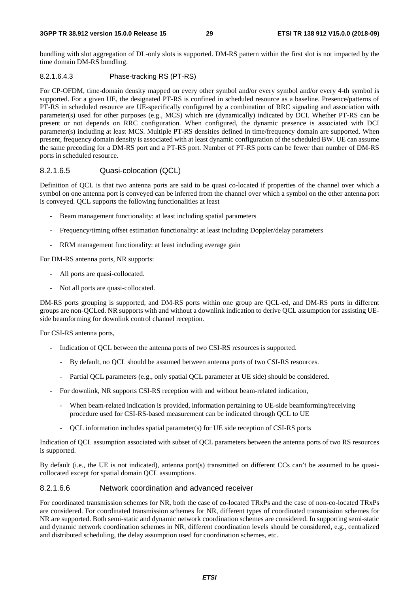#### **3GPP TR 38.912 version 15.0.0 Release 15 29 ETSI TR 138 912 V15.0.0 (2018-09)**

bundling with slot aggregation of DL-only slots is supported. DM-RS pattern within the first slot is not impacted by the time domain DM-RS bundling.

### 8.2.1.6.4.3 Phase-tracking RS (PT-RS)

For CP-OFDM, time-domain density mapped on every other symbol and/or every symbol and/or every 4-th symbol is supported. For a given UE, the designated PT-RS is confined in scheduled resource as a baseline. Presence/patterns of PT-RS in scheduled resource are UE-specifically configured by a combination of RRC signaling and association with parameter(s) used for other purposes (e.g., MCS) which are (dynamically) indicated by DCI. Whether PT-RS can be present or not depends on RRC configuration. When configured, the dynamic presence is associated with DCI parameter(s) including at least MCS. Multiple PT-RS densities defined in time/frequency domain are supported. When present, frequency domain density is associated with at least dynamic configuration of the scheduled BW. UE can assume the same precoding for a DM-RS port and a PT-RS port. Number of PT-RS ports can be fewer than number of DM-RS ports in scheduled resource.

# 8.2.1.6.5 Quasi-colocation (QCL)

Definition of QCL is that two antenna ports are said to be quasi co-located if properties of the channel over which a symbol on one antenna port is conveyed can be inferred from the channel over which a symbol on the other antenna port is conveyed. QCL supports the following functionalities at least

- Beam management functionality: at least including spatial parameters
- Frequency/timing offset estimation functionality: at least including Doppler/delay parameters
- RRM management functionality: at least including average gain

For DM-RS antenna ports, NR supports:

- All ports are quasi-collocated.
- Not all ports are quasi-collocated.

DM-RS ports grouping is supported, and DM-RS ports within one group are QCL-ed, and DM-RS ports in different groups are non-QCLed. NR supports with and without a downlink indication to derive QCL assumption for assisting UEside beamforming for downlink control channel reception.

For CSI-RS antenna ports,

- Indication of QCL between the antenna ports of two CSI-RS resources is supported.
	- By default, no QCL should be assumed between antenna ports of two CSI-RS resources.
	- Partial QCL parameters (e.g., only spatial QCL parameter at UE side) should be considered.
- For downlink, NR supports CSI-RS reception with and without beam-related indication,
	- When beam-related indication is provided, information pertaining to UE-side beamforming/receiving procedure used for CSI-RS-based measurement can be indicated through QCL to UE
	- QCL information includes spatial parameter(s) for UE side reception of CSI-RS ports

Indication of QCL assumption associated with subset of QCL parameters between the antenna ports of two RS resources is supported.

By default (i.e., the UE is not indicated), antenna port(s) transmitted on different CCs can't be assumed to be quasicollocated except for spatial domain QCL assumptions.

### 8.2.1.6.6 Network coordination and advanced receiver

For coordinated transmission schemes for NR, both the case of co-located TRxPs and the case of non-co-located TRxPs are considered. For coordinated transmission schemes for NR, different types of coordinated transmission schemes for NR are supported. Both semi-static and dynamic network coordination schemes are considered. In supporting semi-static and dynamic network coordination schemes in NR, different coordination levels should be considered, e.g., centralized and distributed scheduling, the delay assumption used for coordination schemes, etc.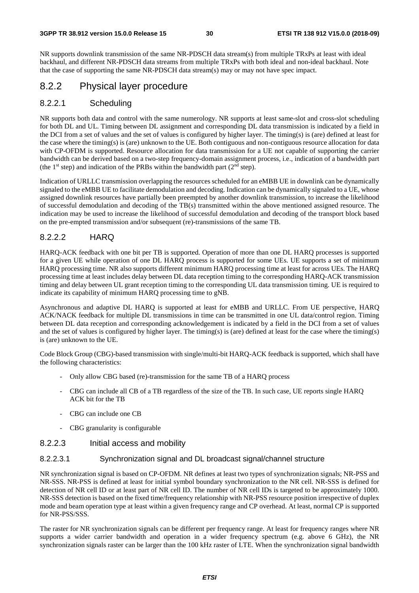NR supports downlink transmission of the same NR-PDSCH data stream(s) from multiple TRxPs at least with ideal backhaul, and different NR-PDSCH data streams from multiple TRxPs with both ideal and non-ideal backhaul. Note that the case of supporting the same NR-PDSCH data stream(s) may or may not have spec impact.

# 8.2.2 Physical layer procedure

# 8.2.2.1 Scheduling

NR supports both data and control with the same numerology. NR supports at least same-slot and cross-slot scheduling for both DL and UL. Timing between DL assignment and corresponding DL data transmission is indicated by a field in the DCI from a set of values and the set of values is configured by higher layer. The timing(s) is (are) defined at least for the case where the timing(s) is (are) unknown to the UE. Both contiguous and non-contiguous resource allocation for data with CP-OFDM is supported. Resource allocation for data transmission for a UE not capable of supporting the carrier bandwidth can be derived based on a two-step frequency-domain assignment process, i.e., indication of a bandwidth part (the 1<sup>st</sup> step) and indication of the PRBs within the bandwidth part  $(2<sup>nd</sup>$  step).

Indication of URLLC transmission overlapping the resources scheduled for an eMBB UE in downlink can be dynamically signaled to the eMBB UE to facilitate demodulation and decoding. Indication can be dynamically signaled to a UE, whose assigned downlink resources have partially been preempted by another downlink transmission, to increase the likelihood of successful demodulation and decoding of the TB(s) transmitted within the above mentioned assigned resource. The indication may be used to increase the likelihood of successful demodulation and decoding of the transport block based on the pre-empted transmission and/or subsequent (re)-transmissions of the same TB.

# 8.2.2.2 HARQ

HARQ-ACK feedback with one bit per TB is supported. Operation of more than one DL HARQ processes is supported for a given UE while operation of one DL HARQ process is supported for some UEs. UE supports a set of minimum HARQ processing time. NR also supports different minimum HARQ processing time at least for across UEs. The HARQ processing time at least includes delay between DL data reception timing to the corresponding HARQ-ACK transmission timing and delay between UL grant reception timing to the corresponding UL data transmission timing. UE is required to indicate its capability of minimum HARQ processing time to gNB.

Asynchronous and adaptive DL HARQ is supported at least for eMBB and URLLC. From UE perspective, HARQ ACK/NACK feedback for multiple DL transmissions in time can be transmitted in one UL data/control region. Timing between DL data reception and corresponding acknowledgement is indicated by a field in the DCI from a set of values and the set of values is configured by higher layer. The timing(s) is (are) defined at least for the case where the timing(s) is (are) unknown to the UE.

Code Block Group (CBG)-based transmission with single/multi-bit HARQ-ACK feedback is supported, which shall have the following characteristics:

- Only allow CBG based (re)-transmission for the same TB of a HARQ process
- CBG can include all CB of a TB regardless of the size of the TB. In such case, UE reports single HARQ ACK bit for the TB
- CBG can include one CB
- CBG granularity is configurable

# 8.2.2.3 Initial access and mobility

# 8.2.2.3.1 Synchronization signal and DL broadcast signal/channel structure

NR synchronization signal is based on CP-OFDM. NR defines at least two types of synchronization signals; NR-PSS and NR-SSS. NR-PSS is defined at least for initial symbol boundary synchronization to the NR cell. NR-SSS is defined for detection of NR cell ID or at least part of NR cell ID. The number of NR cell IDs is targeted to be approximately 1000. NR-SSS detection is based on the fixed time/frequency relationship with NR-PSS resource position irrespective of duplex mode and beam operation type at least within a given frequency range and CP overhead. At least, normal CP is supported for NR-PSS/SSS.

The raster for NR synchronization signals can be different per frequency range. At least for frequency ranges where NR supports a wider carrier bandwidth and operation in a wider frequency spectrum (e.g. above 6 GHz), the NR synchronization signals raster can be larger than the 100 kHz raster of LTE. When the synchronization signal bandwidth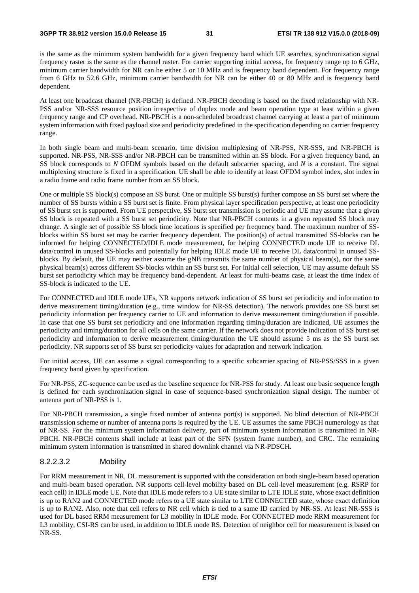is the same as the minimum system bandwidth for a given frequency band which UE searches, synchronization signal frequency raster is the same as the channel raster. For carrier supporting initial access, for frequency range up to 6 GHz, minimum carrier bandwidth for NR can be either 5 or 10 MHz and is frequency band dependent. For frequency range from 6 GHz to 52.6 GHz, minimum carrier bandwidth for NR can be either 40 or 80 MHz and is frequency band dependent.

At least one broadcast channel (NR-PBCH) is defined. NR-PBCH decoding is based on the fixed relationship with NR-PSS and/or NR-SSS resource position irrespective of duplex mode and beam operation type at least within a given frequency range and CP overhead. NR-PBCH is a non-scheduled broadcast channel carrying at least a part of minimum system information with fixed payload size and periodicity predefined in the specification depending on carrier frequency range.

In both single beam and multi-beam scenario, time division multiplexing of NR-PSS, NR-SSS, and NR-PBCH is supported. NR-PSS, NR-SSS and/or NR-PBCH can be transmitted within an SS block. For a given frequency band, an SS block corresponds to *N* OFDM symbols based on the default subcarrier spacing, and *N* is a constant. The signal multiplexing structure is fixed in a specification. UE shall be able to identify at least OFDM symbol index, slot index in a radio frame and radio frame number from an SS block.

One or multiple SS block(s) compose an SS burst. One or multiple SS burst(s) further compose an SS burst set where the number of SS bursts within a SS burst set is finite. From physical layer specification perspective, at least one periodicity of SS burst set is supported. From UE perspective, SS burst set transmission is periodic and UE may assume that a given SS block is repeated with a SS burst set periodicity. Note that NR-PBCH contents in a given repeated SS block may change. A single set of possible SS block time locations is specified per frequency band. The maximum number of SSblocks within SS burst set may be carrier frequency dependent. The position(s) of actual transmitted SS-blocks can be informed for helping CONNECTED/IDLE mode measurement, for helping CONNECTED mode UE to receive DL data/control in unused SS-blocks and potentially for helping IDLE mode UE to receive DL data/control in unused SSblocks. By default, the UE may neither assume the gNB transmits the same number of physical beam(s), nor the same physical beam(s) across different SS-blocks within an SS burst set. For initial cell selection, UE may assume default SS burst set periodicity which may be frequency band-dependent. At least for multi-beams case, at least the time index of SS-block is indicated to the UE.

For CONNECTED and IDLE mode UEs, NR supports network indication of SS burst set periodicity and information to derive measurement timing/duration (e.g., time window for NR-SS detection). The network provides one SS burst set periodicity information per frequency carrier to UE and information to derive measurement timing/duration if possible. In case that one SS burst set periodicity and one information regarding timing/duration are indicated, UE assumes the periodicity and timing/duration for all cells on the same carrier. If the network does not provide indication of SS burst set periodicity and information to derive measurement timing/duration the UE should assume 5 ms as the SS burst set periodicity. NR supports set of SS burst set periodicity values for adaptation and network indication.

For initial access, UE can assume a signal corresponding to a specific subcarrier spacing of NR-PSS/SSS in a given frequency band given by specification.

For NR-PSS, ZC-sequence can be used as the baseline sequence for NR-PSS for study. At least one basic sequence length is defined for each synchronization signal in case of sequence-based synchronization signal design. The number of antenna port of NR-PSS is 1.

For NR-PBCH transmission, a single fixed number of antenna port(s) is supported. No blind detection of NR-PBCH transmission scheme or number of antenna ports is required by the UE. UE assumes the same PBCH numerology as that of NR-SS. For the minimum system information delivery, part of minimum system information is transmitted in NR-PBCH. NR-PBCH contents shall include at least part of the SFN (system frame number), and CRC. The remaining minimum system information is transmitted in shared downlink channel via NR-PDSCH.

## 8.2.2.3.2 Mobility

For RRM measurement in NR, DL measurement is supported with the consideration on both single-beam based operation and multi-beam based operation. NR supports cell-level mobility based on DL cell-level measurement (e.g. RSRP for each cell) in IDLE mode UE. Note that IDLE mode refers to a UE state similar to LTE IDLE state, whose exact definition is up to RAN2 and CONNECTED mode refers to a UE state similar to LTE CONNECTED state, whose exact definition is up to RAN2. Also, note that cell refers to NR cell which is tied to a same ID carried by NR-SS. At least NR-SSS is used for DL based RRM measurement for L3 mobility in IDLE mode. For CONNECTED mode RRM measurement for L3 mobility, CSI-RS can be used, in addition to IDLE mode RS. Detection of neighbor cell for measurement is based on NR-SS.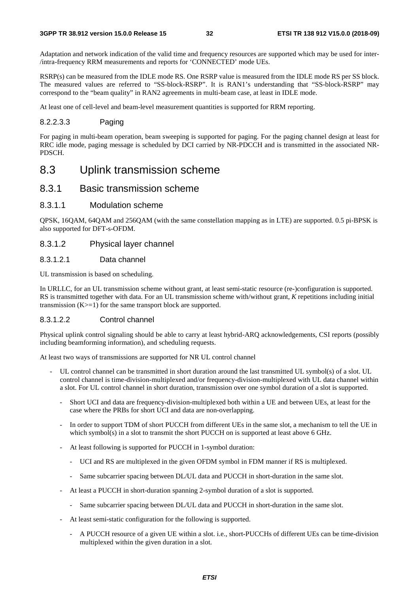Adaptation and network indication of the valid time and frequency resources are supported which may be used for inter- /intra-frequency RRM measurements and reports for 'CONNECTED' mode UEs.

RSRP(s) can be measured from the IDLE mode RS. One RSRP value is measured from the IDLE mode RS per SS block. The measured values are referred to "SS-block-RSRP". It is RAN1's understanding that "SS-block-RSRP" may correspond to the "beam quality" in RAN2 agreements in multi-beam case, at least in IDLE mode.

At least one of cell-level and beam-level measurement quantities is supported for RRM reporting.

### 8.2.2.3.3 Paging

For paging in multi-beam operation, beam sweeping is supported for paging. For the paging channel design at least for RRC idle mode, paging message is scheduled by DCI carried by NR-PDCCH and is transmitted in the associated NR-PDSCH.

# 8.3 Uplink transmission scheme

# 8.3.1 Basic transmission scheme

## 8.3.1.1 Modulation scheme

QPSK, 16QAM, 64QAM and 256QAM (with the same constellation mapping as in LTE) are supported. 0.5 pi-BPSK is also supported for DFT-s-OFDM.

# 8.3.1.2 Physical layer channel

### 8.3.1.2.1 Data channel

UL transmission is based on scheduling.

In URLLC, for an UL transmission scheme without grant, at least semi-static resource (re-)configuration is supported. RS is transmitted together with data. For an UL transmission scheme with/without grant, *K* repetitions including initial transmission  $(K>=1)$  for the same transport block are supported.

### 8.3.1.2.2 Control channel

Physical uplink control signaling should be able to carry at least hybrid-ARQ acknowledgements, CSI reports (possibly including beamforming information), and scheduling requests.

At least two ways of transmissions are supported for NR UL control channel

- UL control channel can be transmitted in short duration around the last transmitted UL symbol(s) of a slot. UL control channel is time-division-multiplexed and/or frequency-division-multiplexed with UL data channel within a slot. For UL control channel in short duration, transmission over one symbol duration of a slot is supported.
	- Short UCI and data are frequency-division-multiplexed both within a UE and between UEs, at least for the case where the PRBs for short UCI and data are non-overlapping.
	- In order to support TDM of short PUCCH from different UEs in the same slot, a mechanism to tell the UE in which symbol(s) in a slot to transmit the short PUCCH on is supported at least above 6 GHz.
	- At least following is supported for PUCCH in 1-symbol duration:
		- UCI and RS are multiplexed in the given OFDM symbol in FDM manner if RS is multiplexed.
		- Same subcarrier spacing between DL/UL data and PUCCH in short-duration in the same slot.
	- At least a PUCCH in short-duration spanning 2-symbol duration of a slot is supported.
		- Same subcarrier spacing between DL/UL data and PUCCH in short-duration in the same slot.
	- At least semi-static configuration for the following is supported.
		- A PUCCH resource of a given UE within a slot. i.e., short-PUCCHs of different UEs can be time-division multiplexed within the given duration in a slot.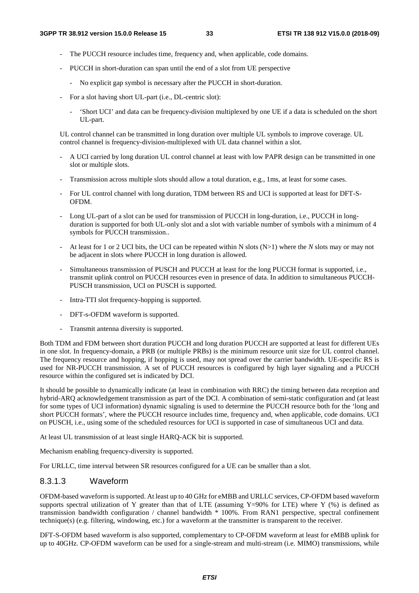- The PUCCH resource includes time, frequency and, when applicable, code domains.
- PUCCH in short-duration can span until the end of a slot from UE perspective
	- No explicit gap symbol is necessary after the PUCCH in short-duration.
- For a slot having short UL-part (i.e., DL-centric slot):
	- 'Short UCI' and data can be frequency-division multiplexed by one UE if a data is scheduled on the short UL-part.

 UL control channel can be transmitted in long duration over multiple UL symbols to improve coverage. UL control channel is frequency-division-multiplexed with UL data channel within a slot.

- A UCI carried by long duration UL control channel at least with low PAPR design can be transmitted in one slot or multiple slots.
- Transmission across multiple slots should allow a total duration, e.g., 1ms, at least for some cases.
- For UL control channel with long duration, TDM between RS and UCI is supported at least for DFT-S-OFDM.
- Long UL-part of a slot can be used for transmission of PUCCH in long-duration, i.e., PUCCH in longduration is supported for both UL-only slot and a slot with variable number of symbols with a minimum of 4 symbols for PUCCH transmission..
- At least for 1 or 2 UCI bits, the UCI can be repeated within N slots (N>1) where the *N* slots may or may not be adjacent in slots where PUCCH in long duration is allowed.
- Simultaneous transmission of PUSCH and PUCCH at least for the long PUCCH format is supported, i.e., transmit uplink control on PUCCH resources even in presence of data. In addition to simultaneous PUCCH-PUSCH transmission, UCI on PUSCH is supported.
- Intra-TTI slot frequency-hopping is supported.
- DFT-s-OFDM waveform is supported.
- Transmit antenna diversity is supported.

Both TDM and FDM between short duration PUCCH and long duration PUCCH are supported at least for different UEs in one slot. In frequency-domain, a PRB (or multiple PRBs) is the minimum resource unit size for UL control channel. The frequency resource and hopping, if hopping is used, may not spread over the carrier bandwidth. UE-specific RS is used for NR-PUCCH transmission. A set of PUCCH resources is configured by high layer signaling and a PUCCH resource within the configured set is indicated by DCI.

It should be possible to dynamically indicate (at least in combination with RRC) the timing between data reception and hybrid-ARQ acknowledgement transmission as part of the DCI. A combination of semi-static configuration and (at least for some types of UCI information) dynamic signaling is used to determine the PUCCH resource both for the 'long and short PUCCH formats', where the PUCCH resource includes time, frequency and, when applicable, code domains. UCI on PUSCH, i.e., using some of the scheduled resources for UCI is supported in case of simultaneous UCI and data.

At least UL transmission of at least single HARQ-ACK bit is supported.

Mechanism enabling frequency-diversity is supported.

For URLLC, time interval between SR resources configured for a UE can be smaller than a slot.

# 8.3.1.3 Waveform

OFDM-based waveform is supported. At least up to 40 GHz for eMBB and URLLC services, CP-OFDM based waveform supports spectral utilization of Y greater than that of LTE (assuming Y=90% for LTE) where Y (%) is defined as transmission bandwidth configuration / channel bandwidth \* 100%. From RAN1 perspective, spectral confinement technique(s) (e.g. filtering, windowing, etc.) for a waveform at the transmitter is transparent to the receiver.

DFT-S-OFDM based waveform is also supported, complementary to CP-OFDM waveform at least for eMBB uplink for up to 40GHz. CP-OFDM waveform can be used for a single-stream and multi-stream (i.e. MIMO) transmissions, while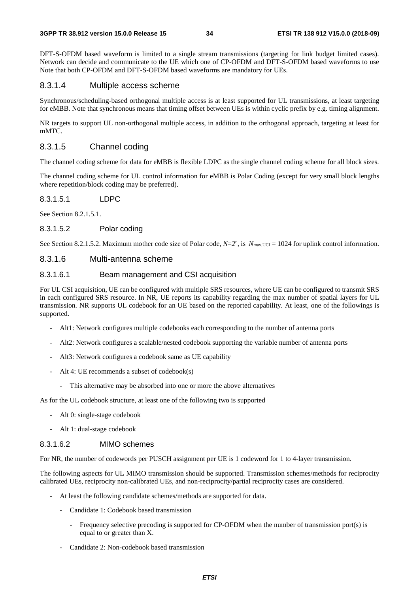DFT-S-OFDM based waveform is limited to a single stream transmissions (targeting for link budget limited cases). Network can decide and communicate to the UE which one of CP-OFDM and DFT-S-OFDM based waveforms to use Note that both CP-OFDM and DFT-S-OFDM based waveforms are mandatory for UEs.

# 8.3.1.4 Multiple access scheme

Synchronous/scheduling-based orthogonal multiple access is at least supported for UL transmissions, at least targeting for eMBB. Note that synchronous means that timing offset between UEs is within cyclic prefix by e.g. timing alignment.

NR targets to support UL non-orthogonal multiple access, in addition to the orthogonal approach, targeting at least for mMTC.

# 8.3.1.5 Channel coding

The channel coding scheme for data for eMBB is flexible LDPC as the single channel coding scheme for all block sizes.

The channel coding scheme for UL control information for eMBB is Polar Coding (except for very small block lengths where repetition/block coding may be preferred).

8.3.1.5.1 LDPC

See Section 8.2.1.5.1.

# 8.3.1.5.2 Polar coding

See Section 8.2.1.5.2. Maximum mother code size of Polar code,  $N=2^n$ , is  $N_{\text{max,UCI}} = 1024$  for uplink control information.

# 8.3.1.6 Multi-antenna scheme

### 8.3.1.6.1 Beam management and CSI acquisition

For UL CSI acquisition, UE can be configured with multiple SRS resources, where UE can be configured to transmit SRS in each configured SRS resource. In NR, UE reports its capability regarding the max number of spatial layers for UL transmission. NR supports UL codebook for an UE based on the reported capability. At least, one of the followings is supported.

- Alt1: Network configures multiple codebooks each corresponding to the number of antenna ports
- Alt2: Network configures a scalable/nested codebook supporting the variable number of antenna ports
- Alt3: Network configures a codebook same as UE capability
- Alt 4: UE recommends a subset of codebook(s)
	- This alternative may be absorbed into one or more the above alternatives

As for the UL codebook structure, at least one of the following two is supported

- Alt 0: single-stage codebook
- Alt 1: dual-stage codebook

### 8.3.1.6.2 MIMO schemes

For NR, the number of codewords per PUSCH assignment per UE is 1 codeword for 1 to 4-layer transmission.

The following aspects for UL MIMO transmission should be supported. Transmission schemes/methods for reciprocity calibrated UEs, reciprocity non-calibrated UEs, and non-reciprocity/partial reciprocity cases are considered.

- At least the following candidate schemes/methods are supported for data.
	- Candidate 1: Codebook based transmission
		- Frequency selective precoding is supported for CP-OFDM when the number of transmission port(s) is equal to or greater than X.
	- Candidate 2: Non-codebook based transmission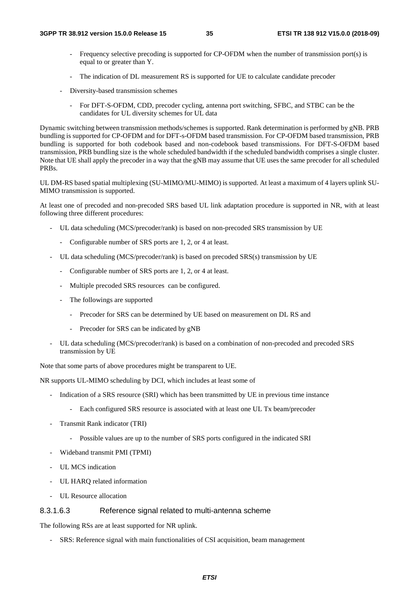- Frequency selective precoding is supported for CP-OFDM when the number of transmission port(s) is equal to or greater than Y.
- The indication of DL measurement RS is supported for UE to calculate candidate precoder
- Diversity-based transmission schemes
	- For DFT-S-OFDM, CDD, precoder cycling, antenna port switching, SFBC, and STBC can be the candidates for UL diversity schemes for UL data

Dynamic switching between transmission methods/schemes is supported. Rank determination is performed by gNB. PRB bundling is supported for CP-OFDM and for DFT-s-OFDM based transmission. For CP-OFDM based transmission, PRB bundling is supported for both codebook based and non-codebook based transmissions. For DFT-S-OFDM based transmission, PRB bundling size is the whole scheduled bandwidth if the scheduled bandwidth comprises a single cluster. Note that UE shall apply the precoder in a way that the gNB may assume that UE uses the same precoder for all scheduled PRBs.

UL DM-RS based spatial multiplexing (SU-MIMO/MU-MIMO) is supported. At least a maximum of 4 layers uplink SU-MIMO transmission is supported.

At least one of precoded and non-precoded SRS based UL link adaptation procedure is supported in NR, with at least following three different procedures:

- UL data scheduling (MCS/precoder/rank) is based on non-precoded SRS transmission by UE
	- Configurable number of SRS ports are 1, 2, or 4 at least.
- UL data scheduling (MCS/precoder/rank) is based on precoded SRS(s) transmission by UE
	- Configurable number of SRS ports are 1, 2, or 4 at least.
	- Multiple precoded SRS resources can be configured.
	- The followings are supported
		- Precoder for SRS can be determined by UE based on measurement on DL RS and
		- Precoder for SRS can be indicated by gNB
- UL data scheduling (MCS/precoder/rank) is based on a combination of non-precoded and precoded SRS transmission by UE

Note that some parts of above procedures might be transparent to UE.

NR supports UL-MIMO scheduling by DCI, which includes at least some of

- Indication of a SRS resource (SRI) which has been transmitted by UE in previous time instance
	- Each configured SRS resource is associated with at least one UL Tx beam/precoder
- Transmit Rank indicator (TRI)
	- Possible values are up to the number of SRS ports configured in the indicated SRI
- Wideband transmit PMI (TPMI)
- UL MCS indication
- UL HARQ related information
- UL Resource allocation

### 8.3.1.6.3 Reference signal related to multi-antenna scheme

The following RSs are at least supported for NR uplink.

- SRS: Reference signal with main functionalities of CSI acquisition, beam management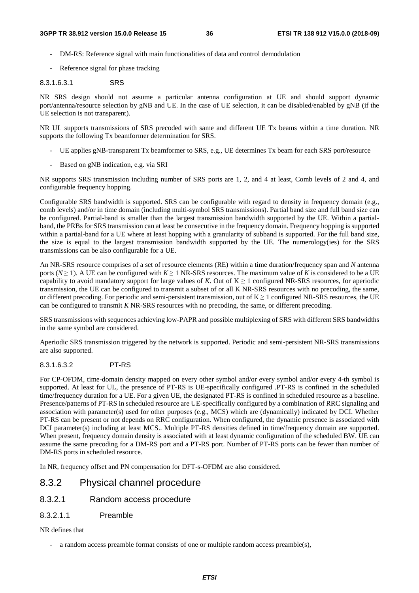- DM-RS: Reference signal with main functionalities of data and control demodulation
- Reference signal for phase tracking

#### 8.3.1.6.3.1 SRS

NR SRS design should not assume a particular antenna configuration at UE and should support dynamic port/antenna/resource selection by gNB and UE. In the case of UE selection, it can be disabled/enabled by gNB (if the UE selection is not transparent).

NR UL supports transmissions of SRS precoded with same and different UE Tx beams within a time duration. NR supports the following Tx beamformer determination for SRS.

- UE applies gNB-transparent Tx beamformer to SRS, e.g., UE determines Tx beam for each SRS port/resource
- Based on gNB indication, e.g. via SRI

NR supports SRS transmission including number of SRS ports are 1, 2, and 4 at least, Comb levels of 2 and 4, and configurable frequency hopping.

Configurable SRS bandwidth is supported. SRS can be configurable with regard to density in frequency domain (e.g., comb levels) and/or in time domain (including multi-symbol SRS transmissions). Partial band size and full band size can be configured. Partial-band is smaller than the largest transmission bandwidth supported by the UE. Within a partialband, the PRBs for SRS transmission can at least be consecutive in the frequency domain. Frequency hopping is supported within a partial-band for a UE where at least hopping with a granularity of subband is supported. For the full band size, the size is equal to the largest transmission bandwidth supported by the UE. The numerology(ies) for the SRS transmissions can be also configurable for a UE.

An NR-SRS resource comprises of a set of resource elements (RE) within a time duration/frequency span and *N* antenna ports ( $N \ge 1$ ). A UE can be configured with  $K \ge 1$  NR-SRS resources. The maximum value of K is considered to be a UE capability to avoid mandatory support for large values of *K*. Out of  $K \ge 1$  configured NR-SRS resources, for aperiodic transmission, the UE can be configured to transmit a subset of or all K NR-SRS resources with no precoding, the same, or different precoding. For periodic and semi-persistent transmission, out of  $K \ge 1$  configured NR-SRS resources, the UE can be configured to transmit *K* NR-SRS resources with no precoding, the same, or different precoding.

SRS transmissions with sequences achieving low-PAPR and possible multiplexing of SRS with different SRS bandwidths in the same symbol are considered.

Aperiodic SRS transmission triggered by the network is supported. Periodic and semi-persistent NR-SRS transmissions are also supported.

#### 8.3.1.6.3.2 PT-RS

For CP-OFDM, time-domain density mapped on every other symbol and/or every symbol and/or every 4-th symbol is supported. At least for UL, the presence of PT-RS is UE-specifically configured .PT-RS is confined in the scheduled time/frequency duration for a UE. For a given UE, the designated PT-RS is confined in scheduled resource as a baseline. Presence/patterns of PT-RS in scheduled resource are UE-specifically configured by a combination of RRC signaling and association with parameter(s) used for other purposes (e.g., MCS) which are (dynamically) indicated by DCI. Whether PT-RS can be present or not depends on RRC configuration. When configured, the dynamic presence is associated with DCI parameter(s) including at least MCS.. Multiple PT-RS densities defined in time/frequency domain are supported. When present, frequency domain density is associated with at least dynamic configuration of the scheduled BW. UE can assume the same precoding for a DM-RS port and a PT-RS port. Number of PT-RS ports can be fewer than number of DM-RS ports in scheduled resource.

In NR, frequency offset and PN compensation for DFT-s-OFDM are also considered.

## 8.3.2 Physical channel procedure

- 8.3.2.1 Random access procedure
- 8.3.2.1.1 Preamble

#### NR defines that

a random access preamble format consists of one or multiple random access preamble(s),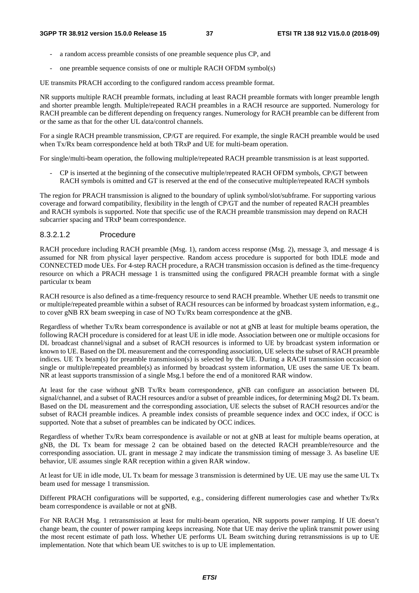- a random access preamble consists of one preamble sequence plus CP, and
- one preamble sequence consists of one or multiple RACH OFDM symbol(s)

UE transmits PRACH according to the configured random access preamble format.

NR supports multiple RACH preamble formats, including at least RACH preamble formats with longer preamble length and shorter preamble length. Multiple/repeated RACH preambles in a RACH resource are supported. Numerology for RACH preamble can be different depending on frequency ranges. Numerology for RACH preamble can be different from or the same as that for the other UL data/control channels.

For a single RACH preamble transmission, CP/GT are required. For example, the single RACH preamble would be used when Tx/Rx beam correspondence held at both TRxP and UE for multi-beam operation.

For single/multi-beam operation, the following multiple/repeated RACH preamble transmission is at least supported.

- CP is inserted at the beginning of the consecutive multiple/repeated RACH OFDM symbols, CP/GT between RACH symbols is omitted and GT is reserved at the end of the consecutive multiple/repeated RACH symbols

The region for PRACH transmission is aligned to the boundary of uplink symbol/slot/subframe. For supporting various coverage and forward compatibility, flexibility in the length of CP/GT and the number of repeated RACH preambles and RACH symbols is supported. Note that specific use of the RACH preamble transmission may depend on RACH subcarrier spacing and TRxP beam correspondence.

#### 8.3.2.1.2 Procedure

RACH procedure including RACH preamble (Msg. 1), random access response (Msg. 2), message 3, and message 4 is assumed for NR from physical layer perspective. Random access procedure is supported for both IDLE mode and CONNECTED mode UEs. For 4-step RACH procedure, a RACH transmission occasion is defined as the time-frequency resource on which a PRACH message 1 is transmitted using the configured PRACH preamble format with a single particular tx beam

RACH resource is also defined as a time-frequency resource to send RACH preamble. Whether UE needs to transmit one or multiple/repeated preamble within a subset of RACH resources can be informed by broadcast system information, e.g., to cover gNB RX beam sweeping in case of NO Tx/Rx beam correspondence at the gNB.

Regardless of whether Tx/Rx beam correspondence is available or not at gNB at least for multiple beams operation, the following RACH procedure is considered for at least UE in idle mode. Association between one or multiple occasions for DL broadcast channel/signal and a subset of RACH resources is informed to UE by broadcast system information or known to UE. Based on the DL measurement and the corresponding association, UE selects the subset of RACH preamble indices. UE Tx beam(s) for preamble transmission(s) is selected by the UE. During a RACH transmission occasion of single or multiple/repeated preamble(s) as informed by broadcast system information, UE uses the same UE Tx beam. NR at least supports transmission of a single Msg.1 before the end of a monitored RAR window.

At least for the case without gNB Tx/Rx beam correspondence, gNB can configure an association between DL signal/channel, and a subset of RACH resources and/or a subset of preamble indices, for determining Msg2 DL Tx beam. Based on the DL measurement and the corresponding association, UE selects the subset of RACH resources and/or the subset of RACH preamble indices. A preamble index consists of preamble sequence index and OCC index, if OCC is supported. Note that a subset of preambles can be indicated by OCC indices.

Regardless of whether Tx/Rx beam correspondence is available or not at gNB at least for multiple beams operation, at gNB, the DL Tx beam for message 2 can be obtained based on the detected RACH preamble/resource and the corresponding association. UL grant in message 2 may indicate the transmission timing of message 3. As baseline UE behavior, UE assumes single RAR reception within a given RAR window.

At least for UE in idle mode, UL Tx beam for message 3 transmission is determined by UE. UE may use the same UL Tx beam used for message 1 transmission.

Different PRACH configurations will be supported, e.g., considering different numerologies case and whether Tx/Rx beam correspondence is available or not at gNB.

For NR RACH Msg. 1 retransmission at least for multi-beam operation, NR supports power ramping. If UE doesn't change beam, the counter of power ramping keeps increasing. Note that UE may derive the uplink transmit power using the most recent estimate of path loss. Whether UE performs UL Beam switching during retransmissions is up to UE implementation. Note that which beam UE switches to is up to UE implementation.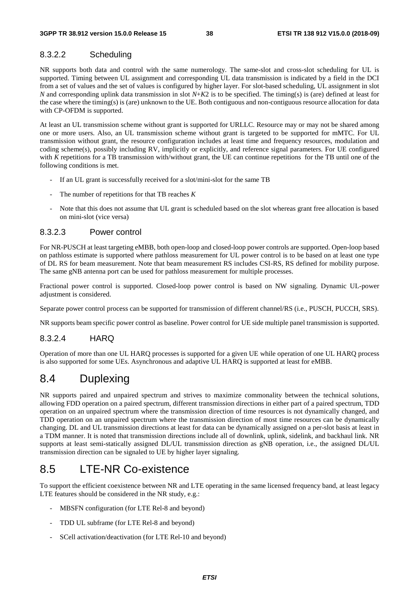## 8.3.2.2 Scheduling

NR supports both data and control with the same numerology. The same-slot and cross-slot scheduling for UL is supported. Timing between UL assignment and corresponding UL data transmission is indicated by a field in the DCI from a set of values and the set of values is configured by higher layer. For slot-based scheduling, UL assignment in slot *N* and corresponding uplink data transmission in slot *N*+*K*2 is to be specified. The timing(s) is (are) defined at least for the case where the timing(s) is (are) unknown to the UE. Both contiguous and non-contiguous resource allocation for data with CP-OFDM is supported.

At least an UL transmission scheme without grant is supported for URLLC. Resource may or may not be shared among one or more users. Also, an UL transmission scheme without grant is targeted to be supported for mMTC. For UL transmission without grant, the resource configuration includes at least time and frequency resources, modulation and coding scheme(s), possibly including RV, implicitly or explicitly, and reference signal parameters. For UE configured with *K* repetitions for a TB transmission with/without grant, the UE can continue repetitions for the TB until one of the following conditions is met.

- If an UL grant is successfully received for a slot/mini-slot for the same TB
- The number of repetitions for that TB reaches *K*
- Note that this does not assume that UL grant is scheduled based on the slot whereas grant free allocation is based on mini-slot (vice versa)

### 8.3.2.3 Power control

For NR-PUSCH at least targeting eMBB, both open-loop and closed-loop power controls are supported. Open-loop based on pathloss estimate is supported where pathloss measurement for UL power control is to be based on at least one type of DL RS for beam measurement. Note that beam measurement RS includes CSI-RS, RS defined for mobility purpose. The same gNB antenna port can be used for pathloss measurement for multiple processes.

Fractional power control is supported. Closed-loop power control is based on NW signaling. Dynamic UL-power adjustment is considered.

Separate power control process can be supported for transmission of different channel/RS (i.e., PUSCH, PUCCH, SRS).

NR supports beam specific power control as baseline. Power control for UE side multiple panel transmission is supported.

## 8.3.2.4 HARQ

Operation of more than one UL HARQ processes is supported for a given UE while operation of one UL HARQ process is also supported for some UEs. Asynchronous and adaptive UL HARQ is supported at least for eMBB.

# 8.4 Duplexing

NR supports paired and unpaired spectrum and strives to maximize commonality between the technical solutions, allowing FDD operation on a paired spectrum, different transmission directions in either part of a paired spectrum, TDD operation on an unpaired spectrum where the transmission direction of time resources is not dynamically changed, and TDD operation on an unpaired spectrum where the transmission direction of most time resources can be dynamically changing. DL and UL transmission directions at least for data can be dynamically assigned on a per-slot basis at least in a TDM manner. It is noted that transmission directions include all of downlink, uplink, sidelink, and backhaul link. NR supports at least semi-statically assigned DL/UL transmission direction as gNB operation, i.e., the assigned DL/UL transmission direction can be signaled to UE by higher layer signaling.

# 8.5 LTE-NR Co-existence

To support the efficient coexistence between NR and LTE operating in the same licensed frequency band, at least legacy LTE features should be considered in the NR study, e.g.:

- MBSFN configuration (for LTE Rel-8 and beyond)
- TDD UL subframe (for LTE Rel-8 and beyond)
- SCell activation/deactivation (for LTE Rel-10 and beyond)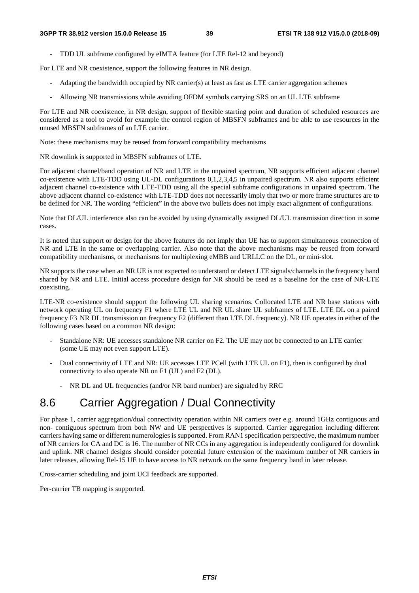- TDD UL subframe configured by eIMTA feature (for LTE Rel-12 and beyond)

For LTE and NR coexistence, support the following features in NR design.

- Adapting the bandwidth occupied by NR carrier(s) at least as fast as LTE carrier aggregation schemes
- Allowing NR transmissions while avoiding OFDM symbols carrying SRS on an UL LTE subframe

For LTE and NR coexistence, in NR design, support of flexible starting point and duration of scheduled resources are considered as a tool to avoid for example the control region of MBSFN subframes and be able to use resources in the unused MBSFN subframes of an LTE carrier.

Note: these mechanisms may be reused from forward compatibility mechanisms

NR downlink is supported in MBSFN subframes of LTE.

For adjacent channel/band operation of NR and LTE in the unpaired spectrum, NR supports efficient adjacent channel co-existence with LTE-TDD using UL-DL configurations 0,1,2,3,4,5 in unpaired spectrum. NR also supports efficient adjacent channel co-existence with LTE-TDD using all the special subframe configurations in unpaired spectrum. The above adjacent channel co-existence with LTE-TDD does not necessarily imply that two or more frame structures are to be defined for NR. The wording "efficient" in the above two bullets does not imply exact alignment of configurations.

Note that DL/UL interference also can be avoided by using dynamically assigned DL/UL transmission direction in some cases.

It is noted that support or design for the above features do not imply that UE has to support simultaneous connection of NR and LTE in the same or overlapping carrier. Also note that the above mechanisms may be reused from forward compatibility mechanisms, or mechanisms for multiplexing eMBB and URLLC on the DL, or mini-slot.

NR supports the case when an NR UE is not expected to understand or detect LTE signals/channels in the frequency band shared by NR and LTE. Initial access procedure design for NR should be used as a baseline for the case of NR-LTE coexisting.

LTE-NR co-existence should support the following UL sharing scenarios. Collocated LTE and NR base stations with network operating UL on frequency F1 where LTE UL and NR UL share UL subframes of LTE. LTE DL on a paired frequency F3 NR DL transmission on frequency F2 (different than LTE DL frequency). NR UE operates in either of the following cases based on a common NR design:

- Standalone NR: UE accesses standalone NR carrier on F2. The UE may not be connected to an LTE carrier (some UE may not even support LTE).
- Dual connectivity of LTE and NR: UE accesses LTE PCell (with LTE UL on F1), then is configured by dual connectivity to also operate NR on F1 (UL) and F2 (DL).
	- NR DL and UL frequencies (and/or NR band number) are signaled by RRC

# 8.6 Carrier Aggregation / Dual Connectivity

For phase 1, carrier aggregation/dual connectivity operation within NR carriers over e.g. around 1GHz contiguous and non- contiguous spectrum from both NW and UE perspectives is supported. Carrier aggregation including different carriers having same or different numerologies is supported. From RAN1 specification perspective, the maximum number of NR carriers for CA and DC is 16. The number of NR CCs in any aggregation is independently configured for downlink and uplink. NR channel designs should consider potential future extension of the maximum number of NR carriers in later releases, allowing Rel-15 UE to have access to NR network on the same frequency band in later release.

Cross-carrier scheduling and joint UCI feedback are supported.

Per-carrier TB mapping is supported.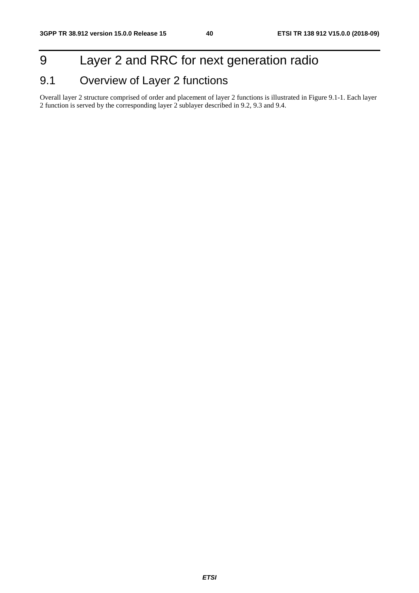# 9 Layer 2 and RRC for next generation radio

# 9.1 Overview of Layer 2 functions

Overall layer 2 structure comprised of order and placement of layer 2 functions is illustrated in Figure 9.1-1. Each layer 2 function is served by the corresponding layer 2 sublayer described in 9.2, 9.3 and 9.4.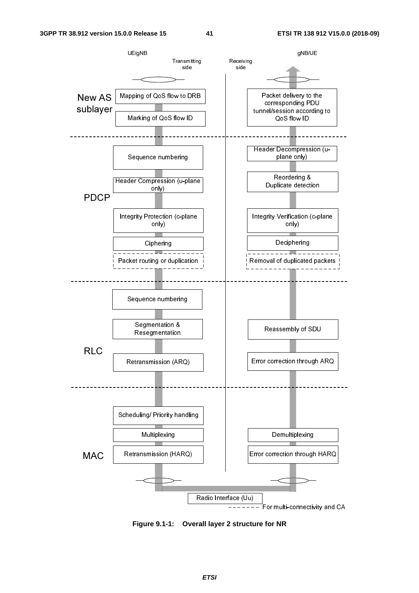

**Figure 9.1-1: Overall layer 2 structure for NR** 

*ETSI*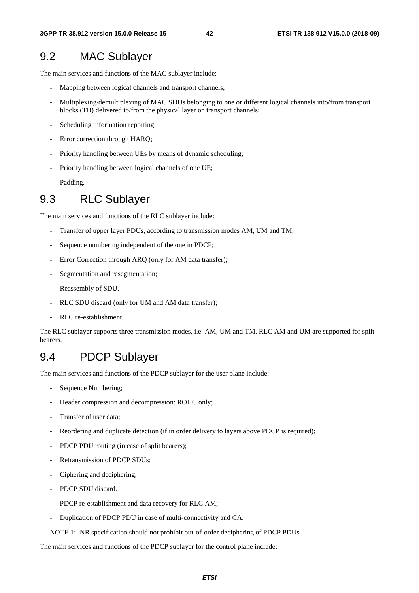## 9.2 MAC Sublayer

The main services and functions of the MAC sublayer include:

- Mapping between logical channels and transport channels;
- Multiplexing/demultiplexing of MAC SDUs belonging to one or different logical channels into/from transport blocks (TB) delivered to/from the physical layer on transport channels;
- Scheduling information reporting;
- Error correction through HARQ;
- Priority handling between UEs by means of dynamic scheduling;
- Priority handling between logical channels of one UE;
- Padding.

# 9.3 RLC Sublayer

The main services and functions of the RLC sublayer include:

- Transfer of upper layer PDUs, according to transmission modes AM, UM and TM;
- Sequence numbering independent of the one in PDCP;
- Error Correction through ARQ (only for AM data transfer);
- Segmentation and resegmentation;
- Reassembly of SDU.
- RLC SDU discard (only for UM and AM data transfer);
- RLC re-establishment.

The RLC sublayer supports three transmission modes, i.e. AM, UM and TM. RLC AM and UM are supported for split bearers.

## 9.4 PDCP Sublayer

The main services and functions of the PDCP sublayer for the user plane include:

- Sequence Numbering;
- Header compression and decompression: ROHC only;
- Transfer of user data;
- Reordering and duplicate detection (if in order delivery to layers above PDCP is required);
- PDCP PDU routing (in case of split bearers);
- Retransmission of PDCP SDUs;
- Ciphering and deciphering;
- PDCP SDU discard.
- PDCP re-establishment and data recovery for RLC AM;
- Duplication of PDCP PDU in case of multi-connectivity and CA.

NOTE 1: NR specification should not prohibit out-of-order deciphering of PDCP PDUs.

The main services and functions of the PDCP sublayer for the control plane include: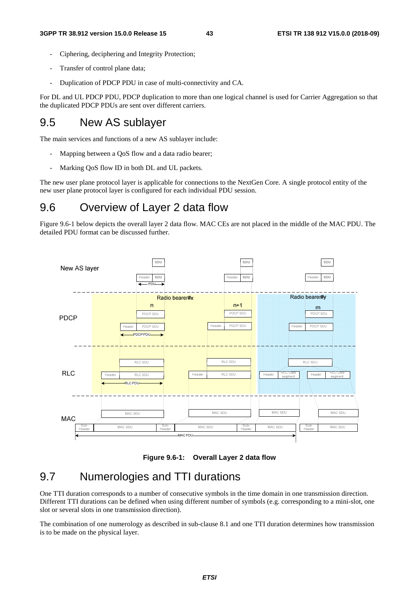- Ciphering, deciphering and Integrity Protection;
- Transfer of control plane data;
- Duplication of PDCP PDU in case of multi-connectivity and CA.

For DL and UL PDCP PDU, PDCP duplication to more than one logical channel is used for Carrier Aggregation so that the duplicated PDCP PDUs are sent over different carriers.

# 9.5 New AS sublayer

The main services and functions of a new AS sublayer include:

- Mapping between a QoS flow and a data radio bearer;
- Marking QoS flow ID in both DL and UL packets.

The new user plane protocol layer is applicable for connections to the NextGen Core. A single protocol entity of the new user plane protocol layer is configured for each individual PDU session.

# 9.6 Overview of Layer 2 data flow

Figure 9.6-1 below depicts the overall layer 2 data flow. MAC CEs are not placed in the middle of the MAC PDU. The detailed PDU format can be discussed further.





## 9.7 Numerologies and TTI durations

One TTI duration corresponds to a number of consecutive symbols in the time domain in one transmission direction. Different TTI durations can be defined when using different number of symbols (e.g. corresponding to a mini-slot, one slot or several slots in one transmission direction).

The combination of one numerology as described in sub-clause 8.1 and one TTI duration determines how transmission is to be made on the physical layer.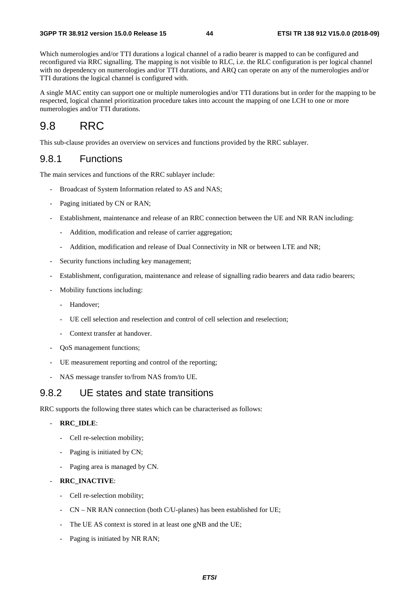Which numerologies and/or TTI durations a logical channel of a radio bearer is mapped to can be configured and reconfigured via RRC signalling. The mapping is not visible to RLC, i.e. the RLC configuration is per logical channel with no dependency on numerologies and/or TTI durations, and ARQ can operate on any of the numerologies and/or TTI durations the logical channel is configured with.

A single MAC entity can support one or multiple numerologies and/or TTI durations but in order for the mapping to be respected, logical channel prioritization procedure takes into account the mapping of one LCH to one or more numerologies and/or TTI durations.

# 9.8 RRC

This sub*-*clause provides an overview on services and functions provided by the RRC sublayer.

## 9.8.1 Functions

The main services and functions of the RRC sublayer include:

- Broadcast of System Information related to AS and NAS;
- Paging initiated by CN or RAN;
- Establishment, maintenance and release of an RRC connection between the UE and NR RAN including:
	- Addition, modification and release of carrier aggregation;
	- Addition, modification and release of Dual Connectivity in NR or between LTE and NR;
- Security functions including key management;
- Establishment, configuration, maintenance and release of signalling radio bearers and data radio bearers;
- Mobility functions including:
	- Handover;
	- UE cell selection and reselection and control of cell selection and reselection;
	- Context transfer at handover.
- QoS management functions;
- UE measurement reporting and control of the reporting;
- NAS message transfer to/from NAS from/to UE.

## 9.8.2 UE states and state transitions

RRC supports the following three states which can be characterised as follows:

#### - **RRC\_IDLE**:

- Cell re-selection mobility;
- Paging is initiated by CN;
- Paging area is managed by CN.

#### - **RRC\_INACTIVE**:

- Cell re-selection mobility;
- CN NR RAN connection (both C/U-planes) has been established for UE;
- The UE AS context is stored in at least one gNB and the UE;
- Paging is initiated by NR RAN;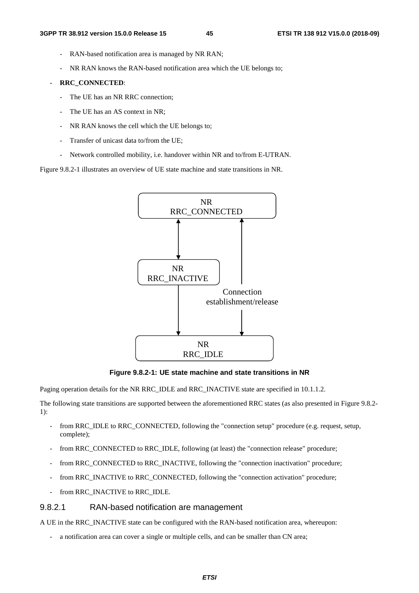- RAN-based notification area is managed by NR RAN;
- NR RAN knows the RAN-based notification area which the UE belongs to;

### - **RRC\_CONNECTED**:

- The UE has an NR RRC connection;
- The UE has an AS context in NR;
- NR RAN knows the cell which the UE belongs to;
- Transfer of unicast data to/from the UE;
- Network controlled mobility, i.e. handover within NR and to/from E-UTRAN.

Figure 9.8.2-1 illustrates an overview of UE state machine and state transitions in NR.



**Figure 9.8.2-1: UE state machine and state transitions in NR** 

Paging operation details for the NR RRC\_IDLE and RRC\_INACTIVE state are specified in 10.1.1.2.

The following state transitions are supported between the aforementioned RRC states (as also presented in Figure 9.8.2- 1):

- from RRC\_IDLE to RRC\_CONNECTED, following the "connection setup" procedure (e.g. request, setup, complete);
- from RRC\_CONNECTED to RRC\_IDLE, following (at least) the "connection release" procedure;
- from RRC\_CONNECTED to RRC\_INACTIVE, following the "connection inactivation" procedure;
- from RRC\_INACTIVE to RRC\_CONNECTED, following the "connection activation" procedure;
- from RRC\_INACTIVE to RRC\_IDLE.

## 9.8.2.1 RAN-based notification are management

A UE in the RRC\_INACTIVE state can be configured with the RAN-based notification area, whereupon:

a notification area can cover a single or multiple cells, and can be smaller than CN area;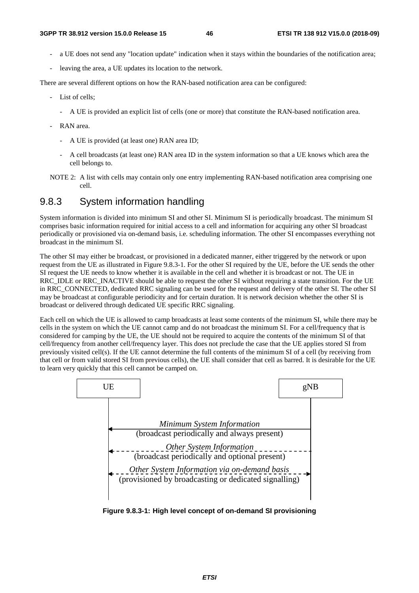- a UE does not send any "location update" indication when it stays within the boundaries of the notification area;
- leaving the area, a UE updates its location to the network.

There are several different options on how the RAN-based notification area can be configured:

- List of cells;
	- A UE is provided an explicit list of cells (one or more) that constitute the RAN-based notification area.
- RAN area.
	- A UE is provided (at least one) RAN area ID;
	- A cell broadcasts (at least one) RAN area ID in the system information so that a UE knows which area the cell belongs to.
- NOTE 2: A list with cells may contain only one entry implementing RAN-based notification area comprising one cell.

## 9.8.3 System information handling

System information is divided into minimum SI and other SI. Minimum SI is periodically broadcast. The minimum SI comprises basic information required for initial access to a cell and information for acquiring any other SI broadcast periodically or provisioned via on-demand basis, i.e. scheduling information. The other SI encompasses everything not broadcast in the minimum SI.

The other SI may either be broadcast, or provisioned in a dedicated manner, either triggered by the network or upon request from the UE as illustrated in Figure 9.8.3-1. For the other SI required by the UE, before the UE sends the other SI request the UE needs to know whether it is available in the cell and whether it is broadcast or not. The UE in RRC\_IDLE or RRC\_INACTIVE should be able to request the other SI without requiring a state transition. For the UE in RRC\_CONNECTED, dedicated RRC signaling can be used for the request and delivery of the other SI. The other SI may be broadcast at configurable periodicity and for certain duration. It is network decision whether the other SI is broadcast or delivered through dedicated UE specific RRC signaling.

Each cell on which the UE is allowed to camp broadcasts at least some contents of the minimum SI, while there may be cells in the system on which the UE cannot camp and do not broadcast the minimum SI. For a cell/frequency that is considered for camping by the UE, the UE should not be required to acquire the contents of the minimum SI of that cell/frequency from another cell/frequency layer. This does not preclude the case that the UE applies stored SI from previously visited cell(s). If the UE cannot determine the full contents of the minimum SI of a cell (by receiving from that cell or from valid stored SI from previous cells), the UE shall consider that cell as barred. It is desirable for the UE to learn very quickly that this cell cannot be camped on.



**Figure 9.8.3-1: High level concept of on-demand SI provisioning**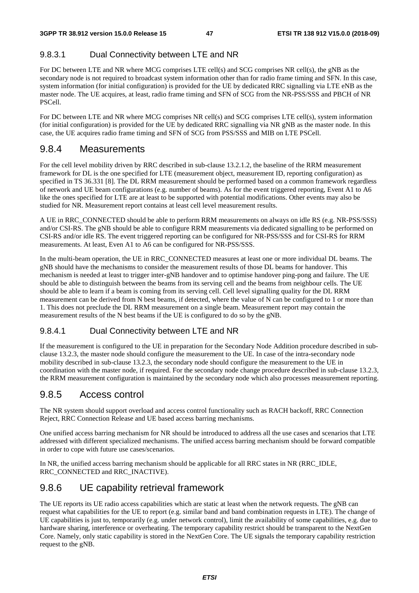## 9.8.3.1 Dual Connectivity between LTE and NR

For DC between LTE and NR where MCG comprises LTE cell(s) and SCG comprises NR cell(s), the gNB as the secondary node is not required to broadcast system information other than for radio frame timing and SFN. In this case, system information (for initial configuration) is provided for the UE by dedicated RRC signalling via LTE eNB as the master node. The UE acquires, at least, radio frame timing and SFN of SCG from the NR-PSS/SSS and PBCH of NR PSCell.

For DC between LTE and NR where MCG comprises NR cell(s) and SCG comprises LTE cell(s), system information (for initial configuration) is provided for the UE by dedicated RRC signalling via NR gNB as the master node. In this case, the UE acquires radio frame timing and SFN of SCG from PSS/SSS and MIB on LTE PSCell.

## 9.8.4 Measurements

For the cell level mobility driven by RRC described in sub-clause 13.2.1.2, the baseline of the RRM measurement framework for DL is the one specified for LTE (measurement object, measurement ID, reporting configuration) as specified in TS 36.331 [8]. The DL RRM measurement should be performed based on a common framework regardless of network and UE beam configurations (e.g. number of beams). As for the event triggered reporting, Event A1 to A6 like the ones specified for LTE are at least to be supported with potential modifications. Other events may also be studied for NR. Measurement report contains at least cell level measurement results.

A UE in RRC\_CONNECTED should be able to perform RRM measurements on always on idle RS (e.g. NR-PSS/SSS) and/or CSI-RS. The gNB should be able to configure RRM measurements via dedicated signalling to be performed on CSI-RS and/or idle RS. The event triggered reporting can be configured for NR-PSS/SSS and for CSI-RS for RRM measurements. At least, Even A1 to A6 can be configured for NR-PSS/SSS.

In the multi-beam operation, the UE in RRC\_CONNECTED measures at least one or more individual DL beams. The gNB should have the mechanisms to consider the measurement results of those DL beams for handover. This mechanism is needed at least to trigger inter-gNB handover and to optimise handover ping-pong and failure. The UE should be able to distinguish between the beams from its serving cell and the beams from neighbour cells. The UE should be able to learn if a beam is coming from its serving cell. Cell level signalling quality for the DL RRM measurement can be derived from N best beams, if detected, where the value of N can be configured to 1 or more than 1. This does not preclude the DL RRM measurement on a single beam. Measurement report may contain the measurement results of the N best beams if the UE is configured to do so by the gNB.

## 9.8.4.1 Dual Connectivity between LTE and NR

If the measurement is configured to the UE in preparation for the Secondary Node Addition procedure described in subclause 13.2.3, the master node should configure the measurement to the UE. In case of the intra-secondary node mobility described in sub-clause 13.2.3, the secondary node should configure the measurement to the UE in coordination with the master node, if required. For the secondary node change procedure described in sub-clause 13.2.3, the RRM measurement configuration is maintained by the secondary node which also processes measurement reporting.

## 9.8.5 Access control

The NR system should support overload and access control functionality such as RACH backoff, RRC Connection Reject, RRC Connection Release and UE based access barring mechanisms.

One unified access barring mechanism for NR should be introduced to address all the use cases and scenarios that LTE addressed with different specialized mechanisms. The unified access barring mechanism should be forward compatible in order to cope with future use cases/scenarios.

In NR, the unified access barring mechanism should be applicable for all RRC states in NR (RRC\_IDLE, RRC\_CONNECTED and RRC\_INACTIVE).

## 9.8.6 UE capability retrieval framework

The UE reports its UE radio access capabilities which are static at least when the network requests. The gNB can request what capabilities for the UE to report (e.g. similar band and band combination requests in LTE). The change of UE capabilities is just to, temporarily (e.g. under network control), limit the availability of some capabilities, e.g. due to hardware sharing, interference or overheating. The temporary capability restrict should be transparent to the NextGen Core. Namely, only static capability is stored in the NextGen Core. The UE signals the temporary capability restriction request to the gNB.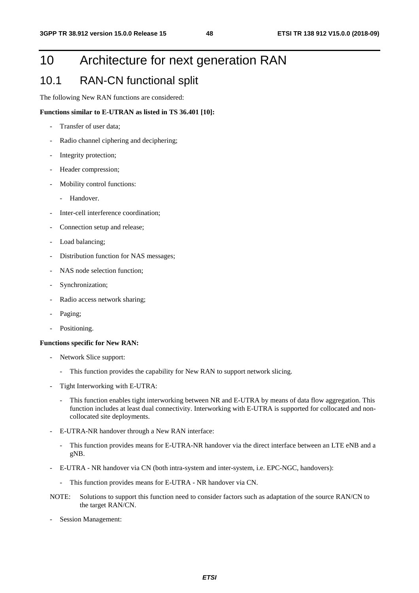# 10 Architecture for next generation RAN

## 10.1 RAN-CN functional split

The following New RAN functions are considered:

#### **Functions similar to E-UTRAN as listed in TS 36.401 [10]:**

- Transfer of user data;
- Radio channel ciphering and deciphering;
- Integrity protection;
- Header compression;
- Mobility control functions:
	- Handover.
- Inter-cell interference coordination:
- Connection setup and release;
- Load balancing;
- Distribution function for NAS messages;
- NAS node selection function;
- Synchronization;
- Radio access network sharing;
- Paging;
- Positioning.

#### **Functions specific for New RAN:**

- Network Slice support:
	- This function provides the capability for New RAN to support network slicing.
- Tight Interworking with E-UTRA:
	- This function enables tight interworking between NR and E-UTRA by means of data flow aggregation. This function includes at least dual connectivity. Interworking with E-UTRA is supported for collocated and noncollocated site deployments.
- E-UTRA-NR handover through a New RAN interface:
	- This function provides means for E-UTRA-NR handover via the direct interface between an LTE eNB and a gNB.
- E-UTRA NR handover via CN (both intra-system and inter-system, i.e. EPC-NGC, handovers):
	- This function provides means for E-UTRA NR handover via CN.
- NOTE: Solutions to support this function need to consider factors such as adaptation of the source RAN/CN to the target RAN/CN.
- Session Management: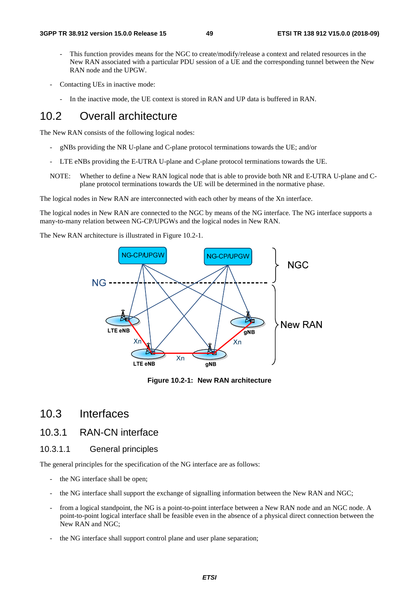- This function provides means for the NGC to create/modify/release a context and related resources in the New RAN associated with a particular PDU session of a UE and the corresponding tunnel between the New RAN node and the UPGW.
- Contacting UEs in inactive mode:
	- In the inactive mode, the UE context is stored in RAN and UP data is buffered in RAN.

## 10.2 Overall architecture

The New RAN consists of the following logical nodes:

- gNBs providing the NR U-plane and C-plane protocol terminations towards the UE; and/or
- LTE eNBs providing the E-UTRA U-plane and C-plane protocol terminations towards the UE.
- NOTE: Whether to define a New RAN logical node that is able to provide both NR and E-UTRA U-plane and Cplane protocol terminations towards the UE will be determined in the normative phase.

The logical nodes in New RAN are interconnected with each other by means of the Xn interface.

The logical nodes in New RAN are connected to the NGC by means of the NG interface. The NG interface supports a many-to-many relation between NG-CP/UPGWs and the logical nodes in New RAN.

The New RAN architecture is illustrated in Figure 10.2-1.



**Figure 10.2-1: New RAN architecture** 

## 10.3 Interfaces

## 10.3.1 RAN-CN interface

### 10.3.1.1 General principles

The general principles for the specification of the NG interface are as follows:

- the NG interface shall be open;
- the NG interface shall support the exchange of signalling information between the New RAN and NGC;
- from a logical standpoint, the NG is a point-to-point interface between a New RAN node and an NGC node. A point-to-point logical interface shall be feasible even in the absence of a physical direct connection between the New RAN and NGC;
- the NG interface shall support control plane and user plane separation;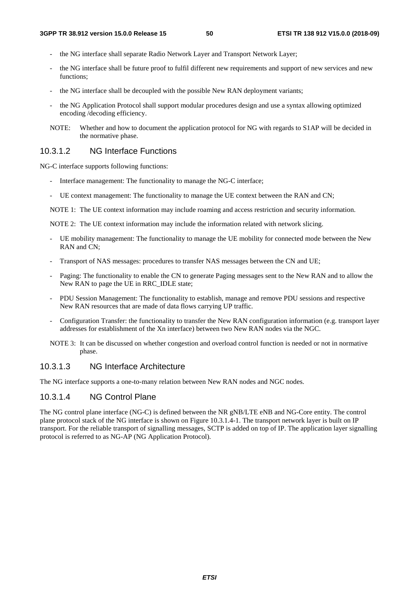- the NG interface shall separate Radio Network Layer and Transport Network Layer;
- the NG interface shall be future proof to fulfil different new requirements and support of new services and new functions;
- the NG interface shall be decoupled with the possible New RAN deployment variants;
- the NG Application Protocol shall support modular procedures design and use a syntax allowing optimized encoding /decoding efficiency.
- NOTE: Whether and how to document the application protocol for NG with regards to S1AP will be decided in the normative phase.

#### 10.3.1.2 NG Interface Functions

NG-C interface supports following functions:

- Interface management: The functionality to manage the NG-C interface;
- UE context management: The functionality to manage the UE context between the RAN and CN;

NOTE 1: The UE context information may include roaming and access restriction and security information.

NOTE 2: The UE context information may include the information related with network slicing.

- UE mobility management: The functionality to manage the UE mobility for connected mode between the New RAN and CN;
- Transport of NAS messages: procedures to transfer NAS messages between the CN and UE;
- Paging: The functionality to enable the CN to generate Paging messages sent to the New RAN and to allow the New RAN to page the UE in RRC\_IDLE state;
- PDU Session Management: The functionality to establish, manage and remove PDU sessions and respective New RAN resources that are made of data flows carrying UP traffic.
- Configuration Transfer: the functionality to transfer the New RAN configuration information (e.g. transport layer addresses for establishment of the Xn interface) between two New RAN nodes via the NGC.
- NOTE 3: It can be discussed on whether congestion and overload control function is needed or not in normative phase.

## 10.3.1.3 NG Interface Architecture

The NG interface supports a one-to-many relation between New RAN nodes and NGC nodes.

## 10.3.1.4 NG Control Plane

The NG control plane interface (NG-C) is defined between the NR gNB/LTE eNB and NG-Core entity. The control plane protocol stack of the NG interface is shown on Figure 10.3.1.4-1. The transport network layer is built on IP transport. For the reliable transport of signalling messages, SCTP is added on top of IP. The application layer signalling protocol is referred to as NG-AP (NG Application Protocol).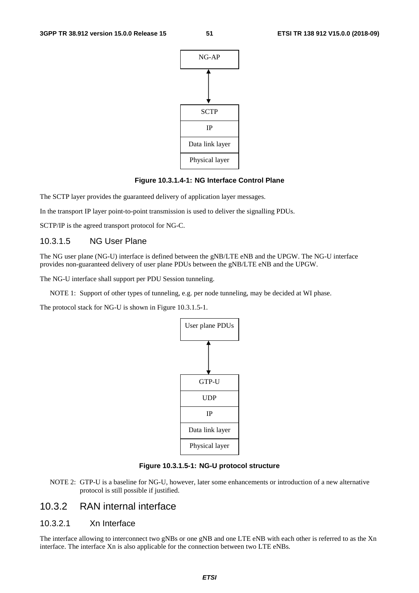

#### **Figure 10.3.1.4-1: NG Interface Control Plane**

The SCTP layer provides the guaranteed delivery of application layer messages.

In the transport IP layer point-to-point transmission is used to deliver the signalling PDUs.

SCTP/IP is the agreed transport protocol for NG-C.

#### 10.3.1.5 NG User Plane

The NG user plane (NG-U) interface is defined between the gNB/LTE eNB and the UPGW. The NG-U interface provides non-guaranteed delivery of user plane PDUs between the gNB/LTE eNB and the UPGW.

The NG-U interface shall support per PDU Session tunneling.

NOTE 1: Support of other types of tunneling, e.g. per node tunneling, may be decided at WI phase.

The protocol stack for NG-U is shown in Figure 10.3.1.5-1.



#### **Figure 10.3.1.5-1: NG-U protocol structure**

NOTE 2: GTP-U is a baseline for NG-U, however, later some enhancements or introduction of a new alternative protocol is still possible if justified.

## 10.3.2 RAN internal interface

## 10.3.2.1 Xn Interface

The interface allowing to interconnect two gNBs or one gNB and one LTE eNB with each other is referred to as the Xn interface. The interface Xn is also applicable for the connection between two LTE eNBs.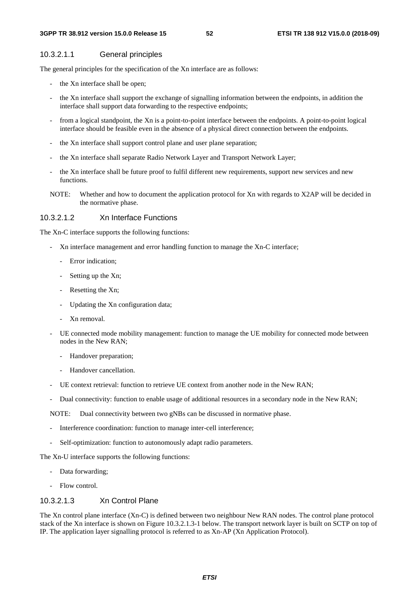#### 10.3.2.1.1 General principles

The general principles for the specification of the Xn interface are as follows:

- the Xn interface shall be open;
- the Xn interface shall support the exchange of signalling information between the endpoints, in addition the interface shall support data forwarding to the respective endpoints;
- from a logical standpoint, the Xn is a point-to-point interface between the endpoints. A point-to-point logical interface should be feasible even in the absence of a physical direct connection between the endpoints.
- the Xn interface shall support control plane and user plane separation;
- the Xn interface shall separate Radio Network Layer and Transport Network Layer;
- the Xn interface shall be future proof to fulfil different new requirements, support new services and new functions.
- NOTE: Whether and how to document the application protocol for Xn with regards to X2AP will be decided in the normative phase.

#### 10.3.2.1.2 Xn Interface Functions

The Xn-C interface supports the following functions:

- Xn interface management and error handling function to manage the Xn-C interface;
	- Error indication;
	- Setting up the Xn;
	- Resetting the Xn;
	- Updating the Xn configuration data;
	- Xn removal.
- UE connected mode mobility management: function to manage the UE mobility for connected mode between nodes in the New RAN;
	- Handover preparation:
	- Handover cancellation.
- UE context retrieval: function to retrieve UE context from another node in the New RAN;
- Dual connectivity: function to enable usage of additional resources in a secondary node in the New RAN;

NOTE: Dual connectivity between two gNBs can be discussed in normative phase.

- Interference coordination: function to manage inter-cell interference;
- Self-optimization: function to autonomously adapt radio parameters.

The Xn-U interface supports the following functions:

- Data forwarding;
- Flow control.

### 10.3.2.1.3 Xn Control Plane

The Xn control plane interface (Xn-C) is defined between two neighbour New RAN nodes. The control plane protocol stack of the Xn interface is shown on Figure 10.3.2.1.3-1 below. The transport network layer is built on SCTP on top of IP. The application layer signalling protocol is referred to as Xn-AP (Xn Application Protocol).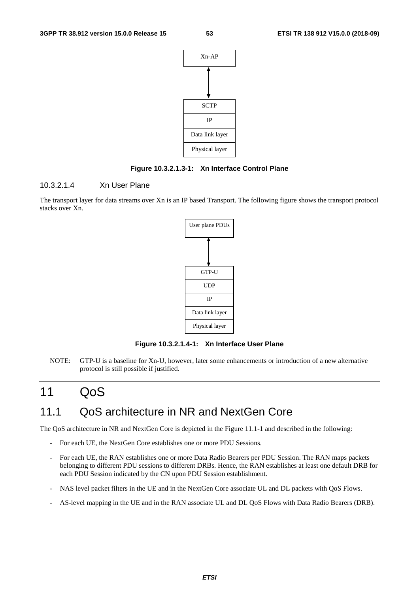

#### **Figure 10.3.2.1.3-1: Xn Interface Control Plane**

### 10.3.2.1.4 Xn User Plane

The transport layer for data streams over Xn is an IP based Transport. The following figure shows the transport protocol stacks over Xn.



**Figure 10.3.2.1.4-1: Xn Interface User Plane** 

NOTE: GTP-U is a baseline for Xn-U, however, later some enhancements or introduction of a new alternative protocol is still possible if justified.

# 11 QoS

# 11.1 QoS architecture in NR and NextGen Core

The QoS architecture in NR and NextGen Core is depicted in the Figure 11.1-1 and described in the following:

- For each UE, the NextGen Core establishes one or more PDU Sessions.
- For each UE, the RAN establishes one or more Data Radio Bearers per PDU Session. The RAN maps packets belonging to different PDU sessions to different DRBs. Hence, the RAN establishes at least one default DRB for each PDU Session indicated by the CN upon PDU Session establishment.
- NAS level packet filters in the UE and in the NextGen Core associate UL and DL packets with QoS Flows.
- AS-level mapping in the UE and in the RAN associate UL and DL QoS Flows with Data Radio Bearers (DRB).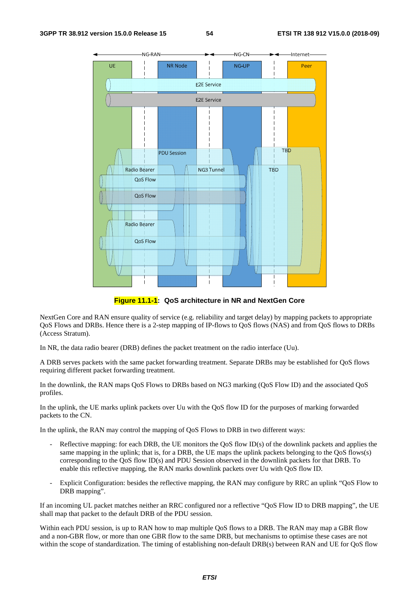

**Figure 11.1-1: QoS architecture in NR and NextGen Core** 

NextGen Core and RAN ensure quality of service (e.g. reliability and target delay) by mapping packets to appropriate QoS Flows and DRBs. Hence there is a 2-step mapping of IP-flows to QoS flows (NAS) and from QoS flows to DRBs (Access Stratum).

In NR, the data radio bearer (DRB) defines the packet treatment on the radio interface (Uu).

A DRB serves packets with the same packet forwarding treatment. Separate DRBs may be established for QoS flows requiring different packet forwarding treatment.

In the downlink, the RAN maps QoS Flows to DRBs based on NG3 marking (QoS Flow ID) and the associated QoS profiles.

In the uplink, the UE marks uplink packets over Uu with the QoS flow ID for the purposes of marking forwarded packets to the CN.

In the uplink, the RAN may control the mapping of QoS Flows to DRB in two different ways:

- Reflective mapping: for each DRB, the UE monitors the QoS flow ID(s) of the downlink packets and applies the same mapping in the uplink; that is, for a DRB, the UE maps the uplink packets belonging to the QoS flows(s) corresponding to the QoS flow ID(s) and PDU Session observed in the downlink packets for that DRB. To enable this reflective mapping, the RAN marks downlink packets over Uu with QoS flow ID.
- Explicit Configuration: besides the reflective mapping, the RAN may configure by RRC an uplink "QoS Flow to DRB mapping".

If an incoming UL packet matches neither an RRC configured nor a reflective "QoS Flow ID to DRB mapping", the UE shall map that packet to the default DRB of the PDU session.

Within each PDU session, is up to RAN how to map multiple QoS flows to a DRB. The RAN may map a GBR flow and a non-GBR flow, or more than one GBR flow to the same DRB, but mechanisms to optimise these cases are not within the scope of standardization. The timing of establishing non-default DRB(s) between RAN and UE for QoS flow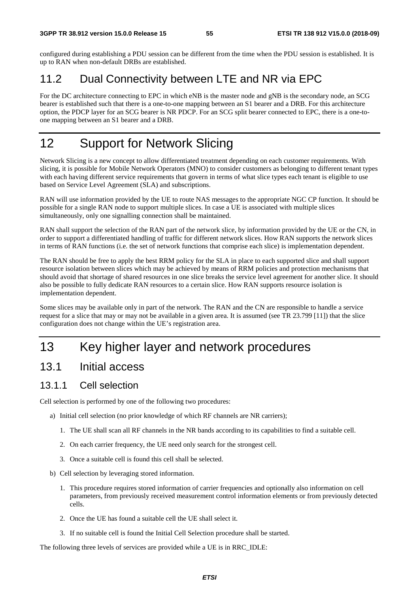configured during establishing a PDU session can be different from the time when the PDU session is established. It is up to RAN when non-default DRBs are established.

# 11.2 Dual Connectivity between LTE and NR via EPC

For the DC architecture connecting to EPC in which eNB is the master node and gNB is the secondary node, an SCG bearer is established such that there is a one-to-one mapping between an S1 bearer and a DRB. For this architecture option, the PDCP layer for an SCG bearer is NR PDCP. For an SCG split bearer connected to EPC, there is a one-toone mapping between an S1 bearer and a DRB.

# 12 Support for Network Slicing

Network Slicing is a new concept to allow differentiated treatment depending on each customer requirements. With slicing, it is possible for Mobile Network Operators (MNO) to consider customers as belonging to different tenant types with each having different service requirements that govern in terms of what slice types each tenant is eligible to use based on Service Level Agreement (SLA) and subscriptions.

RAN will use information provided by the UE to route NAS messages to the appropriate NGC CP function. It should be possible for a single RAN node to support multiple slices. In case a UE is associated with multiple slices simultaneously, only one signalling connection shall be maintained.

RAN shall support the selection of the RAN part of the network slice, by information provided by the UE or the CN, in order to support a differentiated handling of traffic for different network slices. How RAN supports the network slices in terms of RAN functions (i.e. the set of network functions that comprise each slice) is implementation dependent.

The RAN should be free to apply the best RRM policy for the SLA in place to each supported slice and shall support resource isolation between slices which may be achieved by means of RRM policies and protection mechanisms that should avoid that shortage of shared resources in one slice breaks the service level agreement for another slice. It should also be possible to fully dedicate RAN resources to a certain slice. How RAN supports resource isolation is implementation dependent.

Some slices may be available only in part of the network. The RAN and the CN are responsible to handle a service request for a slice that may or may not be available in a given area. It is assumed (see TR 23.799 [11]) that the slice configuration does not change within the UE's registration area.

# 13 Key higher layer and network procedures

# 13.1 Initial access

## 13.1.1 Cell selection

Cell selection is performed by one of the following two procedures:

- a) Initial cell selection (no prior knowledge of which RF channels are NR carriers);
	- 1. The UE shall scan all RF channels in the NR bands according to its capabilities to find a suitable cell.
	- 2. On each carrier frequency, the UE need only search for the strongest cell.
	- 3. Once a suitable cell is found this cell shall be selected.
- b) Cell selection by leveraging stored information.
	- 1. This procedure requires stored information of carrier frequencies and optionally also information on cell parameters, from previously received measurement control information elements or from previously detected cells.
	- 2. Once the UE has found a suitable cell the UE shall select it.
	- 3. If no suitable cell is found the Initial Cell Selection procedure shall be started.

The following three levels of services are provided while a UE is in RRC\_IDLE: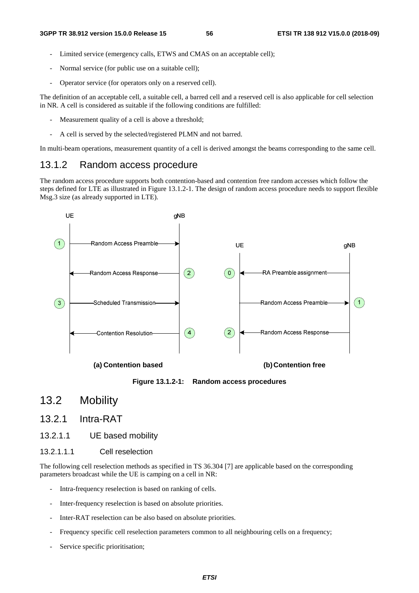- Limited service (emergency calls, ETWS and CMAS on an acceptable cell);
- Normal service (for public use on a suitable cell);
- Operator service (for operators only on a reserved cell).

The definition of an acceptable cell, a suitable cell, a barred cell and a reserved cell is also applicable for cell selection in NR. A cell is considered as suitable if the following conditions are fulfilled:

- Measurement quality of a cell is above a threshold;
- A cell is served by the selected/registered PLMN and not barred.

In multi-beam operations, measurement quantity of a cell is derived amongst the beams corresponding to the same cell.

## 13.1.2 Random access procedure

The random access procedure supports both contention-based and contention free random accesses which follow the steps defined for LTE as illustrated in Figure 13.1.2-1. The design of random access procedure needs to support flexible Msg.3 size (as already supported in LTE).



**Figure 13.1.2-1: Random access procedures** 

## 13.2 Mobility

## 13.2.1 Intra-RAT

13.2.1.1 UE based mobility

#### 13.2.1.1.1 Cell reselection

The following cell reselection methods as specified in TS 36.304 [7] are applicable based on the corresponding parameters broadcast while the UE is camping on a cell in NR:

- Intra-frequency reselection is based on ranking of cells.
- Inter-frequency reselection is based on absolute priorities.
- Inter-RAT reselection can be also based on absolute priorities.
- Frequency specific cell reselection parameters common to all neighbouring cells on a frequency;
- Service specific prioritisation;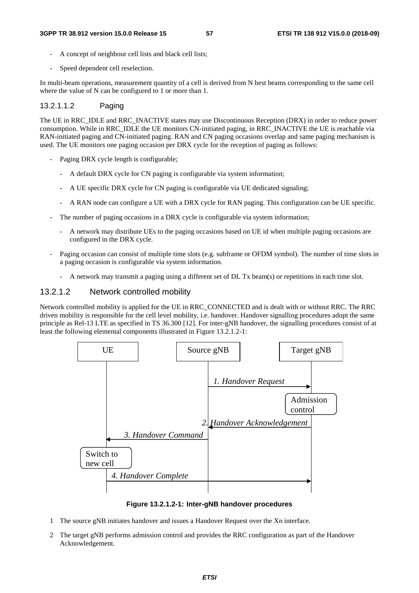- A concept of neighbour cell lists and black cell lists;
- Speed dependent cell reselection.

In multi-beam operations, measurement quantity of a cell is derived from N best beams corresponding to the same cell where the value of N can be configured to 1 or more than 1.

#### 13.2.1.1.2 Paging

The UE in RRC\_IDLE and RRC\_INACTIVE states may use Discontinuous Reception (DRX) in order to reduce power consumption. While in RRC\_IDLE the UE monitors CN-initiated paging, in RRC\_INACTIVE the UE is reachable via RAN-initiated paging and CN-initiated paging. RAN and CN paging occasions overlap and same paging mechanism is used. The UE monitors one paging occasion per DRX cycle for the reception of paging as follows:

- Paging DRX cycle length is configurable;
	- A default DRX cycle for CN paging is configurable via system information;
	- A UE specific DRX cycle for CN paging is configurable via UE dedicated signaling;
	- A RAN node can configure a UE with a DRX cycle for RAN paging. This configuration can be UE specific.
- The number of paging occasions in a DRX cycle is configurable via system information;
	- A network may distribute UEs to the paging occasions based on UE id when multiple paging occasions are configured in the DRX cycle.
- Paging occasion can consist of multiple time slots (e.g. subframe or OFDM symbol). The number of time slots in a paging occasion is configurable via system information.
	- A network may transmit a paging using a different set of DL Tx beam(s) or repetitions in each time slot.

### 13.2.1.2 Network controlled mobility

Network controlled mobility is applied for the UE in RRC\_CONNECTED and is dealt with or without RRC. The RRC driven mobility is responsible for the cell level mobility, i.e. handover. Handover signalling procedures adopt the same principle as Rel-13 LTE as specified in TS 36.300 [12]. For inter-gNB handover, the signalling procedures consist of at least the following elemental components illustrated in Figure 13.2.1.2-1:



**Figure 13.2.1.2-1: Inter-gNB handover procedures** 

- 1 The source gNB initiates handover and issues a Handover Request over the Xn interface.
- 2 The target gNB performs admission control and provides the RRC configuration as part of the Handover Acknowledgement.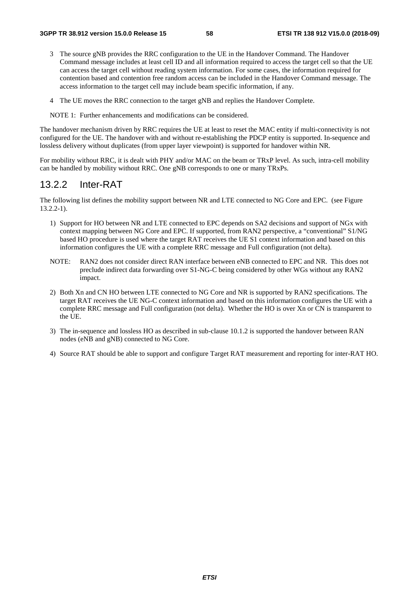- 3 The source gNB provides the RRC configuration to the UE in the Handover Command. The Handover Command message includes at least cell ID and all information required to access the target cell so that the UE can access the target cell without reading system information. For some cases, the information required for contention based and contention free random access can be included in the Handover Command message. The access information to the target cell may include beam specific information, if any.
- 4 The UE moves the RRC connection to the target gNB and replies the Handover Complete.

NOTE 1: Further enhancements and modifications can be considered.

The handover mechanism driven by RRC requires the UE at least to reset the MAC entity if multi-connectivity is not configured for the UE. The handover with and without re-establishing the PDCP entity is supported. In-sequence and lossless delivery without duplicates (from upper layer viewpoint) is supported for handover within NR.

For mobility without RRC, it is dealt with PHY and/or MAC on the beam or TRxP level. As such, intra-cell mobility can be handled by mobility without RRC. One gNB corresponds to one or many TRxPs.

## 13.2.2 Inter-RAT

The following list defines the mobility support between NR and LTE connected to NG Core and EPC. (see Figure 13.2.2-1).

- 1) Support for HO between NR and LTE connected to EPC depends on SA2 decisions and support of NGx with context mapping between NG Core and EPC. If supported, from RAN2 perspective, a "conventional" S1/NG based HO procedure is used where the target RAT receives the UE S1 context information and based on this information configures the UE with a complete RRC message and Full configuration (not delta).
- NOTE: RAN2 does not consider direct RAN interface between eNB connected to EPC and NR. This does not preclude indirect data forwarding over S1-NG-C being considered by other WGs without any RAN2 impact.
- 2) Both Xn and CN HO between LTE connected to NG Core and NR is supported by RAN2 specifications. The target RAT receives the UE NG-C context information and based on this information configures the UE with a complete RRC message and Full configuration (not delta). Whether the HO is over Xn or CN is transparent to the UE.
- 3) The in-sequence and lossless HO as described in sub-clause 10.1.2 is supported the handover between RAN nodes (eNB and gNB) connected to NG Core.
- 4) Source RAT should be able to support and configure Target RAT measurement and reporting for inter-RAT HO.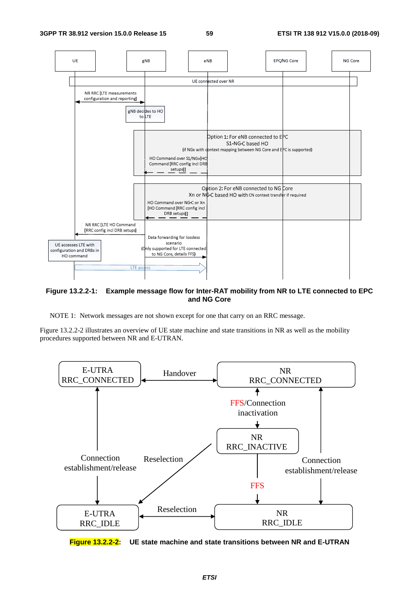

#### **Figure 13.2.2-1: Example message flow for Inter-RAT mobility from NR to LTE connected to EPC and NG Core**

NOTE 1: Network messages are not shown except for one that carry on an RRC message.

Figure 13.2.2-2 illustrates an overview of UE state machine and state transitions in NR as well as the mobility procedures supported between NR and E-UTRAN.



**Figure 13.2.2-2: UE state machine and state transitions between NR and E-UTRAN**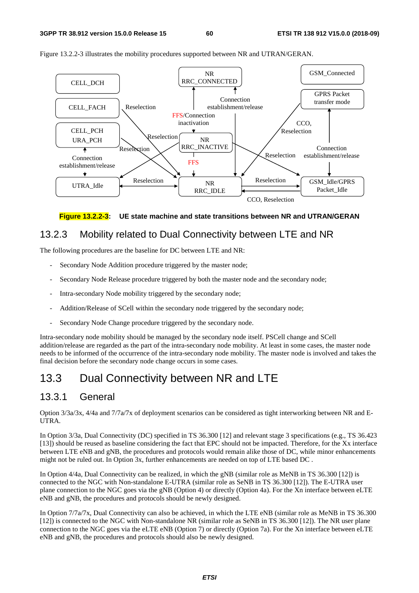

Figure 13.2.2-3 illustrates the mobility procedures supported between NR and UTRAN/GERAN.



## 13.2.3 Mobility related to Dual Connectivity between LTE and NR

The following procedures are the baseline for DC between LTE and NR:

- Secondary Node Addition procedure triggered by the master node;
- Secondary Node Release procedure triggered by both the master node and the secondary node;
- Intra-secondary Node mobility triggered by the secondary node;
- Addition/Release of SCell within the secondary node triggered by the secondary node;
- Secondary Node Change procedure triggered by the secondary node.

Intra-secondary node mobility should be managed by the secondary node itself. PSCell change and SCell addition/release are regarded as the part of the intra-secondary node mobility. At least in some cases, the master node needs to be informed of the occurrence of the intra-secondary node mobility. The master node is involved and takes the final decision before the secondary node change occurs in some cases.

## 13.3 Dual Connectivity between NR and LTE

## 13.3.1 General

Option 3/3a/3x, 4/4a and 7/7a/7x of deployment scenarios can be considered as tight interworking between NR and E-UTRA.

In Option 3/3a, Dual Connectivity (DC) specified in TS 36.300 [12] and relevant stage 3 specifications (e.g., TS 36.423 [13]) should be reused as baseline considering the fact that EPC should not be impacted. Therefore, for the Xx interface between LTE eNB and gNB, the procedures and protocols would remain alike those of DC, while minor enhancements might not be ruled out. In Option 3x, further enhancements are needed on top of LTE based DC .

In Option 4/4a, Dual Connectivity can be realized, in which the gNB (similar role as MeNB in TS 36.300 [12]) is connected to the NGC with Non-standalone E-UTRA (similar role as SeNB in TS 36.300 [12]). The E-UTRA user plane connection to the NGC goes via the gNB (Option 4) or directly (Option 4a). For the Xn interface between eLTE eNB and gNB, the procedures and protocols should be newly designed.

In Option 7/7a/7x, Dual Connectivity can also be achieved, in which the LTE eNB (similar role as MeNB in TS 36.300 [12]) is connected to the NGC with Non-standalone NR (similar role as SeNB in TS 36.300 [12]). The NR user plane connection to the NGC goes via the eLTE eNB (Option 7) or directly (Option 7a). For the Xn interface between eLTE eNB and gNB, the procedures and protocols should also be newly designed.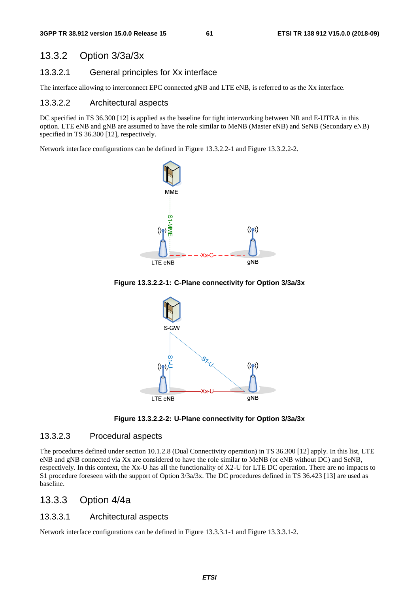## 13.3.2 Option 3/3a/3x

#### 13.3.2.1 General principles for Xx interface

The interface allowing to interconnect EPC connected gNB and LTE eNB, is referred to as the Xx interface.

### 13.3.2.2 Architectural aspects

DC specified in TS 36.300 [12] is applied as the baseline for tight interworking between NR and E-UTRA in this option. LTE eNB and gNB are assumed to have the role similar to MeNB (Master eNB) and SeNB (Secondary eNB) specified in TS 36.300 [12], respectively.

Network interface configurations can be defined in Figure 13.3.2.2-1 and Figure 13.3.2.2-2.









#### 13.3.2.3 Procedural aspects

The procedures defined under section 10.1.2.8 (Dual Connectivity operation) in TS 36.300 [12] apply. In this list, LTE eNB and gNB connected via Xx are considered to have the role similar to MeNB (or eNB without DC) and SeNB, respectively. In this context, the Xx-U has all the functionality of X2-U for LTE DC operation. There are no impacts to S1 procedure foreseen with the support of Option 3/3a/3x. The DC procedures defined in TS 36.423 [13] are used as baseline.

## 13.3.3 Option 4/4a

#### 13.3.3.1 Architectural aspects

Network interface configurations can be defined in Figure 13.3.3.1-1 and Figure 13.3.3.1-2.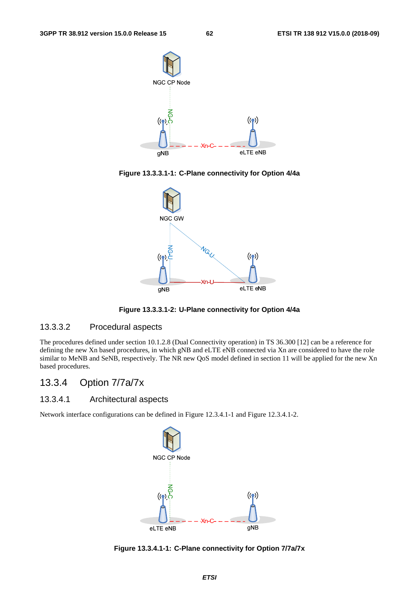

**Figure 13.3.3.1-1: C-Plane connectivity for Option 4/4a** 



**Figure 13.3.3.1-2: U-Plane connectivity for Option 4/4a** 

### 13.3.3.2 Procedural aspects

The procedures defined under section 10.1.2.8 (Dual Connectivity operation) in TS 36.300 [12] can be a reference for defining the new Xn based procedures, in which gNB and eLTE eNB connected via Xn are considered to have the role similar to MeNB and SeNB, respectively. The NR new QoS model defined in section 11 will be applied for the new Xn based procedures.

## 13.3.4 Option 7/7a/7x

## 13.3.4.1 Architectural aspects

Network interface configurations can be defined in Figure 12.3.4.1-1 and Figure 12.3.4.1-2.



**Figure 13.3.4.1-1: C-Plane connectivity for Option 7/7a/7x**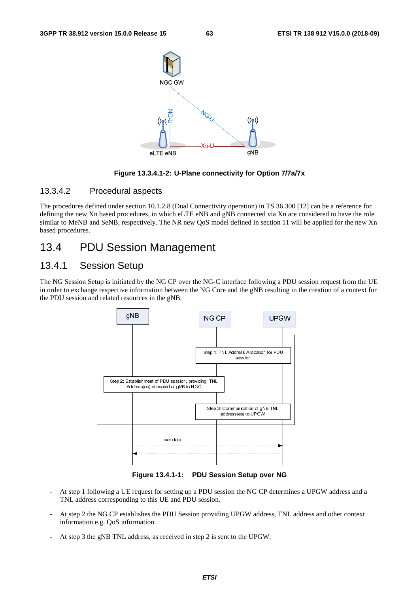

**Figure 13.3.4.1-2: U-Plane connectivity for Option 7/7a/7x** 

#### 13.3.4.2 Procedural aspects

The procedures defined under section 10.1.2.8 (Dual Connectivity operation) in TS 36.300 [12] can be a reference for defining the new Xn based procedures, in which eLTE eNB and gNB connected via Xn are considered to have the role similar to MeNB and SeNB, respectively. The NR new QoS model defined in section 11 will be applied for the new Xn based procedures.

## 13.4 PDU Session Management

## 13.4.1 Session Setup

The NG Session Setup is initiated by the NG CP over the NG-C interface following a PDU session request from the UE in order to exchange respective information between the NG Core and the gNB resulting in the creation of a context for the PDU session and related resources in the gNB.



**Figure 13.4.1-1: PDU Session Setup over NG** 

- At step 1 following a UE request for setting up a PDU session the NG CP determines a UPGW address and a TNL address corresponding to this UE and PDU session.
- At step 2 the NG CP establishes the PDU Session providing UPGW address, TNL address and other context information e.g. QoS information.
- At step 3 the gNB TNL address, as received in step 2 is sent to the UPGW.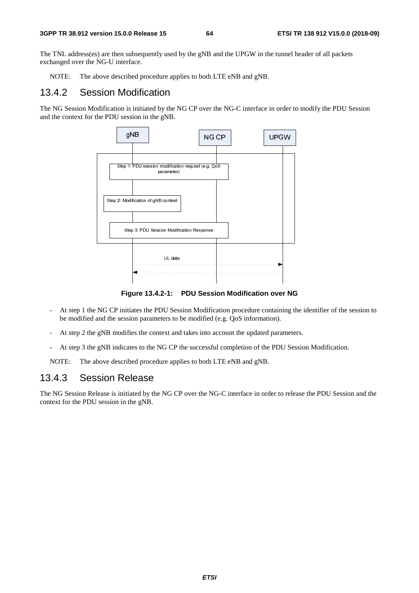The TNL address(es) are then subsequently used by the gNB and the UPGW in the tunnel header of all packets exchanged over the NG-U interface.

NOTE: The above described procedure applies to both LTE eNB and gNB.

## 13.4.2 Session Modification

The NG Session Modification is initiated by the NG CP over the NG-C interface in order to modify the PDU Session and the context for the PDU session in the gNB.



**Figure 13.4.2-1: PDU Session Modification over NG** 

- At step 1 the NG CP initiates the PDU Session Modification procedure containing the identifier of the session to be modified and the session parameters to be modified (e.g. QoS information).
- At step 2 the gNB modifies the context and takes into account the updated parameters.
- At step 3 the gNB indicates to the NG CP the successful completion of the PDU Session Modification.

NOTE: The above described procedure applies to both LTE eNB and gNB.

## 13.4.3 Session Release

The NG Session Release is initiated by the NG CP over the NG-C interface in order to release the PDU Session and the context for the PDU session in the gNB.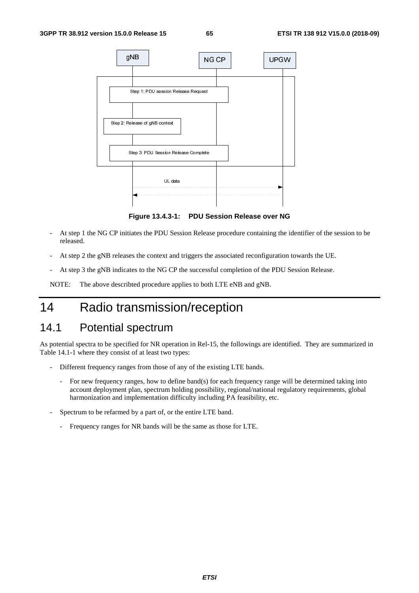

**Figure 13.4.3-1: PDU Session Release over NG** 

- At step 1 the NG CP initiates the PDU Session Release procedure containing the identifier of the session to be released.
- At step 2 the gNB releases the context and triggers the associated reconfiguration towards the UE.
- At step 3 the gNB indicates to the NG CP the successful completion of the PDU Session Release.

NOTE: The above describted procedure applies to both LTE eNB and gNB.

# 14 Radio transmission/reception

# 14.1 Potential spectrum

As potential spectra to be specified for NR operation in Rel-15, the followings are identified. They are summarized in Table 14.1-1 where they consist of at least two types:

- Different frequency ranges from those of any of the existing LTE bands.
	- For new frequency ranges, how to define band(s) for each frequency range will be determined taking into account deployment plan, spectrum holding possibility, regional/national regulatory requirements, global harmonization and implementation difficulty including PA feasibility, etc.
- Spectrum to be refarmed by a part of, or the entire LTE band.
	- Frequency ranges for NR bands will be the same as those for LTE.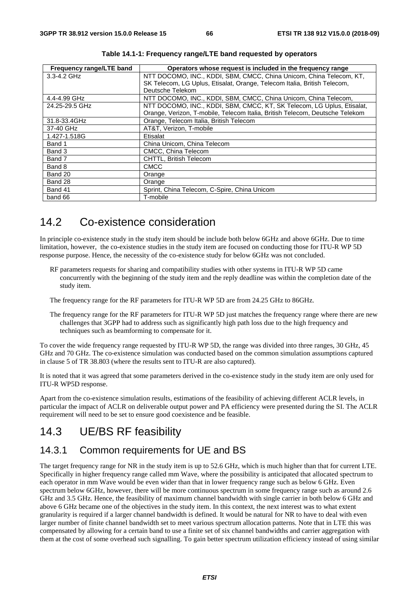| Frequency range/LTE band | Operators whose request is included in the frequency range                   |  |  |
|--------------------------|------------------------------------------------------------------------------|--|--|
| $3.3 - 4.2$ GHz          | NTT DOCOMO, INC., KDDI, SBM, CMCC, China Unicom, China Telecom, KT,          |  |  |
|                          | SK Telecom, LG Uplus, Etisalat, Orange, Telecom Italia, British Telecom,     |  |  |
|                          | Deutsche Telekom                                                             |  |  |
| 4.4-4.99 GHz             | NTT DOCOMO, INC., KDDI, SBM, CMCC, China Unicom, China Telecom,              |  |  |
| 24.25-29.5 GHz           | NTT DOCOMO, INC., KDDI, SBM, CMCC, KT, SK Telecom, LG Uplus, Etisalat,       |  |  |
|                          | Orange, Verizon, T-mobile, Telecom Italia, British Telecom, Deutsche Telekom |  |  |
| 31.8-33.4GHz             | Orange, Telecom Italia, British Telecom                                      |  |  |
| 37-40 GHz                | AT&T. Verizon. T-mobile                                                      |  |  |
| 1.427-1.518G             | Etisalat                                                                     |  |  |
| Band 1                   | China Unicom, China Telecom                                                  |  |  |
| Band 3                   | CMCC, China Telecom                                                          |  |  |
| Band 7                   | <b>CHTTL, British Telecom</b>                                                |  |  |
| Band 8                   | <b>CMCC</b>                                                                  |  |  |
| Band 20                  | Orange                                                                       |  |  |
| Band 28                  | Orange                                                                       |  |  |
| Band 41                  | Sprint, China Telecom, C-Spire, China Unicom                                 |  |  |
| band 66                  | T-mobile                                                                     |  |  |

**Table 14.1-1: Frequency range/LTE band requested by operators** 

# 14.2 Co-existence consideration

In principle co-existence study in the study item should be include both below 6GHz and above 6GHz. Due to time limitation, however, the co-existence studies in the study item are focused on conducting those for ITU-R WP 5D response purpose. Hence, the necessity of the co-existence study for below 6GHz was not concluded.

RF parameters requests for sharing and compatibility studies with other systems in ITU-R WP 5D came concurrently with the beginning of the study item and the reply deadline was within the completion date of the study item.

The frequency range for the RF parameters for ITU-R WP 5D are from 24.25 GHz to 86GHz.

The frequency range for the RF parameters for ITU-R WP 5D just matches the frequency range where there are new challenges that 3GPP had to address such as significantly high path loss due to the high frequency and techniques such as beamforming to compensate for it.

To cover the wide frequency range requested by ITU-R WP 5D, the range was divided into three ranges, 30 GHz, 45 GHz and 70 GHz. The co-existence simulation was conducted based on the common simulation assumptions captured in clause 5 of TR 38.803 (where the results sent to ITU-R are also captured).

It is noted that it was agreed that some parameters derived in the co-existence study in the study item are only used for ITU-R WP5D response.

Apart from the co-existence simulation results, estimations of the feasibility of achieving different ACLR levels, in particular the impact of ACLR on deliverable output power and PA efficiency were presented during the SI. The ACLR requirement will need to be set to ensure good coexistence and be feasible.

# 14.3 UE/BS RF feasibility

## 14.3.1 Common requirements for UE and BS

The target frequency range for NR in the study item is up to 52.6 GHz, which is much higher than that for current LTE. Specifically in higher frequency range called mm Wave, where the possibility is anticipated that allocated spectrum to each operator in mm Wave would be even wider than that in lower frequency range such as below 6 GHz. Even spectrum below 6GHz, however, there will be more continuous spectrum in some frequency range such as around 2.6 GHz and 3.5 GHz. Hence, the feasibility of maximum channel bandwidth with single carrier in both below 6 GHz and above 6 GHz became one of the objectives in the study item. In this context, the next interest was to what extent granularity is required if a larger channel bandwidth is defined. It would be natural for NR to have to deal with even larger number of finite channel bandwidth set to meet various spectrum allocation patterns. Note that in LTE this was compensated by allowing for a certain band to use a finite set of six channel bandwidths and carrier aggregation with them at the cost of some overhead such signalling. To gain better spectrum utilization efficiency instead of using similar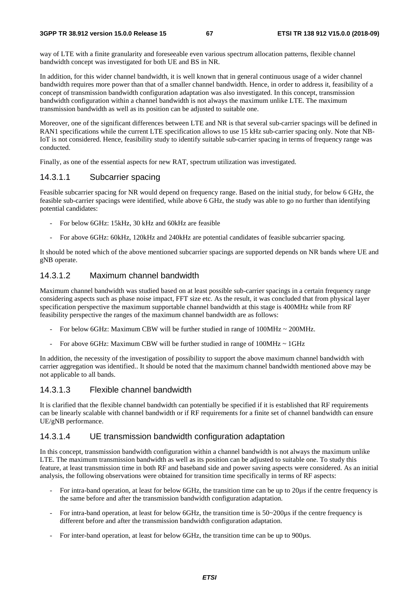way of LTE with a finite granularity and foreseeable even various spectrum allocation patterns, flexible channel bandwidth concept was investigated for both UE and BS in NR.

In addition, for this wider channel bandwidth, it is well known that in general continuous usage of a wider channel bandwidth requires more power than that of a smaller channel bandwidth. Hence, in order to address it, feasibility of a concept of transmission bandwidth configuration adaptation was also investigated. In this concept, transmission bandwidth configuration within a channel bandwidth is not always the maximum unlike LTE. The maximum transmission bandwidth as well as its position can be adjusted to suitable one.

Moreover, one of the significant differences between LTE and NR is that several sub-carrier spacings will be defined in RAN1 specifications while the current LTE specification allows to use 15 kHz sub-carrier spacing only. Note that NB-IoT is not considered. Hence, feasibility study to identify suitable sub-carrier spacing in terms of frequency range was conducted.

Finally, as one of the essential aspects for new RAT, spectrum utilization was investigated.

### 14.3.1.1 Subcarrier spacing

Feasible subcarrier spacing for NR would depend on frequency range. Based on the initial study, for below 6 GHz, the feasible sub-carrier spacings were identified, while above 6 GHz, the study was able to go no further than identifying potential candidates:

- For below 6GHz: 15kHz, 30 kHz and 60kHz are feasible
- For above 6GHz: 60kHz, 120kHz and 240kHz are potential candidates of feasible subcarrier spacing.

It should be noted which of the above mentioned subcarrier spacings are supported depends on NR bands where UE and gNB operate.

## 14.3.1.2 Maximum channel bandwidth

Maximum channel bandwidth was studied based on at least possible sub-carrier spacings in a certain frequency range considering aspects such as phase noise impact, FFT size etc. As the result, it was concluded that from physical layer specification perspective the maximum supportable channel bandwidth at this stage is 400MHz while from RF feasibility perspective the ranges of the maximum channel bandwidth are as follows:

- For below 6GHz: Maximum CBW will be further studied in range of  $100MHz \sim 200MHz$ .
- For above 6GHz: Maximum CBW will be further studied in range of  $100MHz \sim 1GHz$

In addition, the necessity of the investigation of possibility to support the above maximum channel bandwidth with carrier aggregation was identified.. It should be noted that the maximum channel bandwidth mentioned above may be not applicable to all bands.

### 14.3.1.3 Flexible channel bandwidth

It is clarified that the flexible channel bandwidth can potentially be specified if it is established that RF requirements can be linearly scalable with channel bandwidth or if RF requirements for a finite set of channel bandwidth can ensure UE/gNB performance.

#### 14.3.1.4 UE transmission bandwidth configuration adaptation

In this concept, transmission bandwidth configuration within a channel bandwidth is not always the maximum unlike LTE. The maximum transmission bandwidth as well as its position can be adjusted to suitable one. To study this feature, at least transmission time in both RF and baseband side and power saving aspects were considered. As an initial analysis, the following observations were obtained for transition time specifically in terms of RF aspects:

- For intra-band operation, at least for below 6GHz, the transition time can be up to 20µs if the centre frequency is the same before and after the transmission bandwidth configuration adaptation.
- For intra-band operation, at least for below 6GHz, the transition time is 50~200µs if the centre frequency is different before and after the transmission bandwidth configuration adaptation.
- For inter-band operation, at least for below 6GHz, the transition time can be up to 900µs.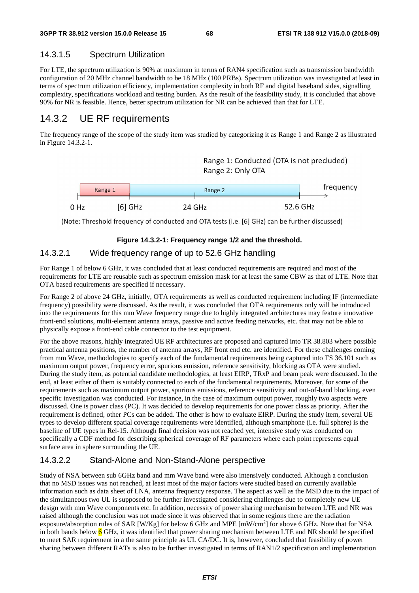## 14.3.1.5 Spectrum Utilization

For LTE, the spectrum utilization is 90% at maximum in terms of RAN4 specification such as transmission bandwidth configuration of 20 MHz channel bandwidth to be 18 MHz (100 PRBs). Spectrum utilization was investigated at least in terms of spectrum utilization efficiency, implementation complexity in both RF and digital baseband sides, signalling complexity, specifications workload and testing burden. As the result of the feasibility study, it is concluded that above 90% for NR is feasible. Hence, better spectrum utilization for NR can be achieved than that for LTE.

## 14.3.2 UE RF requirements

The frequency range of the scope of the study item was studied by categorizing it as Range 1 and Range 2 as illustrated in Figure 14.3.2-1.

> Range 1: Conducted (OTA is not precluded) Range 2: Only OTA

|      | Range 1 | Range 2 |        | trequency |
|------|---------|---------|--------|-----------|
| 0 Hz |         | 6] GHz  | 24 GHz | 52.6 GHz  |

(Note: Threshold frequency of conducted and OTA tests (i.e. [6] GHz) can be further discussed)

#### **Figure 14.3.2-1: Frequency range 1/2 and the threshold.**

## 14.3.2.1 Wide frequency range of up to 52.6 GHz handling

For Range 1 of below 6 GHz, it was concluded that at least conducted requirements are required and most of the requirements for LTE are reusable such as spectrum emission mask for at least the same CBW as that of LTE. Note that OTA based requirements are specified if necessary.

For Range 2 of above 24 GHz, initially, OTA requirements as well as conducted requirement including IF (intermediate frequency) possibility were discussed. As the result, it was concluded that OTA requirements only will be introduced into the requirements for this mm Wave frequency range due to highly integrated architectures may feature innovative front-end solutions, multi-element antenna arrays, passive and active feeding networks, etc. that may not be able to physically expose a front-end cable connector to the test equipment.

For the above reasons, highly integrated UE RF architectures are proposed and captured into TR 38.803 where possible practical antenna positions, the number of antenna arrays, RF front end etc. are identified. For these challenges coming from mm Wave, methodologies to specify each of the fundamental requirements being captured into TS 36.101 such as maximum output power, frequency error, spurious emission, reference sensitivity, blocking as OTA were studied. During the study item, as potential candidate methodologies, at least EIRP, TRxP and beam peak were discussed. In the end, at least either of them is suitably connected to each of the fundamental requirements. Moreover, for some of the requirements such as maximum output power, spurious emissions, reference sensitivity and out-of-band blocking, even specific investigation was conducted. For instance, in the case of maximum output power, roughly two aspects were discussed. One is power class (PC). It was decided to develop requirements for one power class as priority. After the requirement is defined, other PCs can be added. The other is how to evaluate EIRP. During the study item, several UE types to develop different spatial coverage requirements were identified, although smartphone (i.e. full sphere) is the baseline of UE types in Rel-15. Although final decision was not reached yet, intensive study was conducted on specifically a CDF method for describing spherical coverage of RF parameters where each point represents equal surface area in sphere surrounding the UE.

## 14.3.2.2 Stand-Alone and Non-Stand-Alone perspective

Study of NSA between sub 6GHz band and mm Wave band were also intensively conducted. Although a conclusion that no MSD issues was not reached, at least most of the major factors were studied based on currently available information such as data sheet of LNA, antenna frequency response. The aspect as well as the MSD due to the impact of the simultaneous two UL is supposed to be further investigated considering challenges due to completely new UE design with mm Wave components etc. In addition, necessity of power sharing mechanism between LTE and NR was raised although the conclusion was not made since it was observed that in some regions there are the radiation exposure/absorption rules of SAR [W/Kg] for below 6 GHz and MPE [mW/cm<sup>2</sup>] for above 6 GHz. Note that for NSA in both bands below 6 GHz, it was identified that power sharing mechanism between LTE and NR should be specified to meet SAR requirement in a the same principle as UL CA/DC. It is, however, concluded that feasibility of power sharing between different RATs is also to be further investigated in terms of RAN1/2 specification and implementation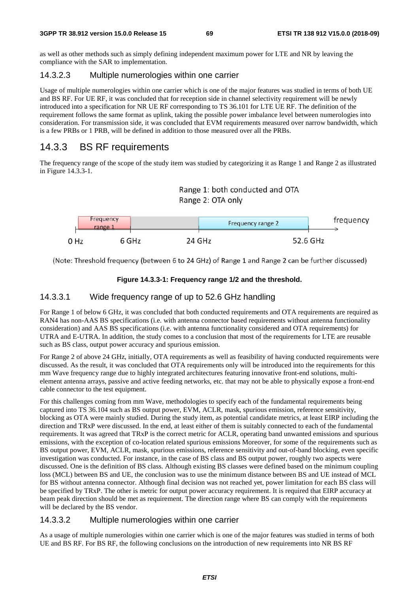as well as other methods such as simply defining independent maximum power for LTE and NR by leaving the compliance with the SAR to implementation.

### 14.3.2.3 Multiple numerologies within one carrier

Usage of multiple numerologies within one carrier which is one of the major features was studied in terms of both UE and BS RF. For UE RF, it was concluded that for reception side in channel selectivity requirement will be newly introduced into a specification for NR UE RF corresponding to TS 36.101 for LTE UE RF. The definition of the requirement follows the same format as uplink, taking the possible power imbalance level between numerologies into consideration. For transmission side, it was concluded that EVM requirements measured over narrow bandwidth, which is a few PRBs or 1 PRB, will be defined in addition to those measured over all the PRBs.

## 14.3.3 BS RF requirements

The frequency range of the scope of the study item was studied by categorizing it as Range 1 and Range 2 as illustrated in Figure 14.3.3-1.





(Note: Threshold frequency (between 6 to 24 GHz) of Range 1 and Range 2 can be further discussed)

### **Figure 14.3.3-1: Frequency range 1/2 and the threshold.**

### 14.3.3.1 Wide frequency range of up to 52.6 GHz handling

For Range 1 of below 6 GHz, it was concluded that both conducted requirements and OTA requirements are required as RAN4 has non-AAS BS specifications (i.e. with antenna connector based requirements without antenna functionality consideration) and AAS BS specifications (i.e. with antenna functionality considered and OTA requirements) for UTRA and E-UTRA. In addition, the study comes to a conclusion that most of the requirements for LTE are reusable such as BS class, output power accuracy and spurious emission.

For Range 2 of above 24 GHz, initially, OTA requirements as well as feasibility of having conducted requirements were discussed. As the result, it was concluded that OTA requirements only will be introduced into the requirements for this mm Wave frequency range due to highly integrated architectures featuring innovative front-end solutions, multielement antenna arrays, passive and active feeding networks, etc. that may not be able to physically expose a front-end cable connector to the test equipment.

For this challenges coming from mm Wave, methodologies to specify each of the fundamental requirements being captured into TS 36.104 such as BS output power, EVM, ACLR, mask, spurious emission, reference sensitivity, blocking as OTA were mainly studied. During the study item, as potential candidate metrics, at least EIRP including the direction and TRxP were discussed. In the end, at least either of them is suitably connected to each of the fundamental requirements. It was agreed that TRxP is the correct metric for ACLR, operating band unwanted emissions and spurious emissions, with the exception of co-location related spurious emissions Moreover, for some of the requirements such as BS output power, EVM, ACLR, mask, spurious emissions, reference sensitivity and out-of-band blocking, even specific investigation was conducted. For instance, in the case of BS class and BS output power, roughly two aspects were discussed. One is the definition of BS class. Although existing BS classes were defined based on the minimum coupling loss (MCL) between BS and UE, the conclusion was to use the minimum distance between BS and UE instead of MCL for BS without antenna connector. Although final decision was not reached yet, power limitation for each BS class will be specified by TRxP. The other is metric for output power accuracy requirement. It is required that EIRP accuracy at beam peak direction should be met as requirement. The direction range where BS can comply with the requirements will be declared by the BS vendor.

### 14.3.3.2 Multiple numerologies within one carrier

As a usage of multiple numerologies within one carrier which is one of the major features was studied in terms of both UE and BS RF. For BS RF, the following conclusions on the introduction of new requirements into NR BS RF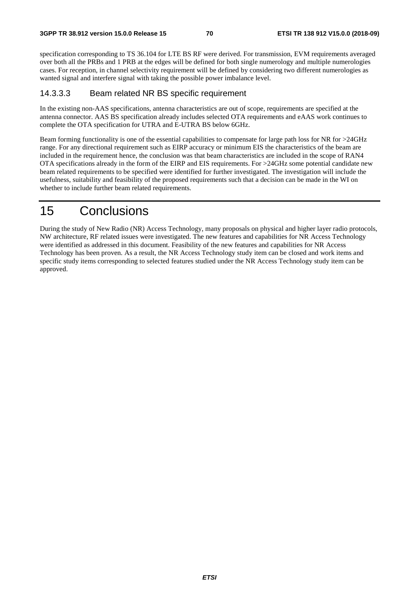specification corresponding to TS 36.104 for LTE BS RF were derived. For transmission, EVM requirements averaged over both all the PRBs and 1 PRB at the edges will be defined for both single numerology and multiple numerologies cases. For reception, in channel selectivity requirement will be defined by considering two different numerologies as wanted signal and interfere signal with taking the possible power imbalance level.

## 14.3.3.3 Beam related NR BS specific requirement

In the existing non-AAS specifications, antenna characteristics are out of scope, requirements are specified at the antenna connector. AAS BS specification already includes selected OTA requirements and eAAS work continues to complete the OTA specification for UTRA and E-UTRA BS below 6GHz.

Beam forming functionality is one of the essential capabilities to compensate for large path loss for NR for >24GHz range. For any directional requirement such as EIRP accuracy or minimum EIS the characteristics of the beam are included in the requirement hence, the conclusion was that beam characteristics are included in the scope of RAN4 OTA specifications already in the form of the EIRP and EIS requirements. For >24GHz some potential candidate new beam related requirements to be specified were identified for further investigated. The investigation will include the usefulness, suitability and feasibility of the proposed requirements such that a decision can be made in the WI on whether to include further beam related requirements.

# 15 Conclusions

During the study of New Radio (NR) Access Technology, many proposals on physical and higher layer radio protocols, NW architecture, RF related issues were investigated. The new features and capabilities for NR Access Technology were identified as addressed in this document. Feasibility of the new features and capabilities for NR Access Technology has been proven. As a result, the NR Access Technology study item can be closed and work items and specific study items corresponding to selected features studied under the NR Access Technology study item can be approved.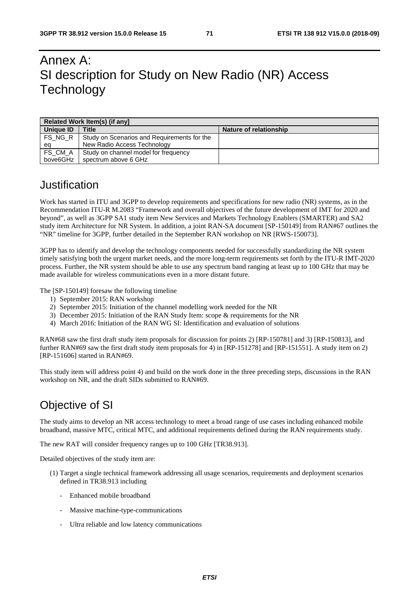# Annex A: SI description for Study on New Radio (NR) Access **Technology**

| Related Work Item(s) (if anyl |                                             |                        |  |  |  |
|-------------------------------|---------------------------------------------|------------------------|--|--|--|
| Unique ID                     | <b>Title</b>                                | Nature of relationship |  |  |  |
| FS NG R                       | Study on Scenarios and Requirements for the |                        |  |  |  |
| ea                            | New Radio Access Technology                 |                        |  |  |  |
| FS CM A                       | Study on channel model for frequency        |                        |  |  |  |
| bove6GHz                      | spectrum above 6 GHz                        |                        |  |  |  |

# Justification

Work has started in ITU and 3GPP to develop requirements and specifications for new radio (NR) systems, as in the Recommendation ITU-R M.2083 "Framework and overall objectives of the future development of IMT for 2020 and beyond", as well as 3GPP SA1 study item New Services and Markets Technology Enablers (SMARTER) and SA2 study item Architecture for NR System. In addition, a joint RAN-SA document [SP-150149] from RAN#67 outlines the "NR" timeline for 3GPP, further detailed in the September RAN workshop on NR [RWS-150073].

3GPP has to identify and develop the technology components needed for successfully standardizing the NR system timely satisfying both the urgent market needs, and the more long-term requirements set forth by the ITU-R IMT-2020 process. Further, the NR system should be able to use any spectrum band ranging at least up to 100 GHz that may be made available for wireless communications even in a more distant future.

The [SP-150149] foresaw the following timeline

- 1) September 2015: RAN workshop
- 2) September 2015: Initiation of the channel modelling work needed for the NR
- 3) December 2015: Initiation of the RAN Study Item: scope & requirements for the NR
- 4) March 2016: Initiation of the RAN WG SI: Identification and evaluation of solutions

RAN#68 saw the first draft study item proposals for discussion for points 2) [RP-150781] and 3) [RP-150813], and further RAN#69 saw the first draft study item proposals for 4) in [RP-151278] and [RP-151551]. A study item on 2) [RP-151606] started in RAN#69.

This study item will address point 4) and build on the work done in the three preceding steps, discussions in the RAN workshop on NR, and the draft SIDs submitted to RAN#69.

# Objective of SI

The study aims to develop an NR access technology to meet a broad range of use cases including enhanced mobile broadband, massive MTC, critical MTC, and additional requirements defined during the RAN requirements study.

The new RAT will consider frequency ranges up to 100 GHz [TR38.913].

Detailed objectives of the study item are:

- (1) Target a single technical framework addressing all usage scenarios, requirements and deployment scenarios defined in TR38.913 including
	- Enhanced mobile broadband
	- Massive machine-type-communications
	- Ultra reliable and low latency communications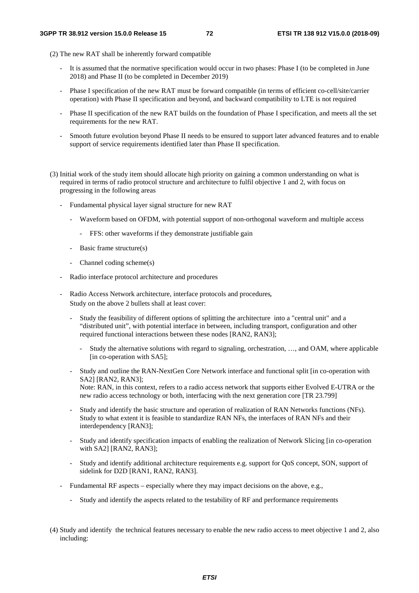- (2) The new RAT shall be inherently forward compatible
	- It is assumed that the normative specification would occur in two phases: Phase I (to be completed in June 2018) and Phase II (to be completed in December 2019)
	- Phase I specification of the new RAT must be forward compatible (in terms of efficient co-cell/site/carrier operation) with Phase II specification and beyond, and backward compatibility to LTE is not required
	- Phase II specification of the new RAT builds on the foundation of Phase I specification, and meets all the set requirements for the new RAT.
	- Smooth future evolution beyond Phase II needs to be ensured to support later advanced features and to enable support of service requirements identified later than Phase II specification.
- (3) Initial work of the study item should allocate high priority on gaining a common understanding on what is required in terms of radio protocol structure and architecture to fulfil objective 1 and 2, with focus on progressing in the following areas
	- Fundamental physical layer signal structure for new RAT
		- Waveform based on OFDM, with potential support of non-orthogonal waveform and multiple access
			- FFS: other waveforms if they demonstrate justifiable gain
		- Basic frame structure(s)
		- Channel coding scheme(s)
	- Radio interface protocol architecture and procedures
	- Radio Access Network architecture, interface protocols and procedures, Study on the above 2 bullets shall at least cover:
		- Study the feasibility of different options of splitting the architecture into a "central unit" and a "distributed unit", with potential interface in between, including transport, configuration and other required functional interactions between these nodes [RAN2, RAN3];
			- Study the alternative solutions with regard to signaling, orchestration, …, and OAM, where applicable [in co-operation with SA5];
		- Study and outline the RAN-NextGen Core Network interface and functional split [in co-operation with SA2] [RAN2, RAN3]; Note: RAN, in this context, refers to a radio access network that supports either Evolved E-UTRA or the new radio access technology or both, interfacing with the next generation core [TR 23.799]
		- Study and identify the basic structure and operation of realization of RAN Networks functions (NFs). Study to what extent it is feasible to standardize RAN NFs, the interfaces of RAN NFs and their interdependency [RAN3];
		- Study and identify specification impacts of enabling the realization of Network Slicing [in co-operation with SA2] [RAN2, RAN3];
		- Study and identify additional architecture requirements e.g. support for QoS concept, SON, support of sidelink for D2D [RAN1, RAN2, RAN3].
	- Fundamental RF aspects especially where they may impact decisions on the above, e.g.,
		- Study and identify the aspects related to the testability of RF and performance requirements
- (4) Study and identify the technical features necessary to enable the new radio access to meet objective 1 and 2, also including: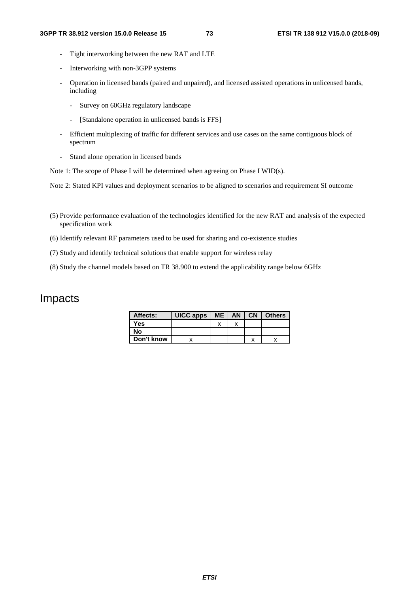- Tight interworking between the new RAT and LTE
- Interworking with non-3GPP systems
- Operation in licensed bands (paired and unpaired), and licensed assisted operations in unlicensed bands, including
	- Survey on 60GHz regulatory landscape
	- [Standalone operation in unlicensed bands is FFS]
- Efficient multiplexing of traffic for different services and use cases on the same contiguous block of spectrum
- Stand alone operation in licensed bands

Note 1: The scope of Phase I will be determined when agreeing on Phase I WID(s).

Note 2: Stated KPI values and deployment scenarios to be aligned to scenarios and requirement SI outcome

- (5) Provide performance evaluation of the technologies identified for the new RAT and analysis of the expected specification work
- (6) Identify relevant RF parameters used to be used for sharing and co-existence studies
- (7) Study and identify technical solutions that enable support for wireless relay
- (8) Study the channel models based on TR 38.900 to extend the applicability range below 6GHz

## Impacts

| Affects:   | UICC apps $\mid$ ME $\mid$ AN $\mid$ CN $\mid$ Others |  |  |
|------------|-------------------------------------------------------|--|--|
| <b>Yes</b> |                                                       |  |  |
| Nο         |                                                       |  |  |
| Don't know |                                                       |  |  |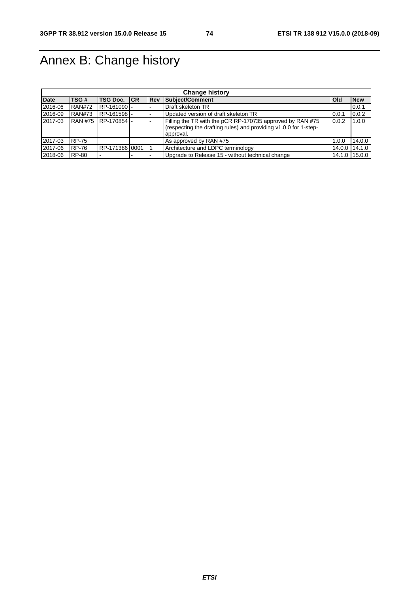## Annex B: Change history

| <b>Change history</b> |               |                      |  |     |                                                                                                                                            |            |               |  |
|-----------------------|---------------|----------------------|--|-----|--------------------------------------------------------------------------------------------------------------------------------------------|------------|---------------|--|
| <b>Date</b>           | TSG#          | <b>TSG Doc. CR</b>   |  | Rev | Subject/Comment                                                                                                                            | <b>Old</b> | <b>New</b>    |  |
| 2016-06               | <b>RAN#72</b> | RP-161090            |  |     | Draft skeleton TR                                                                                                                          |            | 0.0.1         |  |
| 2016-09               | <b>RAN#73</b> | RP-161598-           |  |     | Updated version of draft skeleton TR                                                                                                       | 0.0.1      | 0.0.2         |  |
| 2017-03               |               | RAN #75  RP-170854 - |  |     | Filling the TR with the pCR RP-170735 approved by RAN #75<br>(respecting the drafting rules) and providing v1.0.0 for 1-step-<br>approval. | 0.0.2      | 1.0.0         |  |
| 2017-03               | <b>RP-75</b>  |                      |  |     | As approved by RAN #75                                                                                                                     | 1.0.0      | 14.0.0        |  |
| 2017-06               | <b>RP-76</b>  | RP-171386 0001       |  |     | Architecture and LDPC terminology                                                                                                          | 14.0.0     | 14.1.0        |  |
| 2018-06               | <b>RP-80</b>  |                      |  |     | Upgrade to Release 15 - without technical change                                                                                           |            | 14.1.0 15.0.0 |  |